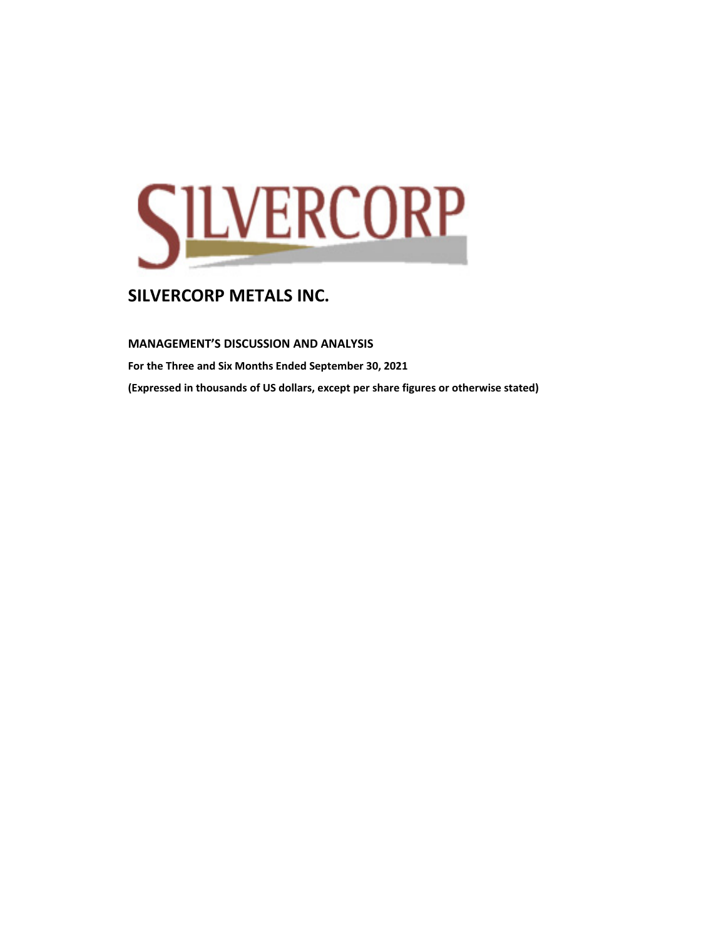

**MANAGEMENT'S DISCUSSION AND ANALYSIS** 

**For the Three and Six Months Ended September 30, 2021 (Expressed in thousands of US dollars, except per share figures or otherwise stated)**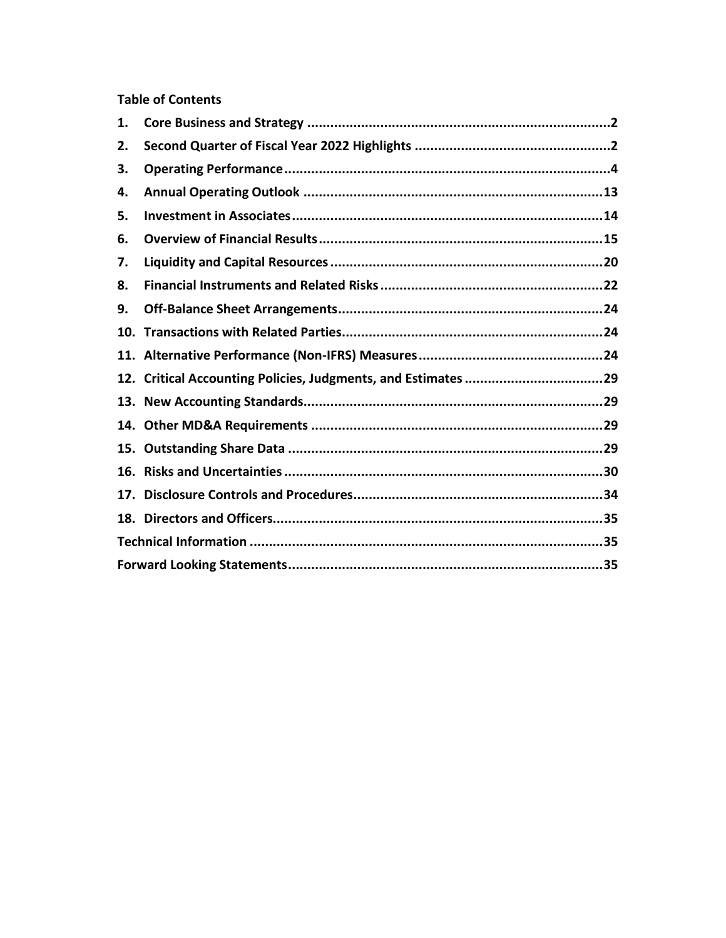## **Table of Contents**

| 1.  |  |
|-----|--|
| 2.  |  |
| 3.  |  |
| 4.  |  |
| 5.  |  |
| 6.  |  |
| 7.  |  |
| 8.  |  |
| 9.  |  |
| 10. |  |
|     |  |
|     |  |
|     |  |
|     |  |
| 15. |  |
| 16. |  |
| 17. |  |
|     |  |
|     |  |
|     |  |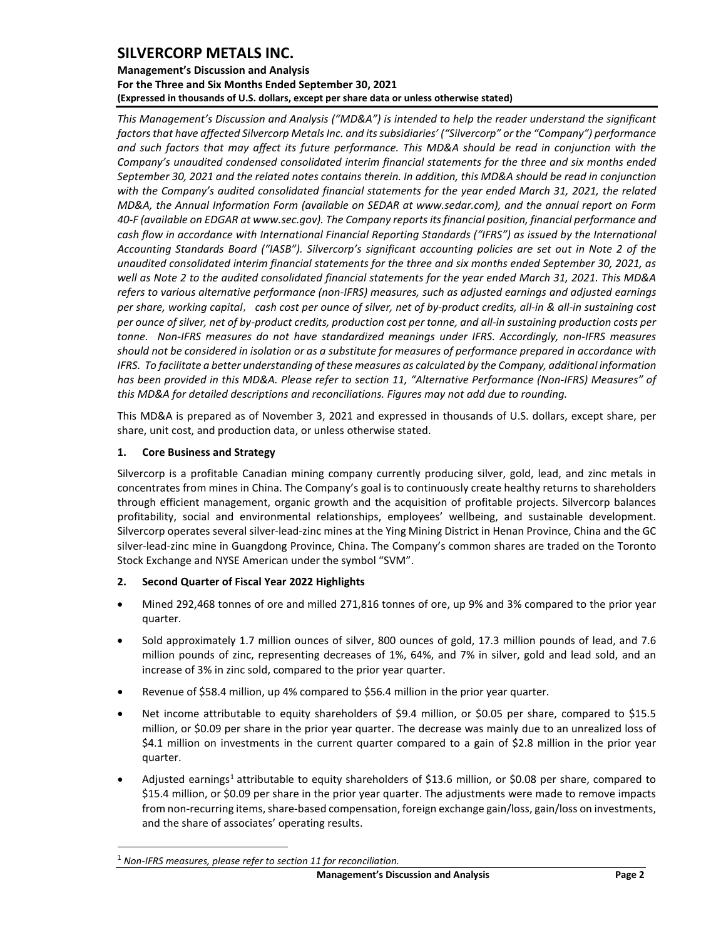### **Management's Discussion and Analysis For the Three and Six Months Ended September 30, 2021 (Expressed in thousands of U.S. dollars, except per share data or unless otherwise stated)**

*This Management's Discussion and Analysis ("MD&A") is intended to help the reader understand the significant factors that have affected Silvercorp Metals Inc. and its subsidiaries' ("Silvercorp" or the "Company") performance and such factors that may affect its future performance. This MD&A should be read in conjunction with the Company's unaudited condensed consolidated interim financial statements for the three and six months ended September 30, 2021 and the related notes contains therein. In addition, this MD&A should be read in conjunction with the Company's audited consolidated financial statements for the year ended March 31, 2021, the related MD&A, the Annual Information Form (available on SEDAR at www.sedar.com), and the annual report on Form 40-F (available on EDGAR at www.sec.gov). The Company reports its financial position, financial performance and cash flow in accordance with International Financial Reporting Standards ("IFRS") as issued by the International Accounting Standards Board ("IASB"). Silvercorp's significant accounting policies are set out in Note 2 of the unaudited consolidated interim financial statements for the three and six months ended September 30, 2021, as well as Note 2 to the audited consolidated financial statements for the year ended March 31, 2021. This MD&A refers to various alternative performance (non-IFRS) measures, such as adjusted earnings and adjusted earnings per share, working capital*, *cash cost per ounce of silver, net of by-product credits, all-in & all-in sustaining cost per ounce of silver, net of by-product credits, production cost per tonne, and all-in sustaining production costs per tonne. Non-IFRS measures do not have standardized meanings under IFRS. Accordingly, non-IFRS measures should not be considered in isolation or as a substitute for measures of performance prepared in accordance with IFRS. To facilitate a better understanding of these measures as calculated by the Company, additional information has been provided in this MD&A. Please refer to section 11, "Alternative Performance (Non-IFRS) Measures" of this MD&A for detailed descriptions and reconciliations. Figures may not add due to rounding.*

This MD&A is prepared as of November 3, 2021 and expressed in thousands of U.S. dollars, except share, per share, unit cost, and production data, or unless otherwise stated.

## <span id="page-2-0"></span>**1. Core Business and Strategy**

Silvercorp is a profitable Canadian mining company currently producing silver, gold, lead, and zinc metals in concentrates from mines in China. The Company's goal is to continuously create healthy returns to shareholders through efficient management, organic growth and the acquisition of profitable projects. Silvercorp balances profitability, social and environmental relationships, employees' wellbeing, and sustainable development. Silvercorp operates several silver-lead-zinc mines at the Ying Mining District in Henan Province, China and the GC silver-lead-zinc mine in Guangdong Province, China. The Company's common shares are traded on the Toronto Stock Exchange and NYSE American under the symbol "SVM".

## <span id="page-2-1"></span>**2. Second Quarter of Fiscal Year 2022 Highlights**

- Mined 292,468 tonnes of ore and milled 271,816 tonnes of ore, up 9% and 3% compared to the prior year quarter.
- Sold approximately 1.7 million ounces of silver, 800 ounces of gold, 17.3 million pounds of lead, and 7.6 million pounds of zinc, representing decreases of 1%, 64%, and 7% in silver, gold and lead sold, and an increase of 3% in zinc sold, compared to the prior year quarter.
- Revenue of \$58.4 million, up 4% compared to \$56.4 million in the prior year quarter.
- Net income attributable to equity shareholders of \$9.4 million, or \$0.05 per share, compared to \$15.5 million, or \$0.09 per share in the prior year quarter. The decrease was mainly due to an unrealized loss of \$4.1 million on investments in the current quarter compared to a gain of \$2.8 million in the prior year quarter.
- Adjusted earnings<sup>[1](#page-2-2)</sup> attributable to equity shareholders of \$13.6 million, or \$0.08 per share, compared to \$15.4 million, or \$0.09 per share in the prior year quarter. The adjustments were made to remove impacts from non-recurring items, share-based compensation, foreign exchange gain/loss, gain/loss on investments, and the share of associates' operating results.

<span id="page-2-2"></span><sup>1</sup> *Non-IFRS measures, please refer to section 11 for reconciliation.*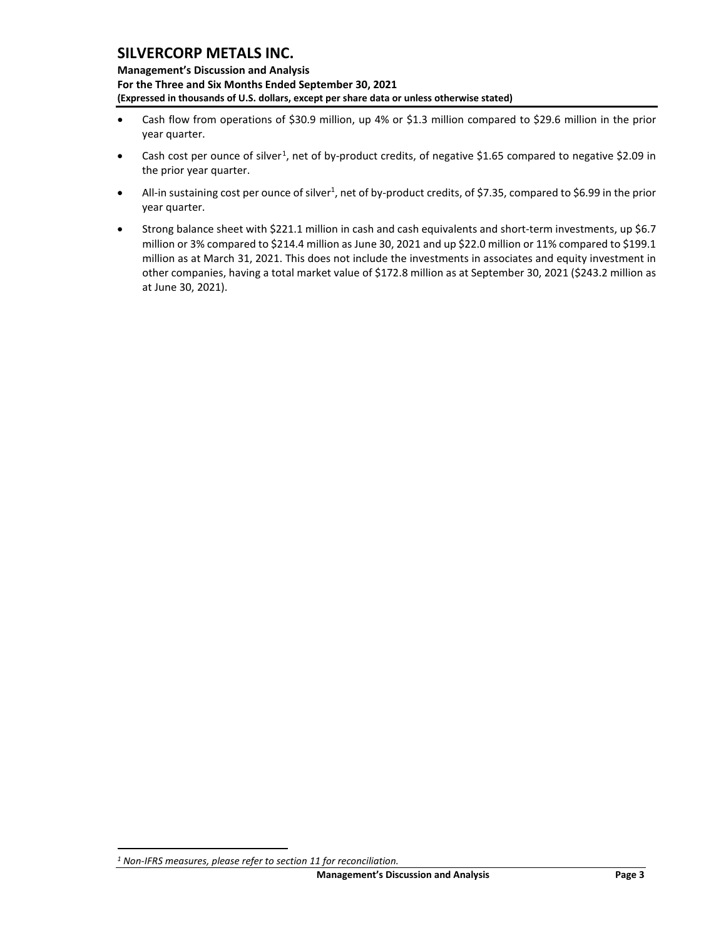**Management's Discussion and Analysis For the Three and Six Months Ended September 30, 2021 (Expressed in thousands of U.S. dollars, except per share data or unless otherwise stated)** 

- Cash flow from operations of \$30.9 million, up 4% or \$1.3 million compared to \$29.6 million in the prior year quarter.
- Cash cost per ounce of silver<sup>[1](#page-3-0)</sup>, net of by-product credits, of negative \$1.65 compared to negative \$2.09 in the prior year quarter.
- All-in sustaining cost per ounce of silver<sup>1</sup>, net of by-product credits, of \$7.35, compared to \$6.99 in the prior year quarter.
- Strong balance sheet with \$221.1 million in cash and cash equivalents and short-term investments, up \$6.7 million or 3% compared to \$214.4 million as June 30, 2021 and up \$22.0 million or 11% compared to \$199.1 million as at March 31, 2021. This does not include the investments in associates and equity investment in other companies, having a total market value of \$172.8 million as at September 30, 2021 (\$243.2 million as at June 30, 2021).

<span id="page-3-0"></span>*<sup>1</sup> Non-IFRS measures, please refer to section 11 for reconciliation.*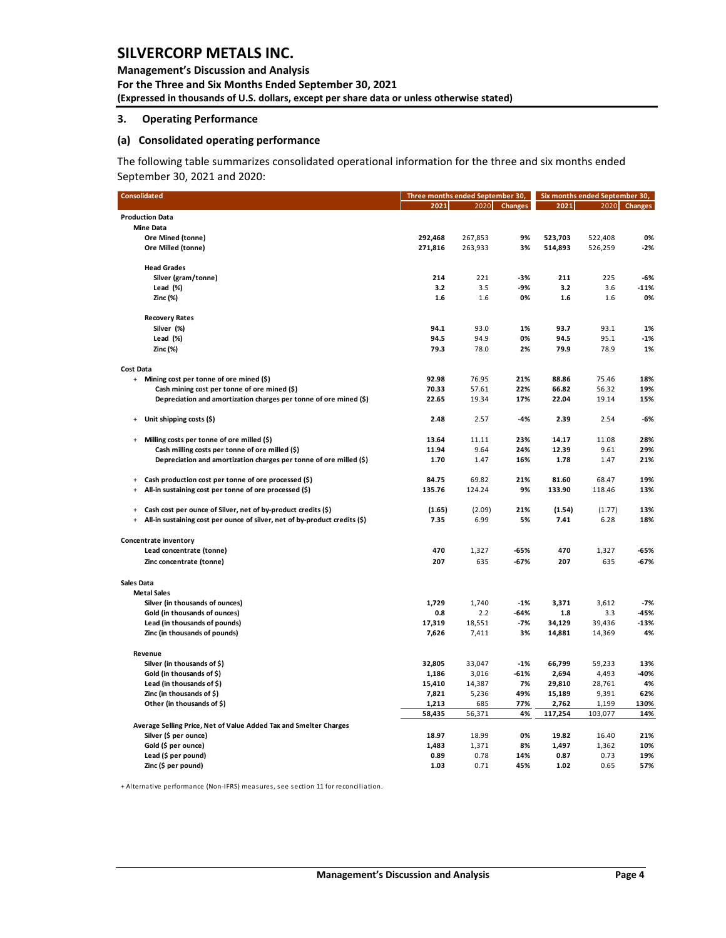**Management's Discussion and Analysis For the Three and Six Months Ended September 30, 2021 (Expressed in thousands of U.S. dollars, except per share data or unless otherwise stated)** 

#### <span id="page-4-0"></span>**3. Operating Performance**

### **(a) Consolidated operating performance**

The following table summarizes consolidated operational information for the three and six months ended September 30, 2021 and 2020:

| <b>Consolidated</b>                                                                     | Three months ended September 30, |              | Six months ended September 30, |              |              |              |
|-----------------------------------------------------------------------------------------|----------------------------------|--------------|--------------------------------|--------------|--------------|--------------|
|                                                                                         | 2021                             | 2020         | <b>Changes</b>                 | 2021         |              | 2020 Changes |
| <b>Production Data</b>                                                                  |                                  |              |                                |              |              |              |
| <b>Mine Data</b>                                                                        |                                  |              |                                |              |              |              |
| Ore Mined (tonne)                                                                       | 292,468                          | 267,853      | 9%                             | 523,703      | 522,408      | 0%           |
| Ore Milled (tonne)                                                                      | 271,816                          | 263,933      | 3%                             | 514,893      | 526,259      | $-2%$        |
| <b>Head Grades</b>                                                                      |                                  |              |                                |              |              |              |
| Silver (gram/tonne)                                                                     | 214                              | 221          | -3%                            | 211          | 225          | -6%          |
| Lead (%)                                                                                | 3.2                              | 3.5          | -9%                            | 3.2          | 3.6          | -11%         |
| Zinc (%)                                                                                | 1.6                              | 1.6          | 0%                             | 1.6          | 1.6          | 0%           |
| <b>Recovery Rates</b>                                                                   |                                  |              |                                |              |              |              |
| Silver (%)                                                                              | 94.1                             | 93.0         | 1%                             | 93.7         | 93.1         | 1%           |
| Lead (%)                                                                                | 94.5                             | 94.9         | 0%                             | 94.5         | 95.1         | $-1%$        |
| Zinc (%)                                                                                | 79.3                             | 78.0         | 2%                             | 79.9         | 78.9         | 1%           |
| Cost Data                                                                               |                                  |              |                                |              |              |              |
| + Mining cost per tonne of ore mined (\$)                                               | 92.98                            | 76.95        | 21%                            | 88.86        | 75.46        | 18%          |
| Cash mining cost per tonne of ore mined (\$)                                            | 70.33                            | 57.61        | 22%                            | 66.82        | 56.32        | 19%          |
| Depreciation and amortization charges per tonne of ore mined (\$)                       | 22.65                            | 19.34        | 17%                            | 22.04        | 19.14        | 15%          |
| Unit shipping costs (\$)<br>$\ddot{}$                                                   | 2.48                             | 2.57         | $-4%$                          | 2.39         | 2.54         | -6%          |
| Milling costs per tonne of ore milled (\$)<br>$\ddot{}$                                 | 13.64                            | 11.11        | 23%                            | 14.17        | 11.08        | 28%          |
| Cash milling costs per tonne of ore milled (\$)                                         | 11.94                            | 9.64         | 24%                            | 12.39        | 9.61         | 29%          |
| Depreciation and amortization charges per tonne of ore milled (\$)                      | 1.70                             | 1.47         | 16%                            | 1.78         | 1.47         | 21%          |
| Cash production cost per tonne of ore processed (\$)<br>$\ddot{}$                       | 84.75                            | 69.82        | 21%                            | 81.60        | 68.47        | 19%          |
| All-in sustaining cost per tonne of ore processed (\$)<br>$\ddot{}$                     | 135.76                           | 124.24       | 9%                             | 133.90       | 118.46       | 13%          |
| Cash cost per ounce of Silver, net of by-product credits (\$)<br>$+$                    | (1.65)                           | (2.09)       | 21%                            | (1.54)       | (1.77)       | 13%          |
| All-in sustaining cost per ounce of silver, net of by-product credits (\$)<br>$\ddot{}$ | 7.35                             | 6.99         | 5%                             | 7.41         | 6.28         | 18%          |
| Concentrate inventory                                                                   |                                  |              |                                |              |              |              |
| Lead concentrate (tonne)                                                                | 470                              | 1,327        | -65%                           | 470          | 1,327        | -65%         |
| Zinc concentrate (tonne)                                                                | 207                              | 635          | $-67%$                         | 207          | 635          | $-67%$       |
| <b>Sales Data</b>                                                                       |                                  |              |                                |              |              |              |
| <b>Metal Sales</b>                                                                      |                                  |              |                                |              |              |              |
| Silver (in thousands of ounces)                                                         | 1,729                            | 1,740        | $-1%$                          | 3,371        | 3,612        | $-7%$        |
| Gold (in thousands of ounces)                                                           | 0.8                              | 2.2          | $-64%$                         | 1.8          | 3.3          | $-45%$       |
| Lead (in thousands of pounds)                                                           | 17,319                           | 18,551       | $-7%$                          | 34,129       | 39,436       | $-13%$       |
| Zinc (in thousands of pounds)                                                           | 7,626                            | 7,411        | 3%                             | 14,881       | 14,369       | 4%           |
| Revenue                                                                                 |                                  |              |                                |              |              |              |
| Silver (in thousands of \$)                                                             | 32,805                           | 33,047       | $-1%$                          | 66,799       | 59,233       | 13%          |
| Gold (in thousands of \$)                                                               | 1,186                            | 3,016        | $-61%$                         | 2,694        | 4,493        | $-40%$       |
| Lead (in thousands of \$)                                                               | 15,410                           | 14,387       | 7%                             | 29,810       | 28,761       | 4%           |
| Zinc (in thousands of \$)                                                               | 7,821                            | 5,236        | 49%                            | 15,189       | 9,391        | 62%          |
| Other (in thousands of \$)                                                              | 1,213                            | 685          | 77%                            | 2,762        | 1,199        | 130%         |
|                                                                                         | 58,435                           | 56,371       | 4%                             | 117,254      | 103,077      | 14%          |
| Average Selling Price, Net of Value Added Tax and Smelter Charges                       |                                  |              |                                |              |              |              |
| Silver (\$ per ounce)                                                                   | 18.97                            | 18.99        | 0%                             | 19.82        | 16.40        | 21%          |
| Gold (\$ per ounce)                                                                     | 1,483                            | 1,371        | 8%                             | 1,497        | 1,362        | 10%          |
| Lead (\$ per pound)<br>Zinc (\$ per pound)                                              | 0.89<br>1.03                     | 0.78<br>0.71 | 14%<br>45%                     | 0.87<br>1.02 | 0.73<br>0.65 | 19%<br>57%   |
|                                                                                         |                                  |              |                                |              |              |              |

+ Alternative performance (Non-IFRS) measures, see section 11 for reconciliation.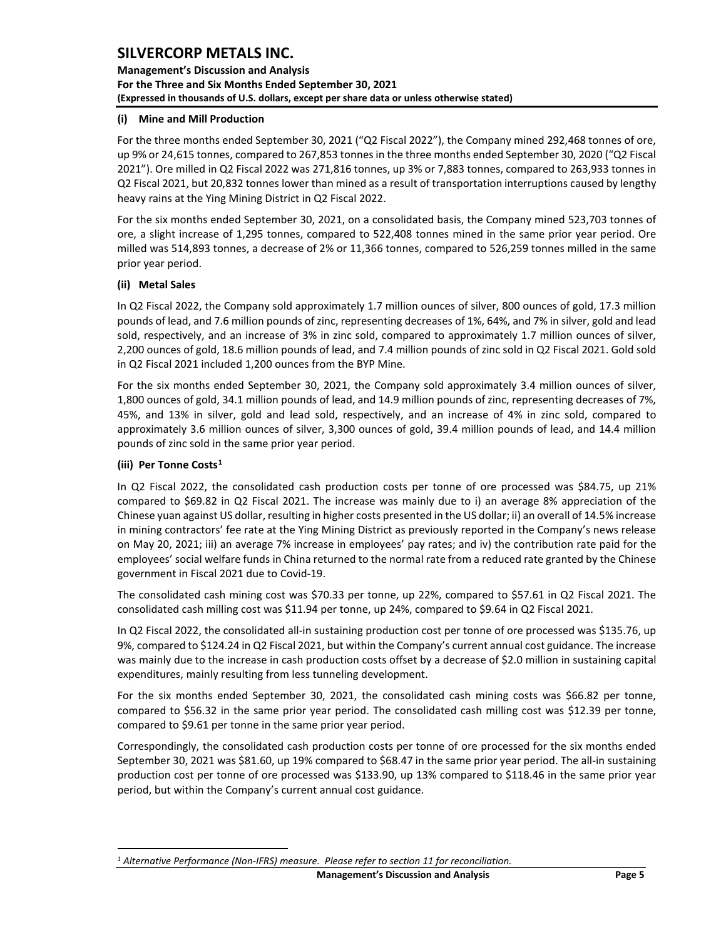**Management's Discussion and Analysis For the Three and Six Months Ended September 30, 2021 (Expressed in thousands of U.S. dollars, except per share data or unless otherwise stated)** 

### **(i) Mine and Mill Production**

For the three months ended September 30, 2021 ("Q2 Fiscal 2022"), the Company mined 292,468 tonnes of ore, up 9% or 24,615 tonnes, compared to 267,853 tonnes in the three months ended September 30, 2020 ("Q2 Fiscal 2021"). Ore milled in Q2 Fiscal 2022 was 271,816 tonnes, up 3% or 7,883 tonnes, compared to 263,933 tonnes in Q2 Fiscal 2021, but 20,832 tonnes lower than mined as a result of transportation interruptions caused by lengthy heavy rains at the Ying Mining District in Q2 Fiscal 2022.

For the six months ended September 30, 2021, on a consolidated basis, the Company mined 523,703 tonnes of ore, a slight increase of 1,295 tonnes, compared to 522,408 tonnes mined in the same prior year period. Ore milled was 514,893 tonnes, a decrease of 2% or 11,366 tonnes, compared to 526,259 tonnes milled in the same prior year period.

## **(ii) Metal Sales**

In Q2 Fiscal 2022, the Company sold approximately 1.7 million ounces of silver, 800 ounces of gold, 17.3 million pounds of lead, and 7.6 million pounds of zinc, representing decreases of 1%, 64%, and 7% in silver, gold and lead sold, respectively, and an increase of 3% in zinc sold, compared to approximately 1.7 million ounces of silver, 2,200 ounces of gold, 18.6 million pounds of lead, and 7.4 million pounds of zinc sold in Q2 Fiscal 2021. Gold sold in Q2 Fiscal 2021 included 1,200 ounces from the BYP Mine.

For the six months ended September 30, 2021, the Company sold approximately 3.4 million ounces of silver, 1,800 ounces of gold, 34.1 million pounds of lead, and 14.9 million pounds of zinc, representing decreases of 7%, 45%, and 13% in silver, gold and lead sold, respectively, and an increase of 4% in zinc sold, compared to approximately 3.6 million ounces of silver, 3,300 ounces of gold, 39.4 million pounds of lead, and 14.4 million pounds of zinc sold in the same prior year period.

## **(iii) Per Tonne Costs[1](#page-5-0)**

In Q2 Fiscal 2022, the consolidated cash production costs per tonne of ore processed was \$84.75, up 21% compared to \$69.82 in Q2 Fiscal 2021. The increase was mainly due to i) an average 8% appreciation of the Chinese yuan against US dollar, resulting in higher costs presented in the US dollar; ii) an overall of 14.5% increase in mining contractors' fee rate at the Ying Mining District as previously reported in the Company's news release on May 20, 2021; iii) an average 7% increase in employees' pay rates; and iv) the contribution rate paid for the employees' social welfare funds in China returned to the normal rate from a reduced rate granted by the Chinese government in Fiscal 2021 due to Covid-19.

The consolidated cash mining cost was \$70.33 per tonne, up 22%, compared to \$57.61 in Q2 Fiscal 2021. The consolidated cash milling cost was \$11.94 per tonne, up 24%, compared to \$9.64 in Q2 Fiscal 2021.

In Q2 Fiscal 2022, the consolidated all-in sustaining production cost per tonne of ore processed was \$135.76, up 9%, compared to \$124.24 in Q2 Fiscal 2021, but within the Company's current annual cost guidance. The increase was mainly due to the increase in cash production costs offset by a decrease of \$2.0 million in sustaining capital expenditures, mainly resulting from less tunneling development.

For the six months ended September 30, 2021, the consolidated cash mining costs was \$66.82 per tonne, compared to \$56.32 in the same prior year period. The consolidated cash milling cost was \$12.39 per tonne, compared to \$9.61 per tonne in the same prior year period.

Correspondingly, the consolidated cash production costs per tonne of ore processed for the six months ended September 30, 2021 was \$81.60, up 19% compared to \$68.47 in the same prior year period. The all-in sustaining production cost per tonne of ore processed was \$133.90, up 13% compared to \$118.46 in the same prior year period, but within the Company's current annual cost guidance.

**Management's Discussion and Analysis Community Page 5** 

<span id="page-5-0"></span>*<sup>1</sup> Alternative Performance (Non-IFRS) measure. Please refer to section 11 for reconciliation.*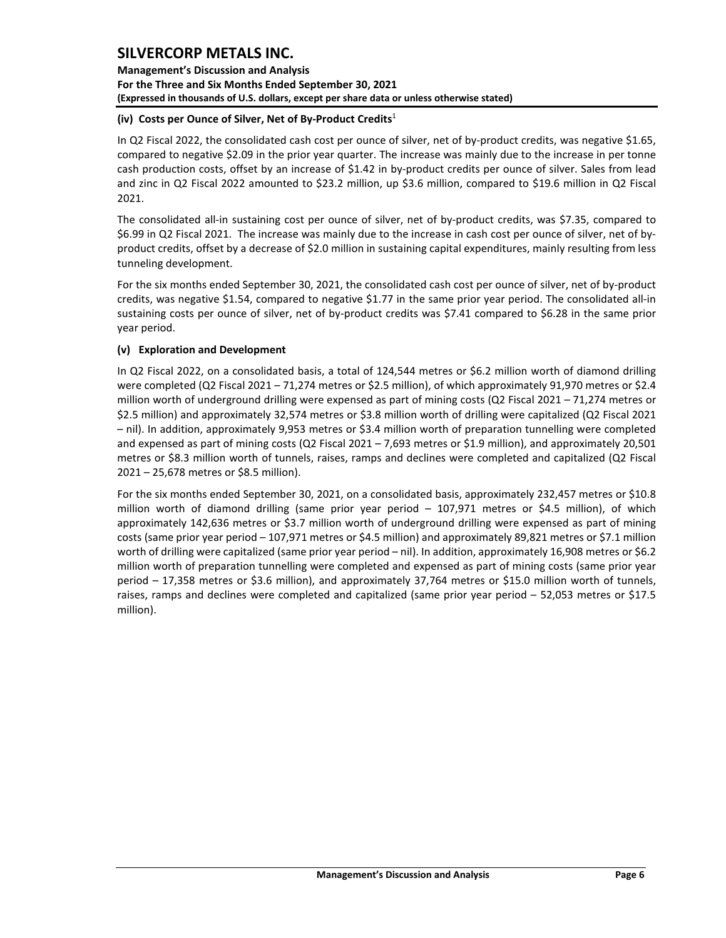**Management's Discussion and Analysis For the Three and Six Months Ended September 30, 2021 (Expressed in thousands of U.S. dollars, except per share data or unless otherwise stated)** 

### **(iv) Costs per Ounce of Silver, Net of By-Product Credits**<sup>1</sup>

In Q2 Fiscal 2022, the consolidated cash cost per ounce of silver, net of by-product credits, was negative \$1.65, compared to negative \$2.09 in the prior year quarter. The increase was mainly due to the increase in per tonne cash production costs, offset by an increase of \$1.42 in by-product credits per ounce of silver. Sales from lead and zinc in Q2 Fiscal 2022 amounted to \$23.2 million, up \$3.6 million, compared to \$19.6 million in Q2 Fiscal 2021.

The consolidated all-in sustaining cost per ounce of silver, net of by-product credits, was \$7.35, compared to \$6.99 in Q2 Fiscal 2021. The increase was mainly due to the increase in cash cost per ounce of silver, net of byproduct credits, offset by a decrease of \$2.0 million in sustaining capital expenditures, mainly resulting from less tunneling development.

For the six months ended September 30, 2021, the consolidated cash cost per ounce of silver, net of by-product credits, was negative \$1.54, compared to negative \$1.77 in the same prior year period. The consolidated all-in sustaining costs per ounce of silver, net of by-product credits was \$7.41 compared to \$6.28 in the same prior year period.

## **(v) Exploration and Development**

In Q2 Fiscal 2022, on a consolidated basis, a total of 124,544 metres or \$6.2 million worth of diamond drilling were completed (Q2 Fiscal 2021 – 71,274 metres or \$2.5 million), of which approximately 91,970 metres or \$2.4 million worth of underground drilling were expensed as part of mining costs (Q2 Fiscal 2021 – 71,274 metres or \$2.5 million) and approximately 32,574 metres or \$3.8 million worth of drilling were capitalized (Q2 Fiscal 2021 – nil). In addition, approximately 9,953 metres or \$3.4 million worth of preparation tunnelling were completed and expensed as part of mining costs (Q2 Fiscal 2021 – 7,693 metres or \$1.9 million), and approximately 20,501 metres or \$8.3 million worth of tunnels, raises, ramps and declines were completed and capitalized (Q2 Fiscal 2021 – 25,678 metres or \$8.5 million).

For the six months ended September 30, 2021, on a consolidated basis, approximately 232,457 metres or \$10.8 million worth of diamond drilling (same prior year period – 107,971 metres or \$4.5 million), of which approximately 142,636 metres or \$3.7 million worth of underground drilling were expensed as part of mining costs (same prior year period – 107,971 metres or \$4.5 million) and approximately 89,821 metres or \$7.1 million worth of drilling were capitalized (same prior year period – nil). In addition, approximately 16,908 metres or \$6.2 million worth of preparation tunnelling were completed and expensed as part of mining costs (same prior year period – 17,358 metres or \$3.6 million), and approximately 37,764 metres or \$15.0 million worth of tunnels, raises, ramps and declines were completed and capitalized (same prior year period – 52,053 metres or \$17.5 million).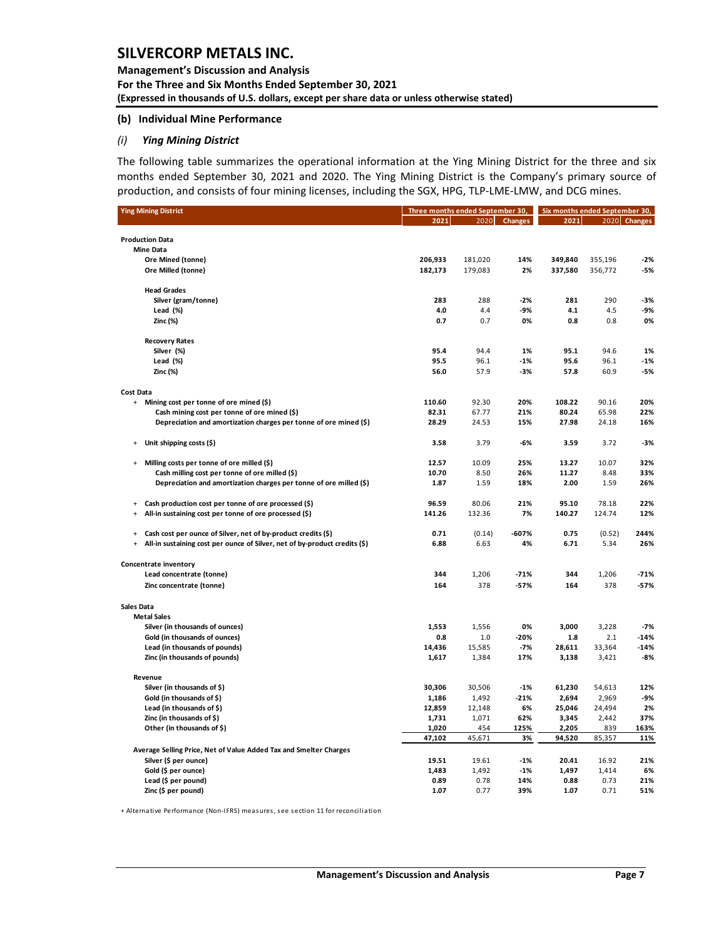### **Management's Discussion and Analysis For the Three and Six Months Ended September 30, 2021 (Expressed in thousands of U.S. dollars, except per share data or unless otherwise stated)**

#### **(b) Individual Mine Performance**

### *(i) Ying Mining District*

The following table summarizes the operational information at the Ying Mining District for the three and six months ended September 30, 2021 and 2020. The Ying Mining District is the Company's primary source of production, and consists of four mining licenses, including the SGX, HPG, TLP-LME-LMW, and DCG mines.

| <b>Ying Mining District</b>                                                              | Three months ended September 30, |         | Six months ended September 30, |         |         |              |
|------------------------------------------------------------------------------------------|----------------------------------|---------|--------------------------------|---------|---------|--------------|
|                                                                                          | 2021                             | 2020    | <b>Changes</b>                 | 2021    |         | 2020 Changes |
|                                                                                          |                                  |         |                                |         |         |              |
| <b>Production Data</b>                                                                   |                                  |         |                                |         |         |              |
| <b>Mine Data</b>                                                                         |                                  |         |                                |         |         |              |
| Ore Mined (tonne)                                                                        | 206,933                          | 181,020 | 14%                            | 349,840 | 355,196 | $-2%$        |
| Ore Milled (tonne)                                                                       | 182,173                          | 179,083 | 2%                             | 337,580 | 356,772 | -5%          |
| <b>Head Grades</b>                                                                       |                                  |         |                                |         |         |              |
| Silver (gram/tonne)                                                                      | 283                              | 288     | $-2%$                          | 281     | 290     | -3%          |
| Lead (%)                                                                                 | 4.0                              | 4.4     | -9%                            | 4.1     | 4.5     | -9%          |
| Zinc (%)                                                                                 | 0.7                              | 0.7     | 0%                             | 0.8     | 0.8     | 0%           |
| <b>Recovery Rates</b>                                                                    |                                  |         |                                |         |         |              |
| Silver (%)                                                                               | 95.4                             | 94.4    | 1%                             | 95.1    | 94.6    | 1%           |
| Lead (%)                                                                                 | 95.5                             | 96.1    | $-1%$                          | 95.6    | 96.1    | $-1%$        |
| Zinc (%)                                                                                 | 56.0                             | 57.9    | -3%                            | 57.8    | 60.9    | -5%          |
| <b>Cost Data</b>                                                                         |                                  |         |                                |         |         |              |
| $+$<br>Mining cost per tonne of ore mined (\$)                                           | 110.60                           | 92.30   | 20%                            | 108.22  | 90.16   | 20%          |
| Cash mining cost per tonne of ore mined (\$)                                             | 82.31                            | 67.77   | 21%                            | 80.24   | 65.98   | 22%          |
| Depreciation and amortization charges per tonne of ore mined (\$)                        | 28.29                            | 24.53   | 15%                            | 27.98   | 24.18   | 16%          |
| Unit shipping costs $(5)$<br>$\begin{array}{c} + \end{array}$                            | 3.58                             | 3.79    | -6%                            | 3.59    | 3.72    | -3%          |
| Milling costs per tonne of ore milled (\$)<br>$\ddot{}$                                  | 12.57                            | 10.09   | 25%                            | 13.27   | 10.07   | 32%          |
| Cash milling cost per tonne of ore milled (\$)                                           | 10.70                            | 8.50    | 26%                            | 11.27   | 8.48    | 33%          |
| Depreciation and amortization charges per tonne of ore milled (\$)                       | 1.87                             | 1.59    | 18%                            | 2.00    | 1.59    | 26%          |
|                                                                                          |                                  |         |                                |         |         |              |
| Cash production cost per tonne of ore processed (\$)<br>$\begin{array}{c} + \end{array}$ | 96.59                            | 80.06   | 21%                            | 95.10   | 78.18   | 22%          |
| All-in sustaining cost per tonne of ore processed (\$)<br>$\ddot{}$                      | 141.26                           | 132.36  | 7%                             | 140.27  | 124.74  | 12%          |
| Cash cost per ounce of Silver, net of by-product credits (\$)<br>$\ddot{}$               | 0.71                             | (0.14)  | $-607%$                        | 0.75    | (0.52)  | 244%         |
| All-in sustaining cost per ounce of Silver, net of by-product credits (\$)<br>$\ddot{}$  | 6.88                             | 6.63    | 4%                             | 6.71    | 5.34    | 26%          |
| Concentrate inventory                                                                    |                                  |         |                                |         |         |              |
| Lead concentrate (tonne)                                                                 | 344                              | 1,206   | $-71%$                         | 344     | 1,206   | $-71%$       |
| Zinc concentrate (tonne)                                                                 | 164                              | 378     | $-57%$                         | 164     | 378     | $-57%$       |
| <b>Sales Data</b>                                                                        |                                  |         |                                |         |         |              |
| <b>Metal Sales</b>                                                                       |                                  |         |                                |         |         |              |
| Silver (in thousands of ounces)                                                          | 1,553                            | 1,556   | 0%                             | 3,000   | 3,228   | $-7%$        |
| Gold (in thousands of ounces)                                                            | 0.8                              | $1.0$   | $-20%$                         | 1.8     | 2.1     | $-14%$       |
| Lead (in thousands of pounds)                                                            | 14,436                           | 15,585  | $-7%$                          | 28,611  | 33,364  | $-14%$       |
| Zinc (in thousands of pounds)                                                            | 1,617                            | 1,384   | 17%                            | 3,138   | 3,421   | $-8%$        |
| Revenue                                                                                  |                                  |         |                                |         |         |              |
| Silver (in thousands of \$)                                                              | 30,306                           | 30,506  | -1%                            | 61,230  | 54,613  | 12%          |
| Gold (in thousands of \$)                                                                | 1,186                            | 1,492   | $-21%$                         | 2,694   | 2,969   | -9%          |
| Lead (in thousands of \$)                                                                | 12,859                           | 12,148  | 6%                             | 25,046  | 24,494  | 2%           |
| Zinc (in thousands of \$)                                                                | 1,731                            | 1,071   | 62%                            | 3,345   | 2,442   | 37%          |
| Other (in thousands of \$)                                                               | 1,020                            | 454     | 125%                           | 2,205   | 839     | 163%         |
|                                                                                          | 47,102                           | 45,671  | 3%                             | 94,520  | 85,357  | 11%          |
| Average Selling Price, Net of Value Added Tax and Smelter Charges                        |                                  |         |                                |         |         |              |
| Silver (\$ per ounce)                                                                    | 19.51                            | 19.61   | $-1%$                          | 20.41   | 16.92   | 21%          |
| Gold (\$ per ounce)                                                                      | 1,483                            | 1,492   | $-1%$                          | 1,497   | 1,414   | 6%           |
| Lead (\$ per pound)                                                                      | 0.89                             | 0.78    | 14%                            | 0.88    | 0.73    | 21%          |
| Zinc (\$ per pound)                                                                      | 1.07                             | 0.77    | 39%                            | 1.07    | 0.71    | 51%          |

+ Alternative Performance (Non-IFRS) measures, see section 11 for reconciliation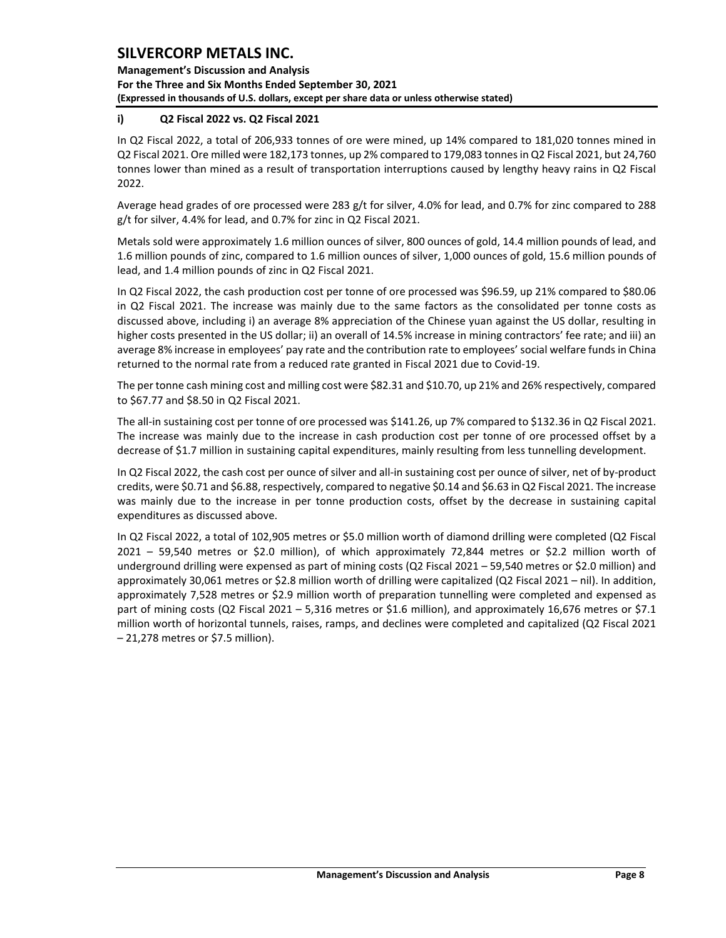**Management's Discussion and Analysis For the Three and Six Months Ended September 30, 2021 (Expressed in thousands of U.S. dollars, except per share data or unless otherwise stated)** 

## **i) Q2 Fiscal 2022 vs. Q2 Fiscal 2021**

In Q2 Fiscal 2022, a total of 206,933 tonnes of ore were mined, up 14% compared to 181,020 tonnes mined in Q2 Fiscal 2021. Ore milled were 182,173 tonnes, up 2% compared to 179,083 tonnes in Q2 Fiscal 2021, but 24,760 tonnes lower than mined as a result of transportation interruptions caused by lengthy heavy rains in Q2 Fiscal 2022.

Average head grades of ore processed were 283 g/t for silver, 4.0% for lead, and 0.7% for zinc compared to 288 g/t for silver, 4.4% for lead, and 0.7% for zinc in Q2 Fiscal 2021.

Metals sold were approximately 1.6 million ounces of silver, 800 ounces of gold, 14.4 million pounds of lead, and 1.6 million pounds of zinc, compared to 1.6 million ounces of silver, 1,000 ounces of gold, 15.6 million pounds of lead, and 1.4 million pounds of zinc in Q2 Fiscal 2021.

In Q2 Fiscal 2022, the cash production cost per tonne of ore processed was \$96.59, up 21% compared to \$80.06 in Q2 Fiscal 2021. The increase was mainly due to the same factors as the consolidated per tonne costs as discussed above, including i) an average 8% appreciation of the Chinese yuan against the US dollar, resulting in higher costs presented in the US dollar; ii) an overall of 14.5% increase in mining contractors' fee rate; and iii) an average 8% increase in employees' pay rate and the contribution rate to employees' social welfare funds in China returned to the normal rate from a reduced rate granted in Fiscal 2021 due to Covid-19.

The per tonne cash mining cost and milling cost were \$82.31 and \$10.70, up 21% and 26% respectively, compared to \$67.77 and \$8.50 in Q2 Fiscal 2021.

The all-in sustaining cost per tonne of ore processed was \$141.26, up 7% compared to \$132.36 in Q2 Fiscal 2021. The increase was mainly due to the increase in cash production cost per tonne of ore processed offset by a decrease of \$1.7 million in sustaining capital expenditures, mainly resulting from less tunnelling development.

In Q2 Fiscal 2022, the cash cost per ounce of silver and all-in sustaining cost per ounce of silver, net of by-product credits, were \$0.71 and \$6.88, respectively, compared to negative \$0.14 and \$6.63 in Q2 Fiscal 2021. The increase was mainly due to the increase in per tonne production costs, offset by the decrease in sustaining capital expenditures as discussed above.

In Q2 Fiscal 2022, a total of 102,905 metres or \$5.0 million worth of diamond drilling were completed (Q2 Fiscal 2021 – 59,540 metres or \$2.0 million), of which approximately 72,844 metres or \$2.2 million worth of underground drilling were expensed as part of mining costs (Q2 Fiscal 2021 – 59,540 metres or \$2.0 million) and approximately 30,061 metres or \$2.8 million worth of drilling were capitalized (Q2 Fiscal 2021 – nil). In addition, approximately 7,528 metres or \$2.9 million worth of preparation tunnelling were completed and expensed as part of mining costs (Q2 Fiscal 2021 – 5,316 metres or \$1.6 million), and approximately 16,676 metres or \$7.1 million worth of horizontal tunnels, raises, ramps, and declines were completed and capitalized (Q2 Fiscal 2021 – 21,278 metres or \$7.5 million).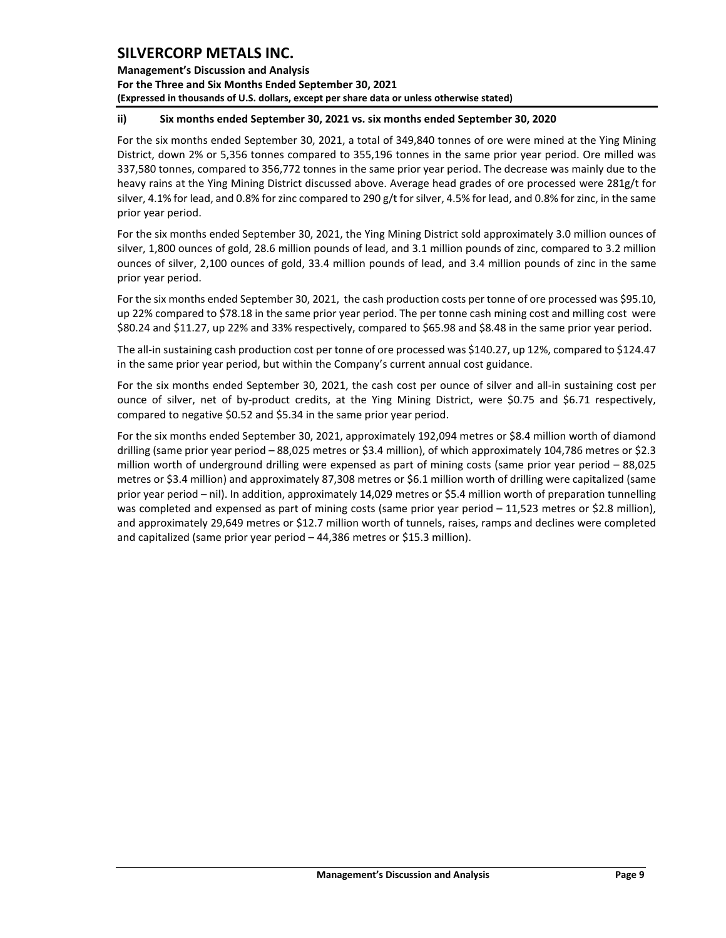**Management's Discussion and Analysis For the Three and Six Months Ended September 30, 2021 (Expressed in thousands of U.S. dollars, except per share data or unless otherwise stated)** 

### **ii) Six months ended September 30, 2021 vs. six months ended September 30, 2020**

For the six months ended September 30, 2021, a total of 349,840 tonnes of ore were mined at the Ying Mining District, down 2% or 5,356 tonnes compared to 355,196 tonnes in the same prior year period. Ore milled was 337,580 tonnes, compared to 356,772 tonnes in the same prior year period. The decrease was mainly due to the heavy rains at the Ying Mining District discussed above. Average head grades of ore processed were 281g/t for silver, 4.1% for lead, and 0.8% for zinc compared to 290 g/t for silver, 4.5% for lead, and 0.8% for zinc, in the same prior year period.

For the six months ended September 30, 2021, the Ying Mining District sold approximately 3.0 million ounces of silver, 1,800 ounces of gold, 28.6 million pounds of lead, and 3.1 million pounds of zinc, compared to 3.2 million ounces of silver, 2,100 ounces of gold, 33.4 million pounds of lead, and 3.4 million pounds of zinc in the same prior year period.

For the six months ended September 30, 2021, the cash production costs per tonne of ore processed was \$95.10, up 22% compared to \$78.18 in the same prior year period. The per tonne cash mining cost and milling cost were \$80.24 and \$11.27, up 22% and 33% respectively, compared to \$65.98 and \$8.48 in the same prior year period.

The all-in sustaining cash production cost per tonne of ore processed was \$140.27, up 12%, compared to \$124.47 in the same prior year period, but within the Company's current annual cost guidance.

For the six months ended September 30, 2021, the cash cost per ounce of silver and all-in sustaining cost per ounce of silver, net of by-product credits, at the Ying Mining District, were \$0.75 and \$6.71 respectively, compared to negative \$0.52 and \$5.34 in the same prior year period.

For the six months ended September 30, 2021, approximately 192,094 metres or \$8.4 million worth of diamond drilling (same prior year period – 88,025 metres or \$3.4 million), of which approximately 104,786 metres or \$2.3 million worth of underground drilling were expensed as part of mining costs (same prior year period – 88,025 metres or \$3.4 million) and approximately 87,308 metres or \$6.1 million worth of drilling were capitalized (same prior year period – nil). In addition, approximately 14,029 metres or \$5.4 million worth of preparation tunnelling was completed and expensed as part of mining costs (same prior year period – 11,523 metres or \$2.8 million), and approximately 29,649 metres or \$12.7 million worth of tunnels, raises, ramps and declines were completed and capitalized (same prior year period – 44,386 metres or \$15.3 million).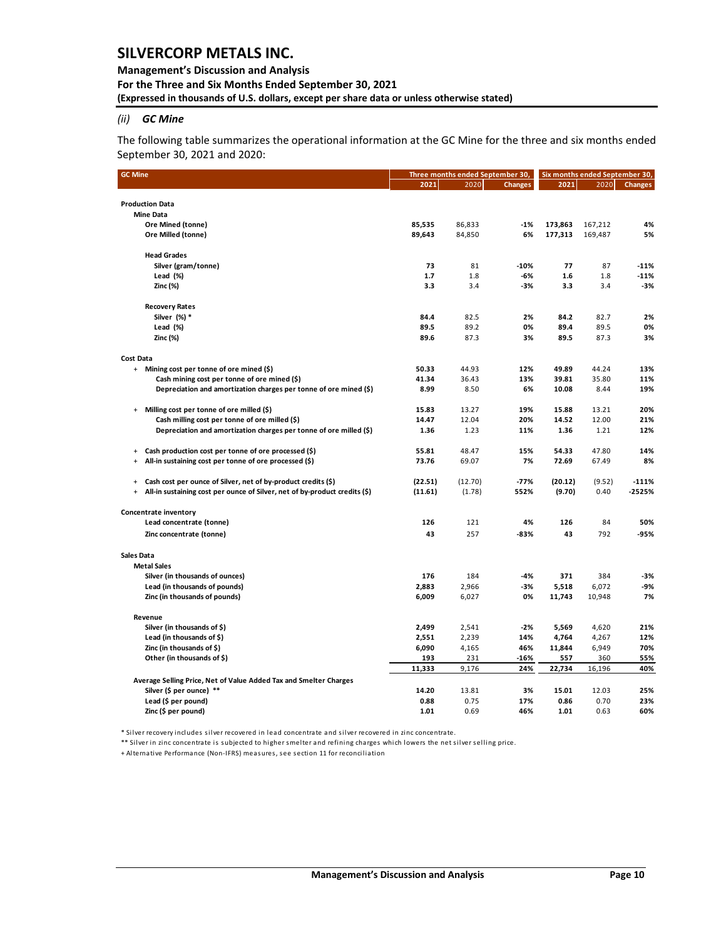### **Management's Discussion and Analysis For the Three and Six Months Ended September 30, 2021 (Expressed in thousands of U.S. dollars, except per share data or unless otherwise stated)**

## *(ii) GC Mine*

The following table summarizes the operational information at the GC Mine for the three and six months ended September 30, 2021 and 2020:

| <b>GC Mine</b>                                                                          |         | Three months ended September 30, | Six months ended September 30, |         |         |                |
|-----------------------------------------------------------------------------------------|---------|----------------------------------|--------------------------------|---------|---------|----------------|
|                                                                                         | 2021    | 2020                             | <b>Changes</b>                 | 2021    | 2020    | <b>Changes</b> |
|                                                                                         |         |                                  |                                |         |         |                |
| <b>Production Data</b>                                                                  |         |                                  |                                |         |         |                |
| <b>Mine Data</b>                                                                        |         |                                  |                                |         |         |                |
| Ore Mined (tonne)                                                                       | 85,535  | 86,833                           | $-1%$                          | 173,863 | 167,212 | 4%             |
| Ore Milled (tonne)                                                                      | 89,643  | 84,850                           | 6%                             | 177,313 | 169,487 | 5%             |
| <b>Head Grades</b>                                                                      |         |                                  |                                |         |         |                |
| Silver (gram/tonne)                                                                     | 73      | 81                               | $-10%$                         | 77      | 87      | $-11%$         |
| Lead $(\%)$                                                                             | 1.7     | 1.8                              | -6%                            | 1.6     | 1.8     | $-11%$         |
| Zinc (%)                                                                                | 3.3     | 3.4                              | -3%                            | 3.3     | 3.4     | $-3%$          |
| <b>Recovery Rates</b>                                                                   |         |                                  |                                |         |         |                |
| Silver (%) *                                                                            | 84.4    | 82.5                             | 2%                             | 84.2    | 82.7    | 2%             |
| Lead (%)                                                                                | 89.5    | 89.2                             | 0%                             | 89.4    | 89.5    | 0%             |
| Zinc (%)                                                                                | 89.6    | 87.3                             | 3%                             | 89.5    | 87.3    | 3%             |
| <b>Cost Data</b>                                                                        |         |                                  |                                |         |         |                |
| Mining cost per tonne of ore mined (\$)<br>$+$                                          | 50.33   | 44.93                            | 12%                            | 49.89   | 44.24   | 13%            |
| Cash mining cost per tonne of ore mined (\$)                                            | 41.34   | 36.43                            | 13%                            | 39.81   | 35.80   | 11%            |
| Depreciation and amortization charges per tonne of ore mined (\$)                       | 8.99    | 8.50                             | 6%                             | 10.08   | 8.44    | 19%            |
| Milling cost per tonne of ore milled (\$)<br>$\ddot{}$                                  | 15.83   | 13.27                            | 19%                            | 15.88   | 13.21   | 20%            |
| Cash milling cost per tonne of ore milled (\$)                                          | 14.47   | 12.04                            | 20%                            | 14.52   | 12.00   | 21%            |
| Depreciation and amortization charges per tonne of ore milled (\$)                      | 1.36    | 1.23                             | 11%                            | 1.36    | 1.21    | 12%            |
| Cash production cost per tonne of ore processed (\$)<br>$\ddot{}$                       | 55.81   | 48.47                            | 15%                            | 54.33   | 47.80   | 14%            |
| All-in sustaining cost per tonne of ore processed (\$)<br>$\ddot{}$                     | 73.76   | 69.07                            | 7%                             | 72.69   | 67.49   | 8%             |
| Cash cost per ounce of Silver, net of by-product credits (\$)<br>$\ddot{}$              | (22.51) | (12.70)                          | -77%                           | (20.12) | (9.52)  | $-111%$        |
| All-in sustaining cost per ounce of Silver, net of by-product credits (\$)<br>$\ddot{}$ | (11.61) | (1.78)                           | 552%                           | (9.70)  | 0.40    | $-2525%$       |
| Concentrate inventory                                                                   |         |                                  |                                |         |         |                |
| Lead concentrate (tonne)                                                                | 126     | 121                              | 4%                             | 126     | 84      | 50%            |
| Zinc concentrate (tonne)                                                                | 43      | 257                              | $-83%$                         | 43      | 792     | $-95%$         |
| <b>Sales Data</b>                                                                       |         |                                  |                                |         |         |                |
| <b>Metal Sales</b>                                                                      |         |                                  |                                |         |         |                |
| Silver (in thousands of ounces)                                                         | 176     | 184                              | $-4%$                          | 371     | 384     | $-3%$          |
| Lead (in thousands of pounds)                                                           | 2,883   | 2,966                            | $-3%$                          | 5,518   | 6,072   | -9%            |
| Zinc (in thousands of pounds)                                                           | 6,009   | 6,027                            | 0%                             | 11,743  | 10,948  | 7%             |
| Revenue                                                                                 |         |                                  |                                |         |         |                |
| Silver (in thousands of \$)                                                             | 2,499   | 2,541                            | $-2%$                          | 5,569   | 4,620   | 21%            |
| Lead (in thousands of \$)                                                               | 2,551   | 2,239                            | 14%                            | 4,764   | 4,267   | 12%            |
| Zinc (in thousands of \$)                                                               | 6,090   | 4,165                            | 46%                            | 11,844  | 6,949   | 70%            |
| Other (in thousands of \$)                                                              | 193     | 231                              | -16%                           | 557     | 360     | 55%            |
|                                                                                         | 11,333  | 9,176                            | 24%                            | 22,734  | 16,196  | 40%            |
| Average Selling Price, Net of Value Added Tax and Smelter Charges                       |         |                                  |                                |         |         |                |
| Silver (\$ per ounce) **                                                                | 14.20   | 13.81                            | 3%                             | 15.01   | 12.03   | 25%            |
| Lead (\$ per pound)                                                                     | 0.88    | 0.75                             | 17%                            | 0.86    | 0.70    | 23%            |
| Zinc (\$ per pound)                                                                     | 1.01    | 0.69                             | 46%                            | 1.01    | 0.63    | 60%            |

\* Silver recovery includes silver recovered in lead concentrate and silver recovered in zinc concentrate.

\*\* Silver in zinc concentrate is subjected to higher smelter and refining charges which lowers the net silver selling price.

+ Alternative Performance (Non-IFRS) measures, see section 11 for reconciliation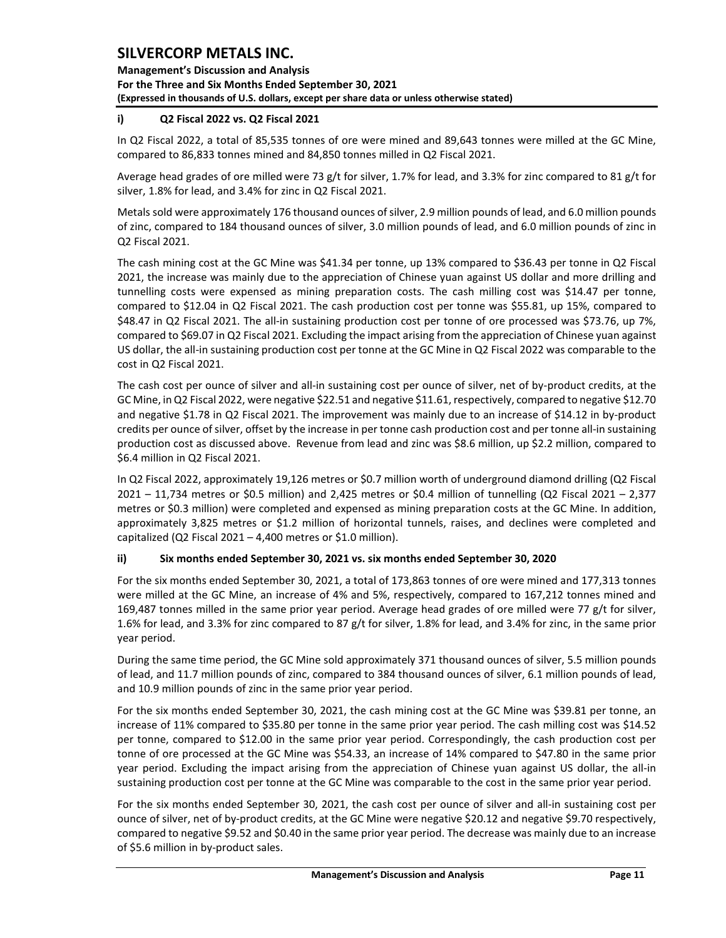**Management's Discussion and Analysis For the Three and Six Months Ended September 30, 2021 (Expressed in thousands of U.S. dollars, except per share data or unless otherwise stated)** 

## **i) Q2 Fiscal 2022 vs. Q2 Fiscal 2021**

In Q2 Fiscal 2022, a total of 85,535 tonnes of ore were mined and 89,643 tonnes were milled at the GC Mine, compared to 86,833 tonnes mined and 84,850 tonnes milled in Q2 Fiscal 2021.

Average head grades of ore milled were 73 g/t for silver, 1.7% for lead, and 3.3% for zinc compared to 81 g/t for silver, 1.8% for lead, and 3.4% for zinc in Q2 Fiscal 2021.

Metals sold were approximately 176 thousand ounces of silver, 2.9 million pounds of lead, and 6.0 million pounds of zinc, compared to 184 thousand ounces of silver, 3.0 million pounds of lead, and 6.0 million pounds of zinc in Q2 Fiscal 2021.

The cash mining cost at the GC Mine was \$41.34 per tonne, up 13% compared to \$36.43 per tonne in Q2 Fiscal 2021, the increase was mainly due to the appreciation of Chinese yuan against US dollar and more drilling and tunnelling costs were expensed as mining preparation costs. The cash milling cost was \$14.47 per tonne, compared to \$12.04 in Q2 Fiscal 2021. The cash production cost per tonne was \$55.81, up 15%, compared to \$48.47 in Q2 Fiscal 2021. The all-in sustaining production cost per tonne of ore processed was \$73.76, up 7%, compared to \$69.07 in Q2 Fiscal 2021. Excluding the impact arising from the appreciation of Chinese yuan against US dollar, the all-in sustaining production cost per tonne at the GC Mine in Q2 Fiscal 2022 was comparable to the cost in Q2 Fiscal 2021.

The cash cost per ounce of silver and all-in sustaining cost per ounce of silver, net of by-product credits, at the GC Mine, in Q2 Fiscal 2022, were negative \$22.51 and negative \$11.61, respectively, compared to negative \$12.70 and negative \$1.78 in Q2 Fiscal 2021. The improvement was mainly due to an increase of \$14.12 in by-product credits per ounce of silver, offset by the increase in per tonne cash production cost and per tonne all-in sustaining production cost as discussed above. Revenue from lead and zinc was \$8.6 million, up \$2.2 million, compared to \$6.4 million in Q2 Fiscal 2021.

In Q2 Fiscal 2022, approximately 19,126 metres or \$0.7 million worth of underground diamond drilling (Q2 Fiscal 2021 – 11,734 metres or \$0.5 million) and 2,425 metres or \$0.4 million of tunnelling (Q2 Fiscal 2021 – 2,377 metres or \$0.3 million) were completed and expensed as mining preparation costs at the GC Mine. In addition, approximately 3,825 metres or \$1.2 million of horizontal tunnels, raises, and declines were completed and capitalized (Q2 Fiscal 2021 – 4,400 metres or \$1.0 million).

## **ii) Six months ended September 30, 2021 vs. six months ended September 30, 2020**

For the six months ended September 30, 2021, a total of 173,863 tonnes of ore were mined and 177,313 tonnes were milled at the GC Mine, an increase of 4% and 5%, respectively, compared to 167,212 tonnes mined and 169,487 tonnes milled in the same prior year period. Average head grades of ore milled were 77 g/t for silver, 1.6% for lead, and 3.3% for zinc compared to 87 g/t for silver, 1.8% for lead, and 3.4% for zinc, in the same prior year period.

During the same time period, the GC Mine sold approximately 371 thousand ounces of silver, 5.5 million pounds of lead, and 11.7 million pounds of zinc, compared to 384 thousand ounces of silver, 6.1 million pounds of lead, and 10.9 million pounds of zinc in the same prior year period.

For the six months ended September 30, 2021, the cash mining cost at the GC Mine was \$39.81 per tonne, an increase of 11% compared to \$35.80 per tonne in the same prior year period. The cash milling cost was \$14.52 per tonne, compared to \$12.00 in the same prior year period. Correspondingly, the cash production cost per tonne of ore processed at the GC Mine was \$54.33, an increase of 14% compared to \$47.80 in the same prior year period. Excluding the impact arising from the appreciation of Chinese yuan against US dollar, the all-in sustaining production cost per tonne at the GC Mine was comparable to the cost in the same prior year period.

For the six months ended September 30, 2021, the cash cost per ounce of silver and all-in sustaining cost per ounce of silver, net of by-product credits, at the GC Mine were negative \$20.12 and negative \$9.70 respectively, compared to negative \$9.52 and \$0.40 in the same prior year period. The decrease was mainly due to an increase of \$5.6 million in by-product sales.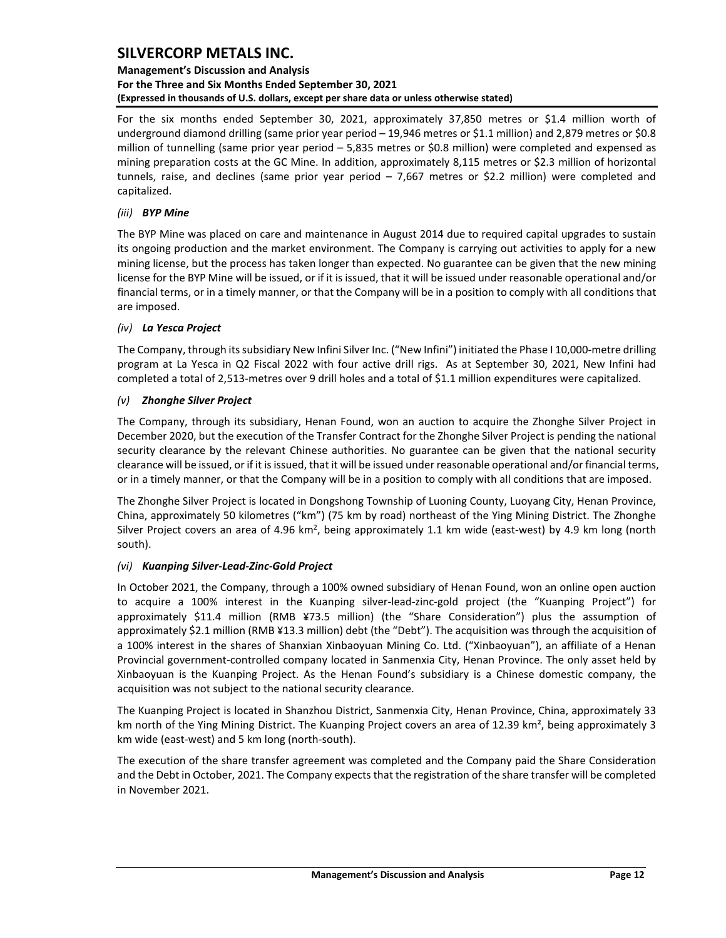## **Management's Discussion and Analysis For the Three and Six Months Ended September 30, 2021 (Expressed in thousands of U.S. dollars, except per share data or unless otherwise stated)**

For the six months ended September 30, 2021, approximately 37,850 metres or \$1.4 million worth of underground diamond drilling (same prior year period – 19,946 metres or \$1.1 million) and 2,879 metres or \$0.8 million of tunnelling (same prior year period – 5,835 metres or \$0.8 million) were completed and expensed as mining preparation costs at the GC Mine. In addition, approximately 8,115 metres or \$2.3 million of horizontal tunnels, raise, and declines (same prior year period – 7,667 metres or \$2.2 million) were completed and capitalized.

### *(iii) BYP Mine*

The BYP Mine was placed on care and maintenance in August 2014 due to required capital upgrades to sustain its ongoing production and the market environment. The Company is carrying out activities to apply for a new mining license, but the process has taken longer than expected. No guarantee can be given that the new mining license for the BYP Mine will be issued, or if it is issued, that it will be issued under reasonable operational and/or financial terms, or in a timely manner, or that the Company will be in a position to comply with all conditions that are imposed.

## *(iv) La Yesca Project*

The Company, through its subsidiary New Infini Silver Inc. ("New Infini") initiated the Phase I 10,000-metre drilling program at La Yesca in Q2 Fiscal 2022 with four active drill rigs. As at September 30, 2021, New Infini had completed a total of 2,513-metres over 9 drill holes and a total of \$1.1 million expenditures were capitalized.

## *(v) Zhonghe Silver Project*

The Company, through its subsidiary, Henan Found, won an auction to acquire the Zhonghe Silver Project in December 2020, but the execution of the Transfer Contract for the Zhonghe Silver Project is pending the national security clearance by the relevant Chinese authorities. No guarantee can be given that the national security clearance will be issued, or if it is issued, that it will be issued under reasonable operational and/or financial terms, or in a timely manner, or that the Company will be in a position to comply with all conditions that are imposed.

The Zhonghe Silver Project is located in Dongshong Township of Luoning County, Luoyang City, Henan Province, China, approximately 50 kilometres ("km") (75 km by road) northeast of the Ying Mining District. The Zhonghe Silver Project covers an area of 4.96 km<sup>2</sup>, being approximately 1.1 km wide (east-west) by 4.9 km long (north south).

### *(vi) Kuanping Silver-Lead-Zinc-Gold Project*

In October 2021, the Company, through a 100% owned subsidiary of Henan Found, won an online open auction to acquire a 100% interest in the Kuanping silver-lead-zinc-gold project (the "Kuanping Project") for approximately \$11.4 million (RMB ¥73.5 million) (the "Share Consideration") plus the assumption of approximately \$2.1 million (RMB ¥13.3 million) debt (the "Debt"). The acquisition was through the acquisition of a 100% interest in the shares of Shanxian Xinbaoyuan Mining Co. Ltd. ("Xinbaoyuan"), an affiliate of a Henan Provincial government-controlled company located in Sanmenxia City, Henan Province. The only asset held by Xinbaoyuan is the Kuanping Project. As the Henan Found's subsidiary is a Chinese domestic company, the acquisition was not subject to the national security clearance.

The Kuanping Project is located in Shanzhou District, Sanmenxia City, Henan Province, China, approximately 33 km north of the Ying Mining District. The Kuanping Project covers an area of 12.39 km², being approximately 3 km wide (east-west) and 5 km long (north-south).

The execution of the share transfer agreement was completed and the Company paid the Share Consideration and the Debt in October, 2021. The Company expects that the registration of the share transfer will be completed in November 2021.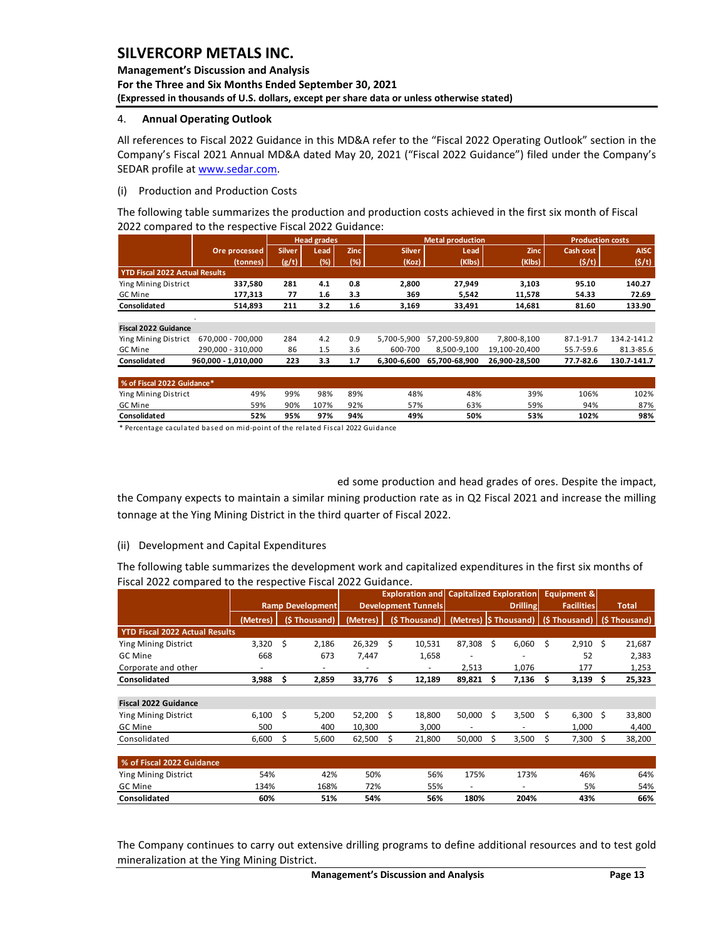### **Management's Discussion and Analysis For the Three and Six Months Ended September 30, 2021 (Expressed in thousands of U.S. dollars, except per share data or unless otherwise stated)**

### <span id="page-13-0"></span>4. **Annual Operating Outlook**

All references to Fiscal 2022 Guidance in this MD&A refer to the "Fiscal 2022 Operating Outlook" section in the Company's Fiscal 2021 Annual MD&A dated May 20, 2021 ("Fiscal 2022 Guidance") filed under the Company's SEDAR profile a[t www.sedar.com.](http://www.sedar.com/)

### (i) Production and Production Costs

The following table summarizes the production and production costs achieved in the first six month of Fiscal 2022 compared to the respective Fiscal 2022 Guidance:

|                                       |                     |               | <b>Head grades</b> |             |               | <b>Metal production</b> |               | <b>Production costs</b> |             |
|---------------------------------------|---------------------|---------------|--------------------|-------------|---------------|-------------------------|---------------|-------------------------|-------------|
|                                       | Ore processed       | <b>Silver</b> | Lead               | <b>Zinc</b> | <b>Silver</b> | Lead                    | <b>Zinc</b>   | Cash cost               | <b>AISC</b> |
|                                       | (tonnes)            | (g/t)         | (%)                | (%)         | (Koz)         | (Klbs)                  | (Klbs)        | (5/t)                   | (5/t)       |
| <b>YTD Fiscal 2022 Actual Results</b> |                     |               |                    |             |               |                         |               |                         |             |
| Ying Mining District                  | 337,580             | 281           | 4.1                | 0.8         | 2,800         | 27,949                  | 3,103         | 95.10                   | 140.27      |
| GC Mine                               | 177,313             | 77            | 1.6                | 3.3         | 369           | 5,542                   | 11,578        | 54.33                   | 72.69       |
| Consolidated                          | 514,893             | 211           | 3.2                | 1.6         | 3,169         | 33,491                  | 14,681        | 81.60                   | 133.90      |
|                                       |                     |               |                    |             |               |                         |               |                         |             |
| <b>Fiscal 2022 Guidance</b>           |                     |               |                    |             |               |                         |               |                         |             |
| Ying Mining District                  | 670.000 - 700.000   | 284           | 4.2                | 0.9         | 5.700-5.900   | 57.200-59.800           | 7.800-8.100   | 87.1-91.7               | 134.2-141.2 |
| GC Mine                               | 290.000 - 310.000   | 86            | 1.5                | 3.6         | 600-700       | 8.500-9.100             | 19.100-20.400 | 55.7-59.6               | 81.3-85.6   |
| Consolidated                          | 960,000 - 1,010,000 | 223           | 3.3                | 1.7         | 6,300-6,600   | 65,700-68,900           | 26,900-28,500 | 77.7-82.6               | 130.7-141.7 |
|                                       |                     |               |                    |             |               |                         |               |                         |             |
| % of Fiscal 2022 Guidance*            |                     |               |                    |             |               |                         |               |                         |             |

Ying Mining District 49% 99% 98% 89% 48% 48% 39% 106% 102% GC Mine 59% 90% 107% 92% 57% 63% 59% 94% 87%

| Consolidated                                                                  | 52% | 95% | 97% | 94% | 49% | 50% | 53% | 102% | 98% |
|-------------------------------------------------------------------------------|-----|-----|-----|-----|-----|-----|-----|------|-----|
| * Percentage caculated based on mid-point of the related Fiscal 2022 Guidance |     |     |     |     |     |     |     |      |     |

ed some production and head grades of ores. Despite the impact,

the Company expects to maintain a similar mining production rate as in Q2 Fiscal 2021 and increase the milling tonnage at the Ying Mining District in the third quarter of Fiscal 2022.

### (ii) Development and Capital Expenditures

The following table summarizes the development work and capitalized expenditures in the first six months of Fiscal 2022 compared to the respective Fiscal 2022 Guidance.

|                                       |                         |                            | <b>Exploration and</b> |    |                 | <b>Capitalized Exploration</b> |    |                   |    | Equipment &  |              |              |
|---------------------------------------|-------------------------|----------------------------|------------------------|----|-----------------|--------------------------------|----|-------------------|----|--------------|--------------|--------------|
|                                       | <b>Ramp Development</b> | <b>Development Tunnels</b> |                        |    | <b>Drilling</b> |                                |    | <b>Facilities</b> |    |              | <b>Total</b> |              |
|                                       | (Metres)                | (\$ Thousand)              | (Metres)               |    | (\$Thousand)    | (Metres) S Thousand)           |    |                   |    | (\$Thousand) |              | (\$Thousand) |
| <b>YTD Fiscal 2022 Actual Results</b> |                         |                            |                        |    |                 |                                |    |                   |    |              |              |              |
| Ying Mining District                  | 3,320                   | Ś<br>2,186                 | 26,329                 | Ŝ. | 10,531          | 87,308                         | Ś. | 6,060             | Ś  | 2,910        | Ŝ.           | 21,687       |
| <b>GC Mine</b>                        | 668                     | 673                        | 7,447                  |    | 1,658           |                                |    |                   |    | 52           |              | 2,383        |
| Corporate and other                   |                         |                            |                        |    | ٠               | 2,513                          |    | 1,076             |    | 177          |              | 1,253        |
| Consolidated                          | 3,988                   | 2,859<br>S                 | 33,776                 | Ŝ  | 12,189          | 89,821                         | s  | 7,136             | \$ | 3,139        | S            | 25,323       |
|                                       |                         |                            |                        |    |                 |                                |    |                   |    |              |              |              |
| <b>Fiscal 2022 Guidance</b>           |                         |                            |                        |    |                 |                                |    |                   |    |              |              |              |
| Ying Mining District                  | 6,100                   | Ś<br>5,200                 | 52,200                 | -Ś | 18,800          | 50,000                         | Ś  | 3,500             | Ś. | 6,300        | Ŝ            | 33,800       |
| GC Mine                               | 500                     | 400                        | 10.300                 |    | 3,000           | ۰                              |    |                   |    | 1,000        |              | 4,400        |
| Consolidated                          | 6,600                   | \$<br>5,600                | 62,500                 | Ŝ. | 21,800          | 50,000                         | Ś  | 3,500             | Ś  | 7,300        | S            | 38,200       |
|                                       |                         |                            |                        |    |                 |                                |    |                   |    |              |              |              |
| % of Fiscal 2022 Guidance             |                         |                            |                        |    |                 |                                |    |                   |    |              |              |              |
| <b>Ying Mining District</b>           | 54%                     | 42%                        | 50%                    |    | 56%             | 175%                           |    | 173%              |    | 46%          |              | 64%          |
| <b>GC Mine</b>                        | 134%                    | 168%                       | 72%                    |    | 55%             | ۰                              |    | ٠                 |    | 5%           |              | 54%          |
| Consolidated                          | 60%                     | 51%                        | 54%                    |    | 56%             | 180%                           |    | 204%              |    | 43%          |              | 66%          |

The Company continues to carry out extensive drilling programs to define additional resources and to test gold mineralization at the Ying Mining District.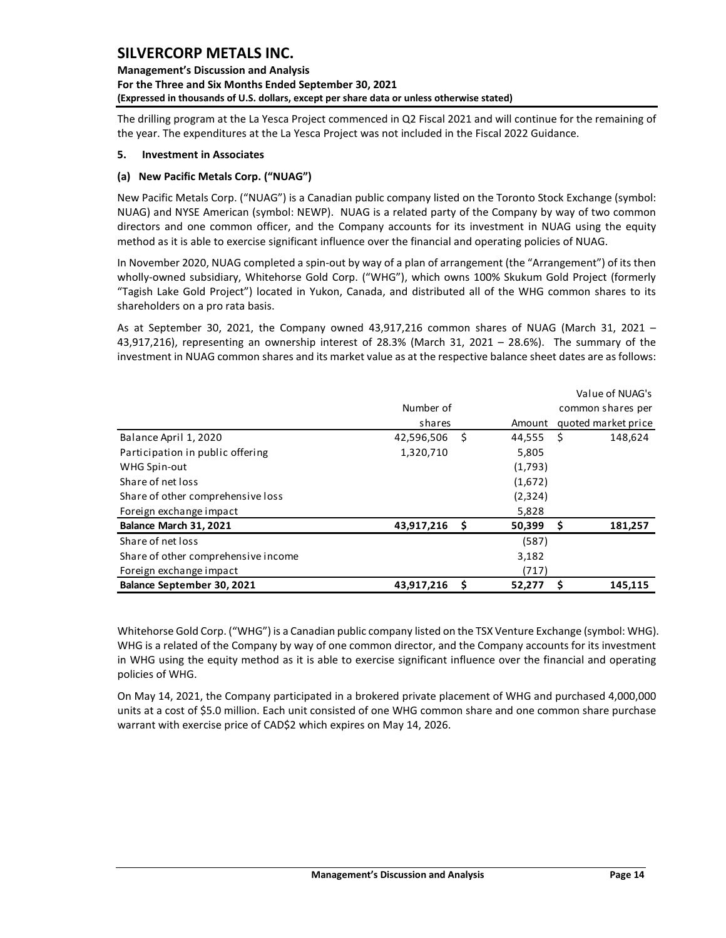**Management's Discussion and Analysis For the Three and Six Months Ended September 30, 2021 (Expressed in thousands of U.S. dollars, except per share data or unless otherwise stated)** 

The drilling program at the La Yesca Project commenced in Q2 Fiscal 2021 and will continue for the remaining of the year. The expenditures at the La Yesca Project was not included in the Fiscal 2022 Guidance.

### <span id="page-14-0"></span>**5. Investment in Associates**

### **(a) New Pacific Metals Corp. ("NUAG")**

New Pacific Metals Corp. ("NUAG") is a Canadian public company listed on the Toronto Stock Exchange (symbol: NUAG) and NYSE American (symbol: NEWP). NUAG is a related party of the Company by way of two common directors and one common officer, and the Company accounts for its investment in NUAG using the equity method as it is able to exercise significant influence over the financial and operating policies of NUAG.

In November 2020, NUAG completed a spin-out by way of a plan of arrangement (the "Arrangement") of its then wholly-owned subsidiary, Whitehorse Gold Corp. ("WHG"), which owns 100% Skukum Gold Project (formerly "Tagish Lake Gold Project") located in Yukon, Canada, and distributed all of the WHG common shares to its shareholders on a pro rata basis.

As at September 30, 2021, the Company owned 43,917,216 common shares of NUAG (March 31, 2021 – 43,917,216), representing an ownership interest of 28.3% (March 31, 2021 – 28.6%). The summary of the investment in NUAG common shares and its market value as at the respective balance sheet dates are as follows:

|                                     |            |      |         | Value of NUAG's     |  |
|-------------------------------------|------------|------|---------|---------------------|--|
|                                     | Number of  |      |         | common shares per   |  |
|                                     | shares     |      | Amount  | quoted market price |  |
| Balance April 1, 2020               | 42,596,506 | - \$ | 44,555  | Ŝ.<br>148,624       |  |
| Participation in public offering    | 1,320,710  |      | 5,805   |                     |  |
| WHG Spin-out                        |            |      | (1,793) |                     |  |
| Share of net loss                   |            |      | (1,672) |                     |  |
| Share of other comprehensive loss   |            |      | (2,324) |                     |  |
| Foreign exchange impact             |            |      | 5,828   |                     |  |
| Balance March 31, 2021              | 43,917,216 | - \$ | 50,399  | 181,257<br>S        |  |
| Share of net loss                   |            |      | (587)   |                     |  |
| Share of other comprehensive income |            |      | 3,182   |                     |  |
| Foreign exchange impact             |            |      | (717)   |                     |  |
| Balance September 30, 2021          | 43,917,216 | \$.  | 52,277  | 145,115             |  |

Whitehorse Gold Corp. ("WHG") is a Canadian public company listed on the TSX Venture Exchange (symbol: WHG). WHG is a related of the Company by way of one common director, and the Company accounts for its investment in WHG using the equity method as it is able to exercise significant influence over the financial and operating policies of WHG.

On May 14, 2021, the Company participated in a brokered private placement of WHG and purchased 4,000,000 units at a cost of \$5.0 million. Each unit consisted of one WHG common share and one common share purchase warrant with exercise price of CAD\$2 which expires on May 14, 2026.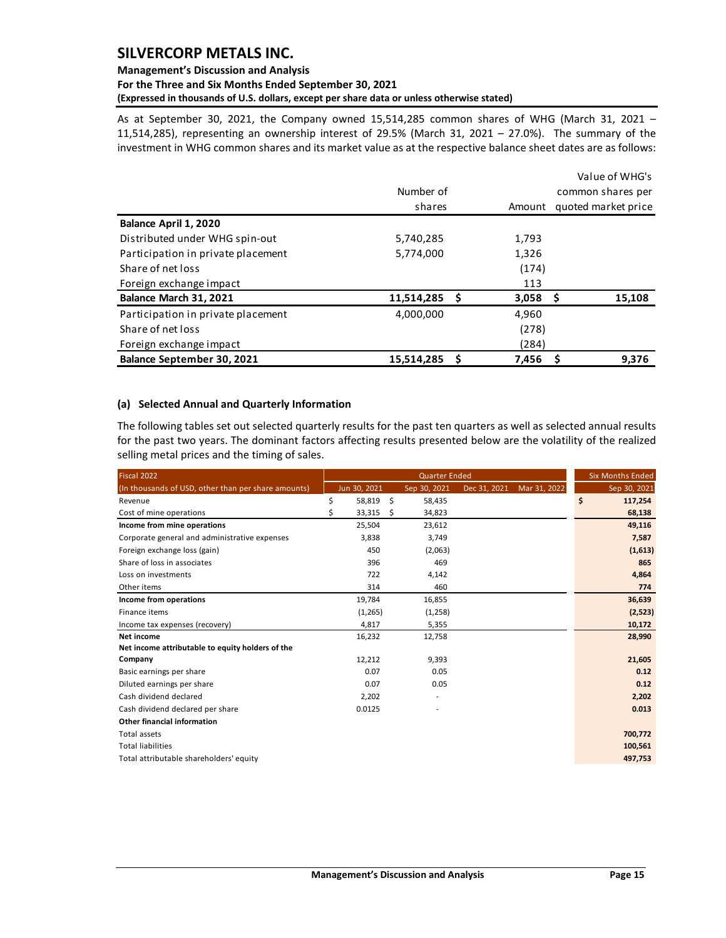# **Management's Discussion and Analysis For the Three and Six Months Ended September 30, 2021**

**(Expressed in thousands of U.S. dollars, except per share data or unless otherwise stated)** 

As at September 30, 2021, the Company owned 15,514,285 common shares of WHG (March 31, 2021 – 11,514,285), representing an ownership interest of 29.5% (March 31, 2021 – 27.0%). The summary of the investment in WHG common shares and its market value as at the respective balance sheet dates are as follows:

|                                    |                 |        | Value of WHG's      |
|------------------------------------|-----------------|--------|---------------------|
|                                    | Number of       |        | common shares per   |
|                                    | shares          | Amount | quoted market price |
| Balance April 1, 2020              |                 |        |                     |
| Distributed under WHG spin-out     | 5,740,285       | 1,793  |                     |
| Participation in private placement | 5,774,000       | 1,326  |                     |
| Share of net loss                  |                 | (174)  |                     |
| Foreign exchange impact            |                 | 113    |                     |
| Balance March 31, 2021             | 11,514,285<br>S | 3,058  | 15,108              |
| Participation in private placement | 4,000,000       | 4,960  |                     |
| Share of net loss                  |                 | (278)  |                     |
| Foreign exchange impact            |                 | (284)  |                     |
| Balance September 30, 2021         | 15,514,285<br>S | 7,456  | 9,376               |

## <span id="page-15-0"></span>**(a) Selected Annual and Quarterly Information**

The following tables set out selected quarterly results for the past ten quarters as well as selected annual results for the past two years. The dominant factors affecting results presented below are the volatility of the realized selling metal prices and the timing of sales.

| Fiscal 2022                                         |    |              | <b>Quarter Ended</b>     |              |              | <b>Six Months Ended</b> |
|-----------------------------------------------------|----|--------------|--------------------------|--------------|--------------|-------------------------|
| (In thousands of USD, other than per share amounts) |    | Jun 30, 2021 | Sep 30, 2021             | Dec 31, 2021 | Mar 31, 2022 | Sep 30, 2021            |
| Revenue                                             | \$ | 58,819       | \$<br>58,435             |              |              | \$<br>117,254           |
| Cost of mine operations                             | Ś  | 33,315       | \$<br>34,823             |              |              | 68,138                  |
| Income from mine operations                         |    | 25,504       | 23,612                   |              |              | 49,116                  |
| Corporate general and administrative expenses       |    | 3,838        | 3,749                    |              |              | 7,587                   |
| Foreign exchange loss (gain)                        |    | 450          | (2,063)                  |              |              | (1,613)                 |
| Share of loss in associates                         |    | 396          | 469                      |              |              | 865                     |
| Loss on investments                                 |    | 722          | 4,142                    |              |              | 4,864                   |
| Other items                                         |    | 314          | 460                      |              |              | 774                     |
| Income from operations                              |    | 19,784       | 16,855                   |              |              | 36,639                  |
| Finance items                                       |    | (1, 265)     | (1, 258)                 |              |              | (2,523)                 |
| Income tax expenses (recovery)                      |    | 4,817        | 5,355                    |              |              | 10,172                  |
| Net income                                          |    | 16,232       | 12,758                   |              |              | 28,990                  |
| Net income attributable to equity holders of the    |    |              |                          |              |              |                         |
| Company                                             |    | 12,212       | 9,393                    |              |              | 21,605                  |
| Basic earnings per share                            |    | 0.07         | 0.05                     |              |              | 0.12                    |
| Diluted earnings per share                          |    | 0.07         | 0.05                     |              |              | 0.12                    |
| Cash dividend declared                              |    | 2,202        | $\overline{\phantom{a}}$ |              |              | 2,202                   |
| Cash dividend declared per share                    |    | 0.0125       |                          |              |              | 0.013                   |
| <b>Other financial information</b>                  |    |              |                          |              |              |                         |
| Total assets                                        |    |              |                          |              |              | 700,772                 |
| <b>Total liabilities</b>                            |    |              |                          |              |              | 100,561                 |
| Total attributable shareholders' equity             |    |              |                          |              |              | 497,753                 |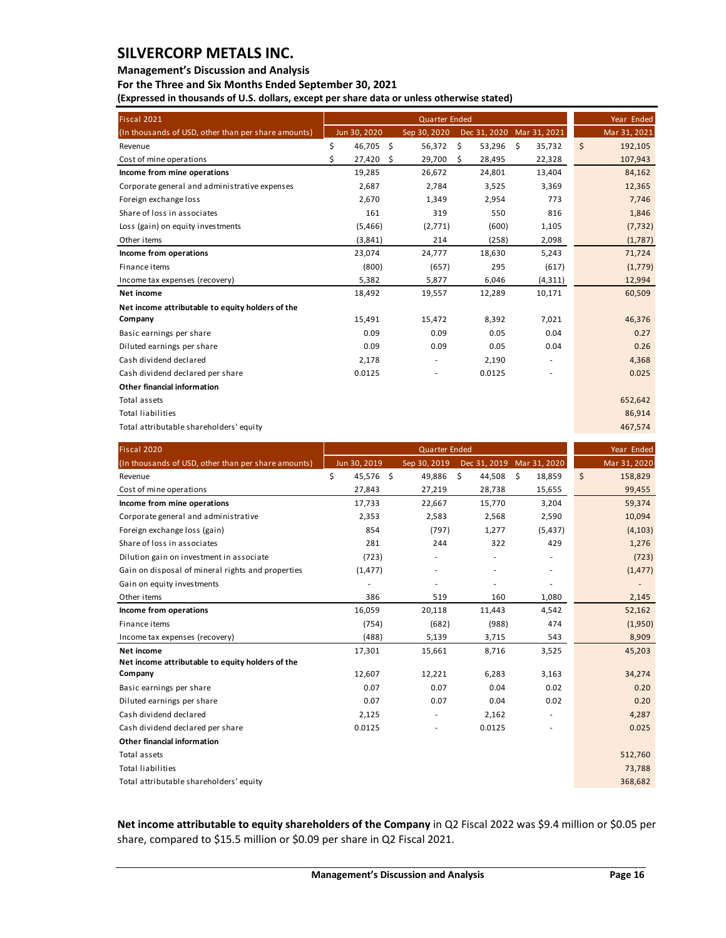### **Management's Discussion and Analysis**

**For the Three and Six Months Ended September 30, 2021**

**(Expressed in thousands of U.S. dollars, except per share data or unless otherwise stated)** 

| Fiscal 2021                                         |                 | <b>Quarter Ended</b> |    |                           |    |              | Year Ended    |
|-----------------------------------------------------|-----------------|----------------------|----|---------------------------|----|--------------|---------------|
| (In thousands of USD, other than per share amounts) | Jun 30, 2020    | Sep 30, 2020         |    | Dec 31, 2020 Mar 31, 2021 |    |              | Mar 31, 2021  |
| Revenue                                             | \$<br>46,705 \$ | 56,372               | \$ | 53,296                    | \$ | 35,732       | \$<br>192,105 |
| Cost of mine operations                             | \$<br>27,420    | \$<br>29,700         | Ŝ. | 28,495                    |    | 22,328       | 107,943       |
| Income from mine operations                         | 19,285          | 26.672               |    | 24,801                    |    | 13.404       | 84,162        |
| Corporate general and administrative expenses       | 2,687           | 2,784                |    | 3,525                     |    | 3,369        | 12,365        |
| Foreign exchange loss                               | 2,670           | 1,349                |    | 2,954                     |    | 773          | 7,746         |
| Share of loss in associates                         | 161             | 319                  |    | 550                       |    | 816          | 1,846         |
| Loss (gain) on equity investments                   | (5,466)         | (2,771)              |    | (600)                     |    | 1,105        | (7, 732)      |
| Other items                                         | (3,841)         | 214                  |    | (258)                     |    | 2,098        | (1,787)       |
| Income from operations                              | 23,074          | 24,777               |    | 18,630                    |    | 5,243        | 71,724        |
| Finance items                                       | (800)           | (657)                |    | 295                       |    | (617)        | (1,779)       |
| Income tax expenses (recovery)                      | 5,382           | 5,877                |    | 6,046                     |    | (4, 311)     | 12,994        |
| Net income                                          | 18,492          | 19,557               |    | 12,289                    |    | 10,171       | 60,509        |
| Net income attributable to equity holders of the    |                 |                      |    |                           |    |              |               |
| Company                                             | 15,491          | 15,472               |    | 8,392                     |    | 7,021        | 46,376        |
| Basic earnings per share                            | 0.09            | 0.09                 |    | 0.05                      |    | 0.04         | 0.27          |
| Diluted earnings per share                          | 0.09            | 0.09                 |    | 0.05                      |    | 0.04         | 0.26          |
| Cash dividend declared                              | 2,178           |                      |    | 2,190                     |    |              | 4,368         |
| Cash dividend declared per share                    | 0.0125          |                      |    | 0.0125                    |    |              | 0.025         |
| Other financial information                         |                 |                      |    |                           |    |              |               |
| Total assets                                        |                 |                      |    |                           |    |              | 652,642       |
| <b>Total liabilities</b>                            |                 |                      |    |                           |    |              | 86,914        |
| Total attributable shareholders' equity             |                 |                      |    |                           |    |              | 467,574       |
|                                                     |                 |                      |    |                           |    |              |               |
| Fiscal 2020                                         |                 | <b>Quarter Ended</b> |    |                           |    |              | Year Ended    |
| (In thousands of USD, other than per share amounts) | Jun 30, 2019    | Sep 30, 2019         |    | Dec 31, 2019              |    | Mar 31, 2020 | Mar 31, 2020  |
| Revenue                                             | \$<br>45,576 \$ | 49.886               | Ŝ. | 44,508                    | Ŝ. | 18,859       | \$<br>158,829 |
| Cost of mine operations                             | 27,843          | 27,219               |    | 28,738                    |    | 15,655       | 99,455        |

| Cost of mine operations                           | 27,843   | 27,219                   | 28,738         | 15,655                   | 99,455   |
|---------------------------------------------------|----------|--------------------------|----------------|--------------------------|----------|
| Income from mine operations                       | 17,733   | 22,667                   | 15,770         | 3,204                    | 59,374   |
| Corporate general and administrative              | 2,353    | 2,583                    | 2,568          | 2,590                    | 10,094   |
| Foreign exchange loss (gain)                      | 854      | (797)                    | 1,277          | (5, 437)                 | (4, 103) |
| Share of loss in associates                       | 281      | 244                      | 322            | 429                      | 1,276    |
| Dilution gain on investment in associate          | (723)    | ٠                        |                | $\overline{\phantom{a}}$ | (723)    |
| Gain on disposal of mineral rights and properties | (1, 477) | $\overline{\phantom{a}}$ | $\overline{a}$ | $\overline{\phantom{a}}$ | (1, 477) |
| Gain on equity investments                        |          |                          |                | $\overline{a}$           |          |
| Other items                                       | 386      | 519                      | 160            | 1,080                    | 2,145    |
| Income from operations                            | 16,059   | 20,118                   | 11,443         | 4,542                    | 52,162   |
| Finance items                                     | (754)    | (682)                    | (988)          | 474                      | (1,950)  |
| Income tax expenses (recovery)                    | (488)    | 5,139                    | 3,715          | 543                      | 8,909    |
| Net income                                        | 17,301   | 15,661                   | 8,716          | 3,525                    | 45,203   |
| Net income attributable to equity holders of the  |          |                          |                |                          |          |
| Company                                           | 12,607   | 12,221                   | 6,283          | 3,163                    | 34,274   |
| Basic earnings per share                          | 0.07     | 0.07                     | 0.04           | 0.02                     | 0.20     |
| Diluted earnings per share                        | 0.07     | 0.07                     | 0.04           | 0.02                     | 0.20     |
| Cash dividend declared                            | 2,125    | $\overline{\phantom{a}}$ | 2,162          | $\overline{\phantom{a}}$ | 4,287    |
| Cash dividend declared per share                  | 0.0125   |                          | 0.0125         | ٠                        | 0.025    |
| <b>Other financial information</b>                |          |                          |                |                          |          |
| Total assets                                      |          |                          |                |                          | 512,760  |
| <b>Total liabilities</b>                          |          |                          |                |                          | 73,788   |
| Total attributable shareholders' equity           |          |                          |                |                          | 368,682  |

**Net income attributable to equity shareholders of the Company** in Q2 Fiscal 2022 was \$9.4 million or \$0.05 per share, compared to \$15.5 million or \$0.09 per share in Q2 Fiscal 2021.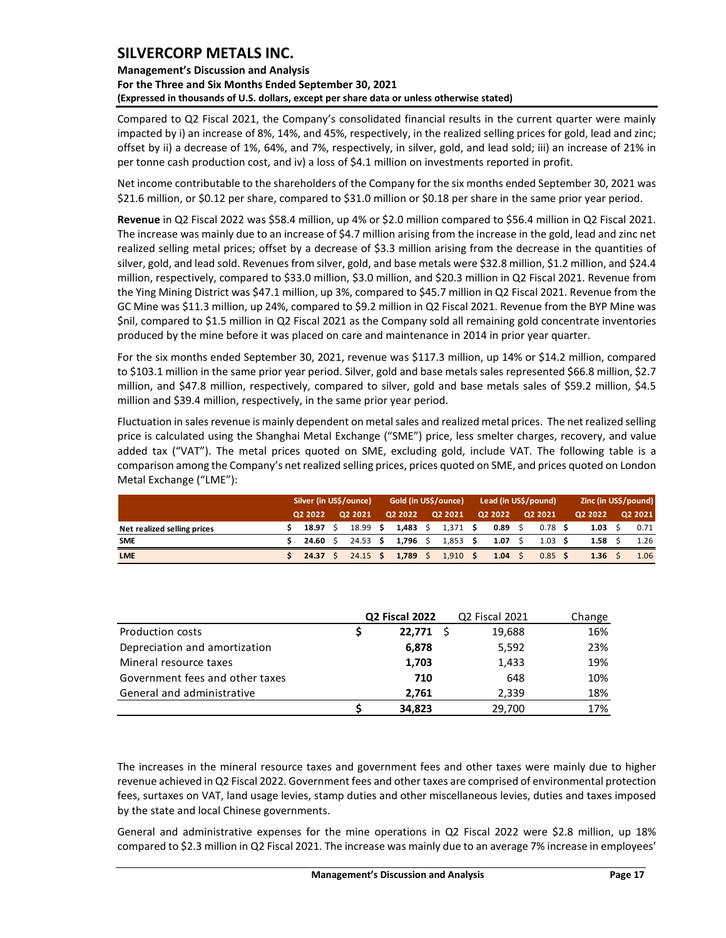**Management's Discussion and Analysis For the Three and Six Months Ended September 30, 2021 (Expressed in thousands of U.S. dollars, except per share data or unless otherwise stated)** 

Compared to Q2 Fiscal 2021, the Company's consolidated financial results in the current quarter were mainly impacted by i) an increase of 8%, 14%, and 45%, respectively, in the realized selling prices for gold, lead and zinc; offset by ii) a decrease of 1%, 64%, and 7%, respectively, in silver, gold, and lead sold; iii) an increase of 21% in per tonne cash production cost, and iv) a loss of \$4.1 million on investments reported in profit.

Net income contributable to the shareholders of the Company for the six months ended September 30, 2021 was \$21.6 million, or \$0.12 per share, compared to \$31.0 million or \$0.18 per share in the same prior year period.

**Revenue** in Q2 Fiscal 2022 was \$58.4 million, up 4% or \$2.0 million compared to \$56.4 million in Q2 Fiscal 2021. The increase was mainly due to an increase of \$4.7 million arising from the increase in the gold, lead and zinc net realized selling metal prices; offset by a decrease of \$3.3 million arising from the decrease in the quantities of silver, gold, and lead sold. Revenues from silver, gold, and base metals were \$32.8 million, \$1.2 million, and \$24.4 million, respectively, compared to \$33.0 million, \$3.0 million, and \$20.3 million in Q2 Fiscal 2021. Revenue from the Ying Mining District was \$47.1 million, up 3%, compared to \$45.7 million in Q2 Fiscal 2021. Revenue from the GC Mine was \$11.3 million, up 24%, compared to \$9.2 million in Q2 Fiscal 2021. Revenue from the BYP Mine was \$nil, compared to \$1.5 million in Q2 Fiscal 2021 as the Company sold all remaining gold concentrate inventories produced by the mine before it was placed on care and maintenance in 2014 in prior year quarter.

For the six months ended September 30, 2021, revenue was \$117.3 million, up 14% or \$14.2 million, compared to \$103.1 million in the same prior year period. Silver, gold and base metals sales represented \$66.8 million, \$2.7 million, and \$47.8 million, respectively, compared to silver, gold and base metals sales of \$59.2 million, \$4.5 million and \$39.4 million, respectively, in the same prior year period.

Fluctuation in sales revenue is mainly dependent on metal sales and realized metal prices. The net realized selling price is calculated using the Shanghai Metal Exchange ("SME") price, less smelter charges, recovery, and value added tax ("VAT"). The metal prices quoted on SME, excluding gold, include VAT. The following table is a comparison among the Company's net realized selling prices, prices quoted on SME, and prices quoted on London Metal Exchange ("LME"):

|                             | Silver (in US\$/ounce) |             |  | Gold (in US\$/ounce) |  |          |  |            | Lead (in US\$/pound) |         | Zinc (in US\$/pound) |  |         |  |         |
|-----------------------------|------------------------|-------------|--|----------------------|--|----------|--|------------|----------------------|---------|----------------------|--|---------|--|---------|
|                             |                        | 02 2022     |  | Q2 2021              |  | Q2 2022  |  | Q2 2021    |                      | 02 2022 | Q2 2021              |  | Q2 2022 |  | 02 2021 |
| Net realized selling prices |                        | 18.97       |  | 18.99 <sub>5</sub>   |  | 1,483    |  | 1,371      | - S                  | 0.89    | $0.78$ \$            |  | 1.03    |  | 0.71    |
| <b>SME</b>                  |                        | 24.60       |  | $24.53$ \$           |  | 1,796 \$ |  | $1,853$ \$ |                      | 1.07    | 1.03                 |  | 1.58    |  | 1.26    |
| <b>LME</b>                  |                        | $24.37 \pm$ |  | $24.15$ \$           |  | 1.789    |  | $1,910$ \$ |                      | 1.04    | $0.85$ \$            |  | 1.36    |  | 1.06    |

|                                 | Q2 Fiscal 2022 | Q2 Fiscal 2021 | Change |
|---------------------------------|----------------|----------------|--------|
| Production costs                | 22.771 S       | 19,688         | 16%    |
| Depreciation and amortization   | 6,878          | 5,592          | 23%    |
| Mineral resource taxes          | 1,703          | 1,433          | 19%    |
| Government fees and other taxes | 710            | 648            | 10%    |
| General and administrative      | 2.761          | 2,339          | 18%    |
|                                 | 34,823         | 29,700         | 17%    |

The increases in the mineral resource taxes and government fees and other taxes were mainly due to higher revenue achieved in Q2 Fiscal 2022. Government fees and other taxes are comprised of environmental protection fees, surtaxes on VAT, land usage levies, stamp duties and other miscellaneous levies, duties and taxes imposed by the state and local Chinese governments.

General and administrative expenses for the mine operations in Q2 Fiscal 2022 were \$2.8 million, up 18% compared to \$2.3 million in Q2 Fiscal 2021. The increase was mainly due to an average 7% increase in employees'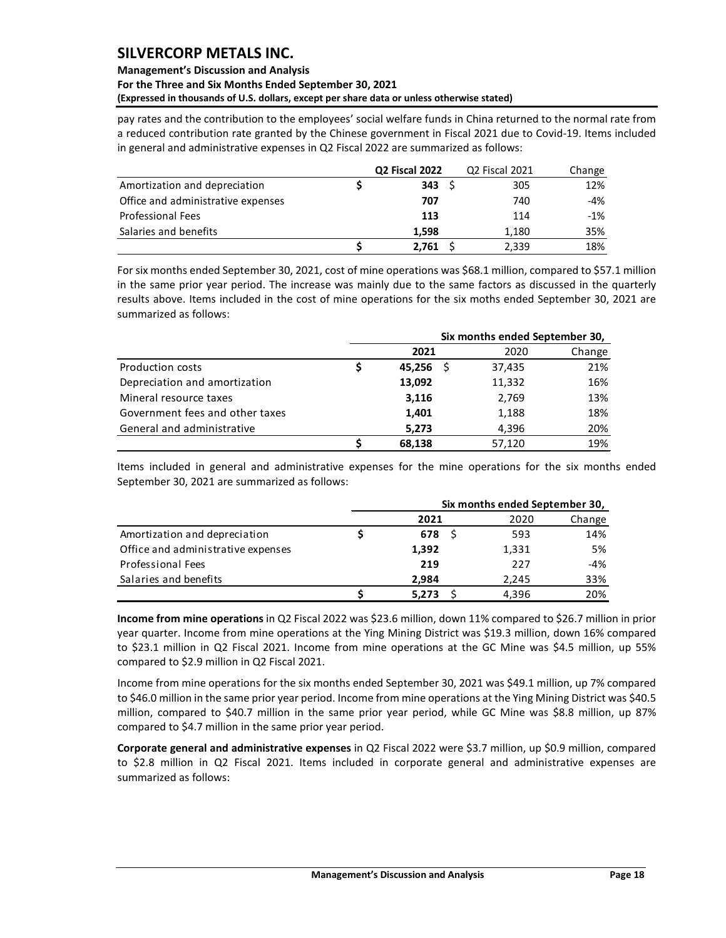### **Management's Discussion and Analysis For the Three and Six Months Ended September 30, 2021 (Expressed in thousands of U.S. dollars, except per share data or unless otherwise stated)**

pay rates and the contribution to the employees' social welfare funds in China returned to the normal rate from a reduced contribution rate granted by the Chinese government in Fiscal 2021 due to Covid-19. Items included in general and administrative expenses in Q2 Fiscal 2022 are summarized as follows:

|                                    | Q2 Fiscal 2022 | Q2 Fiscal 2021 | Change |
|------------------------------------|----------------|----------------|--------|
| Amortization and depreciation      | $343 \quad S$  | 305            | 12%    |
| Office and administrative expenses | 707            | 740            | -4%    |
| <b>Professional Fees</b>           | 113            | 114            | -1%    |
| Salaries and benefits              | 1.598          | 1.180          | 35%    |
|                                    | 2.761          | 2,339          | 18%    |

For six months ended September 30, 2021, cost of mine operations was \$68.1 million, compared to \$57.1 million in the same prior year period. The increase was mainly due to the same factors as discussed in the quarterly results above. Items included in the cost of mine operations for the six moths ended September 30, 2021 are summarized as follows:

|                                 | Six months ended September 30, |        |        |  |  |  |  |  |  |
|---------------------------------|--------------------------------|--------|--------|--|--|--|--|--|--|
|                                 | 2021                           | 2020   | Change |  |  |  |  |  |  |
| <b>Production costs</b>         | 45.256                         | 37,435 | 21%    |  |  |  |  |  |  |
| Depreciation and amortization   | 13,092                         | 11,332 | 16%    |  |  |  |  |  |  |
| Mineral resource taxes          | 3,116                          | 2,769  | 13%    |  |  |  |  |  |  |
| Government fees and other taxes | 1,401                          | 1,188  | 18%    |  |  |  |  |  |  |
| General and administrative      | 5,273                          | 4,396  | 20%    |  |  |  |  |  |  |
|                                 | 68.138                         | 57,120 | 19%    |  |  |  |  |  |  |

Items included in general and administrative expenses for the mine operations for the six months ended September 30, 2021 are summarized as follows:

|                                    | Six months ended September 30, |       |        |  |  |  |  |  |
|------------------------------------|--------------------------------|-------|--------|--|--|--|--|--|
|                                    | 2021                           | 2020  | Change |  |  |  |  |  |
| Amortization and depreciation      | 678                            | 593   | 14%    |  |  |  |  |  |
| Office and administrative expenses | 1,392                          | 1,331 | 5%     |  |  |  |  |  |
| <b>Professional Fees</b>           | 219                            | 227   | -4%    |  |  |  |  |  |
| Salaries and benefits              | 2.984                          | 2.245 | 33%    |  |  |  |  |  |
|                                    | 5,273                          | 4.396 | 20%    |  |  |  |  |  |

**Income from mine operations** in Q2 Fiscal 2022 was \$23.6 million, down 11% compared to \$26.7 million in prior year quarter. Income from mine operations at the Ying Mining District was \$19.3 million, down 16% compared to \$23.1 million in Q2 Fiscal 2021. Income from mine operations at the GC Mine was \$4.5 million, up 55% compared to \$2.9 million in Q2 Fiscal 2021.

Income from mine operations for the six months ended September 30, 2021 was \$49.1 million, up 7% compared to \$46.0 million in the same prior year period. Income from mine operations at the Ying Mining District was \$40.5 million, compared to \$40.7 million in the same prior year period, while GC Mine was \$8.8 million, up 87% compared to \$4.7 million in the same prior year period.

**Corporate general and administrative expenses** in Q2 Fiscal 2022 were \$3.7 million, up \$0.9 million, compared to \$2.8 million in Q2 Fiscal 2021. Items included in corporate general and administrative expenses are summarized as follows: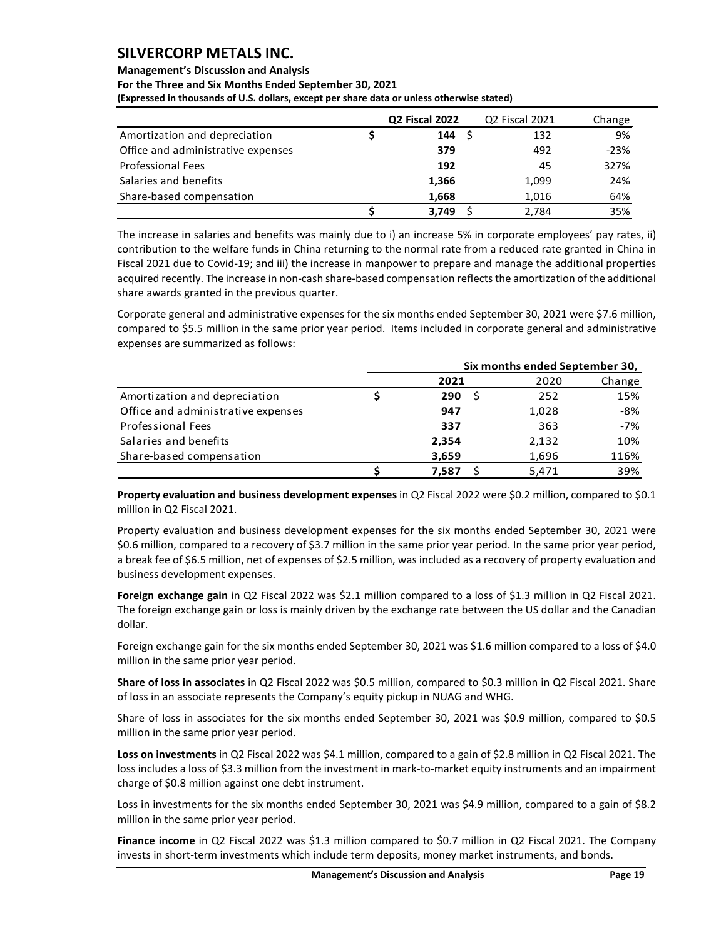## **Management's Discussion and Analysis**

**For the Three and Six Months Ended September 30, 2021**

**(Expressed in thousands of U.S. dollars, except per share data or unless otherwise stated)** 

|                                    | Q2 Fiscal 2022 | Q2 Fiscal 2021 | Change |
|------------------------------------|----------------|----------------|--------|
| Amortization and depreciation      | 144S           | 132            | 9%     |
| Office and administrative expenses | 379            | 492            | $-23%$ |
| <b>Professional Fees</b>           | 192            | 45             | 327%   |
| Salaries and benefits              | 1,366          | 1,099          | 24%    |
| Share-based compensation           | 1,668          | 1,016          | 64%    |
|                                    | 3.749          | 2.784          | 35%    |

The increase in salaries and benefits was mainly due to i) an increase 5% in corporate employees' pay rates, ii) contribution to the welfare funds in China returning to the normal rate from a reduced rate granted in China in Fiscal 2021 due to Covid-19; and iii) the increase in manpower to prepare and manage the additional properties acquired recently. The increase in non-cash share-based compensation reflectsthe amortization of the additional share awards granted in the previous quarter.

Corporate general and administrative expenses for the six months ended September 30, 2021 were \$7.6 million, compared to \$5.5 million in the same prior year period. Items included in corporate general and administrative expenses are summarized as follows:

|                                    | Six months ended September 30, |       |        |  |  |  |  |  |  |
|------------------------------------|--------------------------------|-------|--------|--|--|--|--|--|--|
|                                    | 2021                           | 2020  | Change |  |  |  |  |  |  |
| Amortization and depreciation      | 290                            | 252   | 15%    |  |  |  |  |  |  |
| Office and administrative expenses | 947                            | 1,028 | -8%    |  |  |  |  |  |  |
| Professional Fees                  | 337                            | 363   | $-7%$  |  |  |  |  |  |  |
| Salaries and benefits              | 2,354                          | 2,132 | 10%    |  |  |  |  |  |  |
| Share-based compensation           | 3,659                          | 1,696 | 116%   |  |  |  |  |  |  |
|                                    | 7.587                          | 5.471 | 39%    |  |  |  |  |  |  |

**Property evaluation and business development expenses** in Q2 Fiscal 2022 were \$0.2 million, compared to \$0.1 million in Q2 Fiscal 2021.

Property evaluation and business development expenses for the six months ended September 30, 2021 were \$0.6 million, compared to a recovery of \$3.7 million in the same prior year period. In the same prior year period, a break fee of \$6.5 million, net of expenses of \$2.5 million, was included as a recovery of property evaluation and business development expenses.

**Foreign exchange gain** in Q2 Fiscal 2022 was \$2.1 million compared to a loss of \$1.3 million in Q2 Fiscal 2021. The foreign exchange gain or loss is mainly driven by the exchange rate between the US dollar and the Canadian dollar.

Foreign exchange gain for the six months ended September 30, 2021 was \$1.6 million compared to a loss of \$4.0 million in the same prior year period.

**Share of loss in associates** in Q2 Fiscal 2022 was \$0.5 million, compared to \$0.3 million in Q2 Fiscal 2021. Share of loss in an associate represents the Company's equity pickup in NUAG and WHG.

Share of loss in associates for the six months ended September 30, 2021 was \$0.9 million, compared to \$0.5 million in the same prior year period.

**Loss on investments** in Q2 Fiscal 2022 was \$4.1 million, compared to a gain of \$2.8 million in Q2 Fiscal 2021. The loss includes a loss of \$3.3 million from the investment in mark-to-market equity instruments and an impairment charge of \$0.8 million against one debt instrument.

Loss in investments for the six months ended September 30, 2021 was \$4.9 million, compared to a gain of \$8.2 million in the same prior year period.

**Finance income** in Q2 Fiscal 2022 was \$1.3 million compared to \$0.7 million in Q2 Fiscal 2021. The Company invests in short-term investments which include term deposits, money market instruments, and bonds.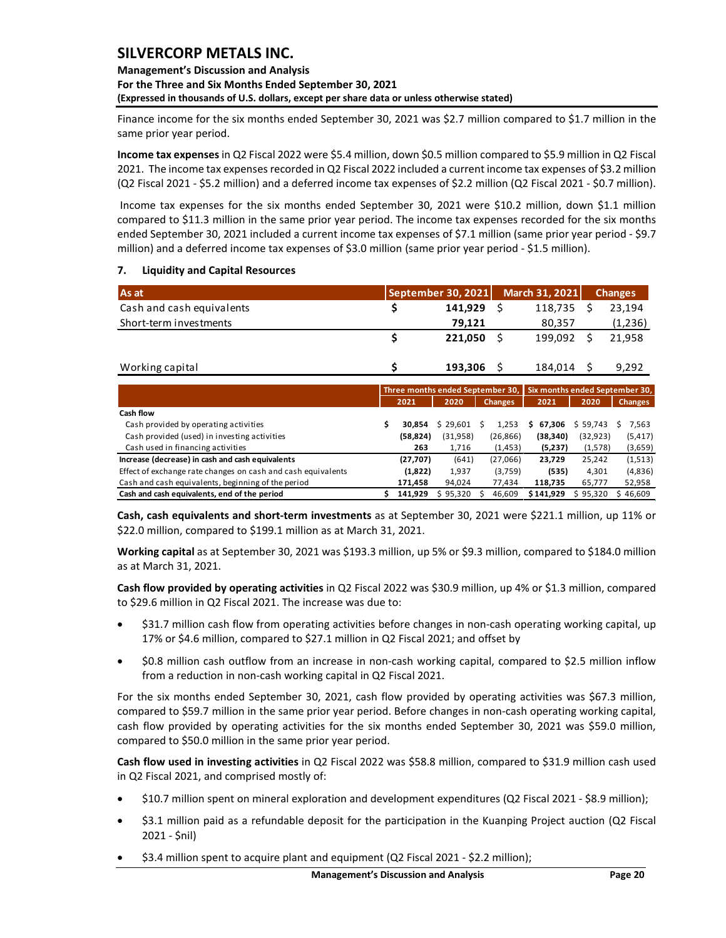### **Management's Discussion and Analysis For the Three and Six Months Ended September 30, 2021 (Expressed in thousands of U.S. dollars, except per share data or unless otherwise stated)**

Finance income for the six months ended September 30, 2021 was \$2.7 million compared to \$1.7 million in the same prior year period.

**Income tax expenses** in Q2 Fiscal 2022 were \$5.4 million, down \$0.5 million compared to \$5.9 million in Q2 Fiscal 2021. The income tax expenses recorded in Q2 Fiscal 2022 included a current income tax expenses of \$3.2 million (Q2 Fiscal 2021 - \$5.2 million) and a deferred income tax expenses of \$2.2 million (Q2 Fiscal 2021 - \$0.7 million).

Income tax expenses for the six months ended September 30, 2021 were \$10.2 million, down \$1.1 million compared to \$11.3 million in the same prior year period. The income tax expenses recorded for the six months ended September 30, 2021 included a current income tax expenses of \$7.1 million (same prior year period - \$9.7 million) and a deferred income tax expenses of \$3.0 million (same prior year period - \$1.5 million).

### <span id="page-20-0"></span>**7. Liquidity and Capital Resources**

| As at                     | September 30, 2021 |         | March 31, 2021 | <b>Changes</b> |
|---------------------------|--------------------|---------|----------------|----------------|
| Cash and cash equivalents |                    | 141.929 | 118,735        | 23.194         |
| Short-term investments    |                    | 79.121  | 80.357         | (1,236)        |
|                           |                    | 221.050 | 199.092        | 21.958         |
| Working capital           |                    | 193,306 | 184,014        | 9.292          |

|                                                              |           |           |                |           | Three months ended September 30, Six months ended September 30, |           |              |  |                |  |
|--------------------------------------------------------------|-----------|-----------|----------------|-----------|-----------------------------------------------------------------|-----------|--------------|--|----------------|--|
|                                                              | 2021      | 2020      | <b>Changes</b> |           | 2021                                                            |           | 2020         |  | <b>Changes</b> |  |
| Cash flow                                                    |           |           |                |           |                                                                 |           |              |  |                |  |
| Cash provided by operating activities                        | 30.854    | \$29,601  |                | 1.253     | s                                                               | 67,306    | 59.743<br>S. |  | 7,563          |  |
| Cash provided (used) in investing activities                 | (58, 824) | (31, 958) |                | (26, 866) |                                                                 | (38, 340) | (32, 923)    |  | (5, 417)       |  |
| Cash used in financing activities                            | 263       | 1.716     |                | (1, 453)  |                                                                 | (5,237)   | (1,578)      |  | (3,659)        |  |
| Increase (decrease) in cash and cash equivalents             | (27, 707) | (641)     |                | (27,066)  |                                                                 | 23,729    | 25,242       |  | (1,513)        |  |
| Effect of exchange rate changes on cash and cash equivalents | (1,822)   | 1,937     |                | (3,759)   |                                                                 | (535)     | 4.301        |  | (4,836)        |  |
| Cash and cash equivalents, beginning of the period           | 171,458   | 94,024    |                | 77,434    |                                                                 | 118.735   | 65,777       |  | 52,958         |  |
| Cash and cash equivalents, end of the period                 | 141.929   | \$95,320  |                | 46,609    |                                                                 | \$141,929 | 95,320       |  | 46,609         |  |

**Cash, cash equivalents and short-term investments** as at September 30, 2021 were \$221.1 million, up 11% or \$22.0 million, compared to \$199.1 million as at March 31, 2021.

**Working capital** as at September 30, 2021 was \$193.3 million, up 5% or \$9.3 million, compared to \$184.0 million as at March 31, 2021.

**Cash flow provided by operating activities** in Q2 Fiscal 2022 was \$30.9 million, up 4% or \$1.3 million, compared to \$29.6 million in Q2 Fiscal 2021. The increase was due to:

- \$31.7 million cash flow from operating activities before changes in non-cash operating working capital, up 17% or \$4.6 million, compared to \$27.1 million in Q2 Fiscal 2021; and offset by
- \$0.8 million cash outflow from an increase in non-cash working capital, compared to \$2.5 million inflow from a reduction in non-cash working capital in Q2 Fiscal 2021.

For the six months ended September 30, 2021, cash flow provided by operating activities was \$67.3 million, compared to \$59.7 million in the same prior year period. Before changes in non-cash operating working capital, cash flow provided by operating activities for the six months ended September 30, 2021 was \$59.0 million, compared to \$50.0 million in the same prior year period.

**Cash flow used in investing activities** in Q2 Fiscal 2022 was \$58.8 million, compared to \$31.9 million cash used in Q2 Fiscal 2021, and comprised mostly of:

- \$10.7 million spent on mineral exploration and development expenditures (Q2 Fiscal 2021 \$8.9 million);
- \$3.1 million paid as a refundable deposit for the participation in the Kuanping Project auction (Q2 Fiscal 2021 - \$nil)
- \$3.4 million spent to acquire plant and equipment (Q2 Fiscal 2021 \$2.2 million);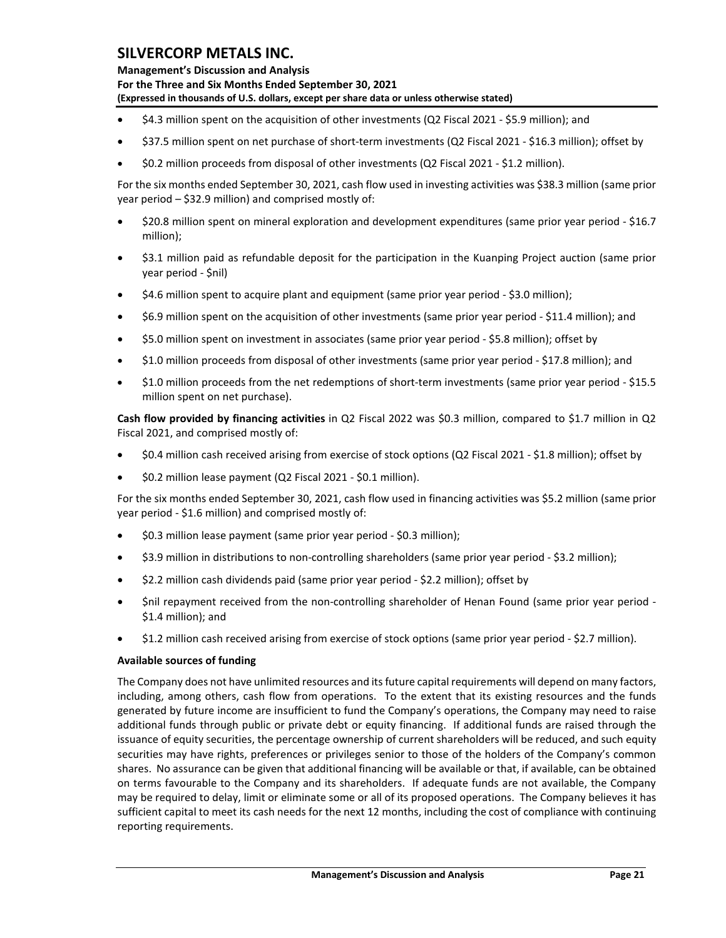**Management's Discussion and Analysis For the Three and Six Months Ended September 30, 2021 (Expressed in thousands of U.S. dollars, except per share data or unless otherwise stated)** 

- \$4.3 million spent on the acquisition of other investments (Q2 Fiscal 2021 \$5.9 million); and
- \$37.5 million spent on net purchase of short-term investments (Q2 Fiscal 2021 \$16.3 million); offset by
- \$0.2 million proceeds from disposal of other investments (Q2 Fiscal 2021 \$1.2 million).

For the six months ended September 30, 2021, cash flow used in investing activities was \$38.3 million (same prior year period – \$32.9 million) and comprised mostly of:

- \$20.8 million spent on mineral exploration and development expenditures (same prior year period \$16.7 million);
- \$3.1 million paid as refundable deposit for the participation in the Kuanping Project auction (same prior year period - \$nil)
- \$4.6 million spent to acquire plant and equipment (same prior year period \$3.0 million);
- \$6.9 million spent on the acquisition of other investments (same prior year period \$11.4 million); and
- \$5.0 million spent on investment in associates (same prior year period \$5.8 million); offset by
- \$1.0 million proceeds from disposal of other investments (same prior year period \$17.8 million); and
- \$1.0 million proceeds from the net redemptions of short-term investments (same prior year period \$15.5 million spent on net purchase).

**Cash flow provided by financing activities** in Q2 Fiscal 2022 was \$0.3 million, compared to \$1.7 million in Q2 Fiscal 2021, and comprised mostly of:

- \$0.4 million cash received arising from exercise of stock options (Q2 Fiscal 2021 \$1.8 million); offset by
- \$0.2 million lease payment (Q2 Fiscal 2021 \$0.1 million).

For the six months ended September 30, 2021, cash flow used in financing activities was \$5.2 million (same prior year period - \$1.6 million) and comprised mostly of:

- \$0.3 million lease payment (same prior year period \$0.3 million);
- \$3.9 million in distributions to non-controlling shareholders (same prior year period \$3.2 million);
- \$2.2 million cash dividends paid (same prior year period \$2.2 million); offset by
- \$nil repayment received from the non-controlling shareholder of Henan Found (same prior year period \$1.4 million); and
- \$1.2 million cash received arising from exercise of stock options (same prior year period \$2.7 million).

### **Available sources of funding**

The Company does not have unlimited resources and its future capital requirements will depend on many factors, including, among others, cash flow from operations. To the extent that its existing resources and the funds generated by future income are insufficient to fund the Company's operations, the Company may need to raise additional funds through public or private debt or equity financing. If additional funds are raised through the issuance of equity securities, the percentage ownership of current shareholders will be reduced, and such equity securities may have rights, preferences or privileges senior to those of the holders of the Company's common shares. No assurance can be given that additional financing will be available or that, if available, can be obtained on terms favourable to the Company and its shareholders. If adequate funds are not available, the Company may be required to delay, limit or eliminate some or all of its proposed operations. The Company believes it has sufficient capital to meet its cash needs for the next 12 months, including the cost of compliance with continuing reporting requirements.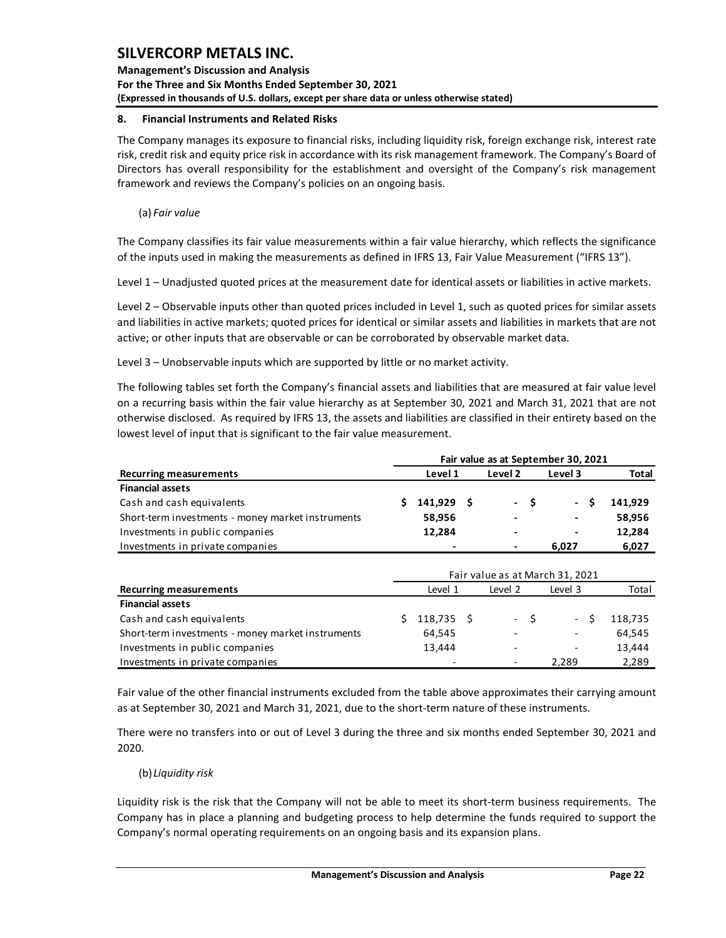**Management's Discussion and Analysis For the Three and Six Months Ended September 30, 2021 (Expressed in thousands of U.S. dollars, except per share data or unless otherwise stated)** 

### <span id="page-22-0"></span>**8. Financial Instruments and Related Risks**

The Company manages its exposure to financial risks, including liquidity risk, foreign exchange risk, interest rate risk, credit risk and equity price risk in accordance with its risk management framework. The Company's Board of Directors has overall responsibility for the establishment and oversight of the Company's risk management framework and reviews the Company's policies on an ongoing basis.

(a) *Fair value*

The Company classifies its fair value measurements within a fair value hierarchy, which reflects the significance of the inputs used in making the measurements as defined in IFRS 13, Fair Value Measurement ("IFRS 13").

Level 1 – Unadjusted quoted prices at the measurement date for identical assets or liabilities in active markets.

Level 2 – Observable inputs other than quoted prices included in Level 1, such as quoted prices for similar assets and liabilities in active markets; quoted prices for identical or similar assets and liabilities in markets that are not active; or other inputs that are observable or can be corroborated by observable market data.

Level 3 – Unobservable inputs which are supported by little or no market activity.

The following tables set forth the Company's financial assets and liabilities that are measured at fair value level on a recurring basis within the fair value hierarchy as at September 30, 2021 and March 31, 2021 that are not otherwise disclosed. As required by IFRS 13, the assets and liabilities are classified in their entirety based on the lowest level of input that is significant to the fair value measurement.

|                                                   | Fair value as at September 30, 2021 |              |  |                |      |                          |         |  |  |  |  |  |  |
|---------------------------------------------------|-------------------------------------|--------------|--|----------------|------|--------------------------|---------|--|--|--|--|--|--|
| <b>Recurring measurements</b>                     |                                     | Level 1      |  | Level 2        |      | Level 3                  | Total   |  |  |  |  |  |  |
| <b>Financial assets</b>                           |                                     |              |  |                |      |                          |         |  |  |  |  |  |  |
| Cash and cash equivalents                         |                                     | $141,929$ \$ |  |                | $-S$ | $\sim 100$<br>-S         | 141.929 |  |  |  |  |  |  |
| Short-term investments - money market instruments |                                     | 58,956       |  | $\blacksquare$ |      | $\blacksquare$           | 58.956  |  |  |  |  |  |  |
| Investments in public companies                   |                                     | 12,284       |  | $\blacksquare$ |      | $\overline{\phantom{0}}$ | 12,284  |  |  |  |  |  |  |
| Investments in private companies                  |                                     |              |  |                |      | 6.027                    | 6,027   |  |  |  |  |  |  |

|                                                   | Fair value as at March 31, 2021 |                          |  |                          |      |                          |         |  |  |  |
|---------------------------------------------------|---------------------------------|--------------------------|--|--------------------------|------|--------------------------|---------|--|--|--|
| <b>Recurring measurements</b>                     |                                 | Level 1                  |  | Level 2                  |      | Level 3                  | Total   |  |  |  |
| <b>Financial assets</b>                           |                                 |                          |  |                          |      |                          |         |  |  |  |
| Cash and cash equivalents                         |                                 | 118,735 \$               |  |                          | $-5$ | $\sim$                   | 118,735 |  |  |  |
| Short-term investments - money market instruments |                                 | 64,545                   |  | $\overline{\phantom{0}}$ |      | $\overline{\phantom{a}}$ | 64,545  |  |  |  |
| Investments in public companies                   |                                 | 13,444                   |  |                          |      | $\overline{\phantom{a}}$ | 13,444  |  |  |  |
| Investments in private companies                  |                                 | $\overline{\phantom{0}}$ |  | $\overline{\phantom{0}}$ |      | 2.289                    | 2,289   |  |  |  |

Fair value of the other financial instruments excluded from the table above approximates their carrying amount as at September 30, 2021 and March 31, 2021, due to the short-term nature of these instruments.

There were no transfers into or out of Level 3 during the three and six months ended September 30, 2021 and 2020.

(b) *Liquidity risk*

Liquidity risk is the risk that the Company will not be able to meet its short-term business requirements. The Company has in place a planning and budgeting process to help determine the funds required to support the Company's normal operating requirements on an ongoing basis and its expansion plans.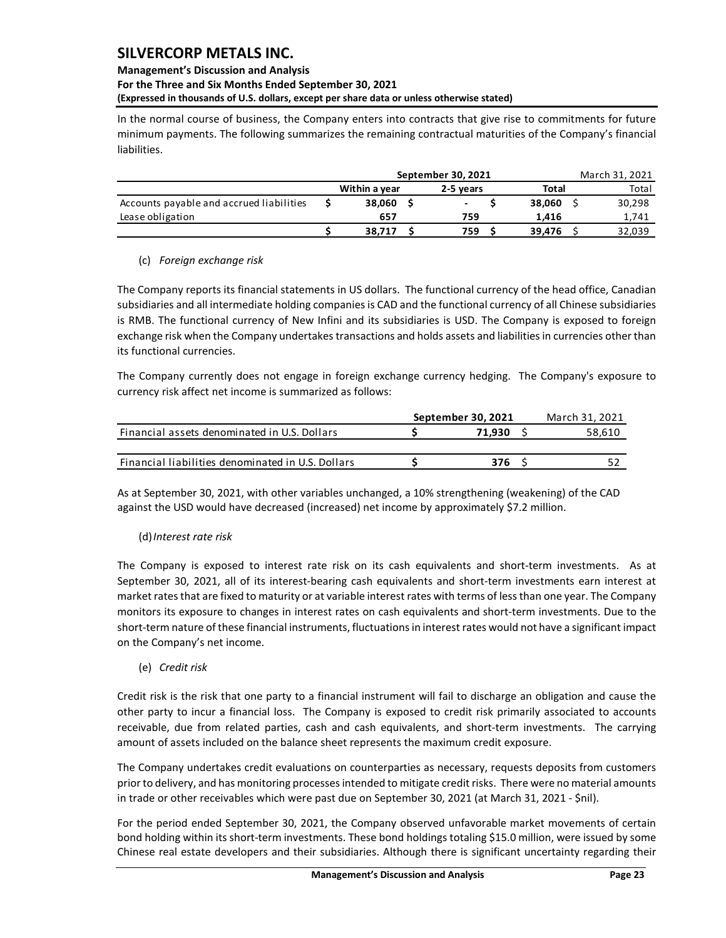## **Management's Discussion and Analysis For the Three and Six Months Ended September 30, 2021**

**(Expressed in thousands of U.S. dollars, except per share data or unless otherwise stated)** 

In the normal course of business, the Company enters into contracts that give rise to commitments for future minimum payments. The following summarizes the remaining contractual maturities of the Company's financial liabilities.

|                                          | September 30, 2021 |           | March 31, 2021           |       |        |  |        |
|------------------------------------------|--------------------|-----------|--------------------------|-------|--------|--|--------|
|                                          | Within a year      | 2-5 vears | Total                    | Total |        |  |        |
| Accounts payable and accrued liabilities | 38.060             |           | $\overline{\phantom{a}}$ |       | 38.060 |  | 30,298 |
| Lease obligation                         | 657                |           | 759                      |       | 1.416  |  | 1,741  |
|                                          | 38.717             |           | 759                      |       | 39.476 |  | 32,039 |

## (c) *Foreign exchange risk*

The Company reports its financial statements in US dollars. The functional currency of the head office, Canadian subsidiaries and all intermediate holding companies is CAD and the functional currency of all Chinese subsidiaries is RMB. The functional currency of New Infini and its subsidiaries is USD. The Company is exposed to foreign exchange risk when the Company undertakes transactions and holds assets and liabilities in currencies other than its functional currencies.

The Company currently does not engage in foreign exchange currency hedging. The Company's exposure to currency risk affect net income is summarized as follows:

|                                                   | September 30, 2021 | March 31, 2021 |
|---------------------------------------------------|--------------------|----------------|
| Financial assets denominated in U.S. Dollars      | 71.930             | 58.610         |
|                                                   |                    |                |
| Financial liabilities denominated in U.S. Dollars | 376                |                |

As at September 30, 2021, with other variables unchanged, a 10% strengthening (weakening) of the CAD against the USD would have decreased (increased) net income by approximately \$7.2 million.

## (d)*Interest rate risk*

The Company is exposed to interest rate risk on its cash equivalents and short-term investments. As at September 30, 2021, all of its interest-bearing cash equivalents and short-term investments earn interest at market rates that are fixed to maturity or at variable interest rates with terms of less than one year. The Company monitors its exposure to changes in interest rates on cash equivalents and short-term investments. Due to the short-term nature of these financial instruments, fluctuations in interest rates would not have a significant impact on the Company's net income.

(e) *Credit risk*

Credit risk is the risk that one party to a financial instrument will fail to discharge an obligation and cause the other party to incur a financial loss. The Company is exposed to credit risk primarily associated to accounts receivable, due from related parties, cash and cash equivalents, and short-term investments. The carrying amount of assets included on the balance sheet represents the maximum credit exposure.

The Company undertakes credit evaluations on counterparties as necessary, requests deposits from customers prior to delivery, and has monitoring processes intended to mitigate credit risks. There were no material amounts in trade or other receivables which were past due on September 30, 2021 (at March 31, 2021 - \$nil).

For the period ended September 30, 2021, the Company observed unfavorable market movements of certain bond holding within its short-term investments. These bond holdings totaling \$15.0 million, were issued by some Chinese real estate developers and their subsidiaries. Although there is significant uncertainty regarding their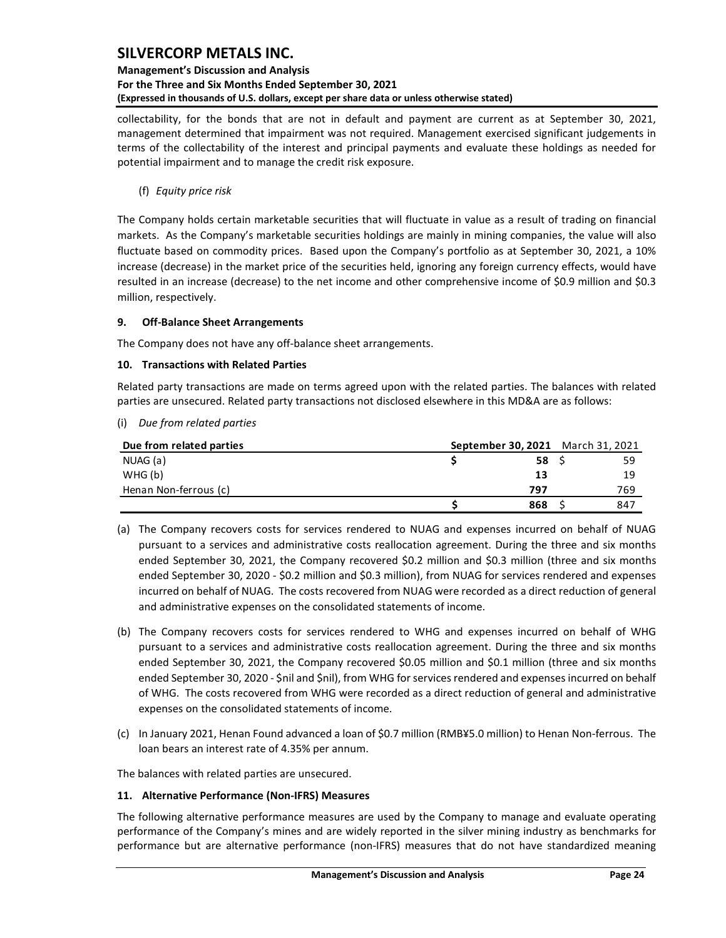## **Management's Discussion and Analysis For the Three and Six Months Ended September 30, 2021 (Expressed in thousands of U.S. dollars, except per share data or unless otherwise stated)**

collectability, for the bonds that are not in default and payment are current as at September 30, 2021, management determined that impairment was not required. Management exercised significant judgements in terms of the collectability of the interest and principal payments and evaluate these holdings as needed for potential impairment and to manage the credit risk exposure.

(f) *Equity price risk*

The Company holds certain marketable securities that will fluctuate in value as a result of trading on financial markets. As the Company's marketable securities holdings are mainly in mining companies, the value will also fluctuate based on commodity prices. Based upon the Company's portfolio as at September 30, 2021, a 10% increase (decrease) in the market price of the securities held, ignoring any foreign currency effects, would have resulted in an increase (decrease) to the net income and other comprehensive income of \$0.9 million and \$0.3 million, respectively.

## <span id="page-24-0"></span>**9. Off-Balance Sheet Arrangements**

The Company does not have any off-balance sheet arrangements.

## <span id="page-24-1"></span>**10. Transactions with Related Parties**

Related party transactions are made on terms agreed upon with the related parties. The balances with related parties are unsecured. Related party transactions not disclosed elsewhere in this MD&A are as follows:

(i) *Due from related parties*

| Due from related parties | September 30, 2021 March 31, 2021 |     |     |
|--------------------------|-----------------------------------|-----|-----|
| NUAG (a)                 |                                   | 58  | 59  |
| WHG (b)                  |                                   | 13  | 19  |
| Henan Non-ferrous (c)    |                                   | 797 | 769 |
|                          |                                   | 868 | 847 |

- (a) The Company recovers costs for services rendered to NUAG and expenses incurred on behalf of NUAG pursuant to a services and administrative costs reallocation agreement. During the three and six months ended September 30, 2021, the Company recovered \$0.2 million and \$0.3 million (three and six months ended September 30, 2020 - \$0.2 million and \$0.3 million), from NUAG for services rendered and expenses incurred on behalf of NUAG. The costs recovered from NUAG were recorded as a direct reduction of general and administrative expenses on the consolidated statements of income.
- (b) The Company recovers costs for services rendered to WHG and expenses incurred on behalf of WHG pursuant to a services and administrative costs reallocation agreement. During the three and six months ended September 30, 2021, the Company recovered \$0.05 million and \$0.1 million (three and six months ended September 30, 2020 - \$nil and \$nil), from WHG for services rendered and expenses incurred on behalf of WHG. The costs recovered from WHG were recorded as a direct reduction of general and administrative expenses on the consolidated statements of income.
- (c) In January 2021, Henan Found advanced a loan of \$0.7 million (RMB¥5.0 million) to Henan Non-ferrous. The loan bears an interest rate of 4.35% per annum.

The balances with related parties are unsecured.

### <span id="page-24-2"></span>**11. Alternative Performance (Non-IFRS) Measures**

The following alternative performance measures are used by the Company to manage and evaluate operating performance of the Company's mines and are widely reported in the silver mining industry as benchmarks for performance but are alternative performance (non-IFRS) measures that do not have standardized meaning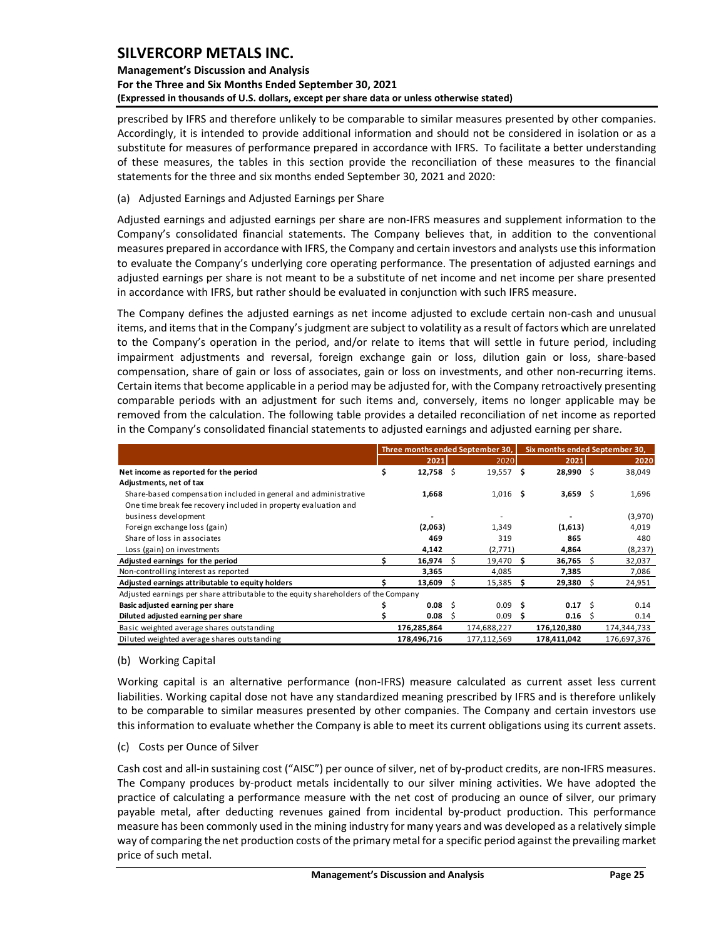## **Management's Discussion and Analysis For the Three and Six Months Ended September 30, 2021 (Expressed in thousands of U.S. dollars, except per share data or unless otherwise stated)**

prescribed by IFRS and therefore unlikely to be comparable to similar measures presented by other companies. Accordingly, it is intended to provide additional information and should not be considered in isolation or as a substitute for measures of performance prepared in accordance with IFRS. To facilitate a better understanding of these measures, the tables in this section provide the reconciliation of these measures to the financial statements for the three and six months ended September 30, 2021 and 2020:

## (a) Adjusted Earnings and Adjusted Earnings per Share

Adjusted earnings and adjusted earnings per share are non-IFRS measures and supplement information to the Company's consolidated financial statements. The Company believes that, in addition to the conventional measures prepared in accordance with IFRS, the Company and certain investors and analysts use this information to evaluate the Company's underlying core operating performance. The presentation of adjusted earnings and adjusted earnings per share is not meant to be a substitute of net income and net income per share presented in accordance with IFRS, but rather should be evaluated in conjunction with such IFRS measure.

The Company defines the adjusted earnings as net income adjusted to exclude certain non-cash and unusual items, and items that in the Company's judgment are subject to volatility as a result of factors which are unrelated to the Company's operation in the period, and/or relate to items that will settle in future period, including impairment adjustments and reversal, foreign exchange gain or loss, dilution gain or loss, share-based compensation, share of gain or loss of associates, gain or loss on investments, and other non-recurring items. Certain items that become applicable in a period may be adjusted for, with the Company retroactively presenting comparable periods with an adjustment for such items and, conversely, items no longer applicable may be removed from the calculation. The following table provides a detailed reconciliation of net income as reported in the Company's consolidated financial statements to adjusted earnings and adjusted earning per share.

|                                                                                    | Three months ended September 30, |     |             | Six months ended September 30, |              |              |             |  |  |
|------------------------------------------------------------------------------------|----------------------------------|-----|-------------|--------------------------------|--------------|--------------|-------------|--|--|
|                                                                                    | 2021                             |     | 2020        |                                | 2021         |              | 2020        |  |  |
| Net income as reported for the period                                              | \$<br>$12,758$ \$                |     | 19,557      | Ŝ                              | 28,990 \$    |              | 38,049      |  |  |
| Adjustments, net of tax                                                            |                                  |     |             |                                |              |              |             |  |  |
| Share-based compensation included in general and administrative                    | 1,668                            |     | $1,016$ \$  |                                | 3,659 \$     |              | 1,696       |  |  |
| One time break fee recovery included in property evaluation and                    |                                  |     |             |                                |              |              |             |  |  |
| business development                                                               |                                  |     |             |                                |              |              | (3,970)     |  |  |
| Foreign exchange loss (gain)                                                       | (2,063)                          |     | 1,349       |                                | (1,613)      |              | 4,019       |  |  |
| Share of loss in associates                                                        | 469                              |     | 319         |                                | 865          |              | 480         |  |  |
| Loss (gain) on investments                                                         | 4,142                            |     | (2,771)     |                                | 4,864        |              | (8, 237)    |  |  |
| Adjusted earnings for the period                                                   | $16,974$ \$                      |     | 19,470      | S                              | $36,765$ \$  |              | 32,037      |  |  |
| Non-controlling interest as reported                                               | 3,365                            |     | 4,085       |                                | 7,385        |              | 7,086       |  |  |
| Adjusted earnings attributable to equity holders                                   | 13,609                           |     | 15,385      | s                              | 29,380       | <sub>S</sub> | 24,951      |  |  |
| Adjusted earnings per share attributable to the equity shareholders of the Company |                                  |     |             |                                |              |              |             |  |  |
| Basic adjusted earning per share                                                   | 0.08                             | -Ś  | 0.09        | Ŝ                              | $0.17 \pm 5$ |              | 0.14        |  |  |
| Diluted adjusted earning per share                                                 | 0.08                             | - 5 | 0.09        | S                              | $0.16$ \$    |              | 0.14        |  |  |
| Basic weighted average shares outstanding                                          | 176,285,864                      |     | 174,688,227 |                                | 176,120,380  |              | 174,344,733 |  |  |
| Diluted weighted average shares outstanding                                        | 178,496,716                      |     | 177,112,569 |                                | 178,411,042  |              | 176,697,376 |  |  |

### (b) Working Capital

Working capital is an alternative performance (non-IFRS) measure calculated as current asset less current liabilities. Working capital dose not have any standardized meaning prescribed by IFRS and is therefore unlikely to be comparable to similar measures presented by other companies. The Company and certain investors use this information to evaluate whether the Company is able to meet its current obligations using its current assets.

### (c) Costs per Ounce of Silver

Cash cost and all-in sustaining cost ("AISC") per ounce of silver, net of by-product credits, are non-IFRS measures. The Company produces by-product metals incidentally to our silver mining activities. We have adopted the practice of calculating a performance measure with the net cost of producing an ounce of silver, our primary payable metal, after deducting revenues gained from incidental by-product production. This performance measure has been commonly used in the mining industry for many years and was developed as a relatively simple way of comparing the net production costs of the primary metal for a specific period against the prevailing market price of such metal.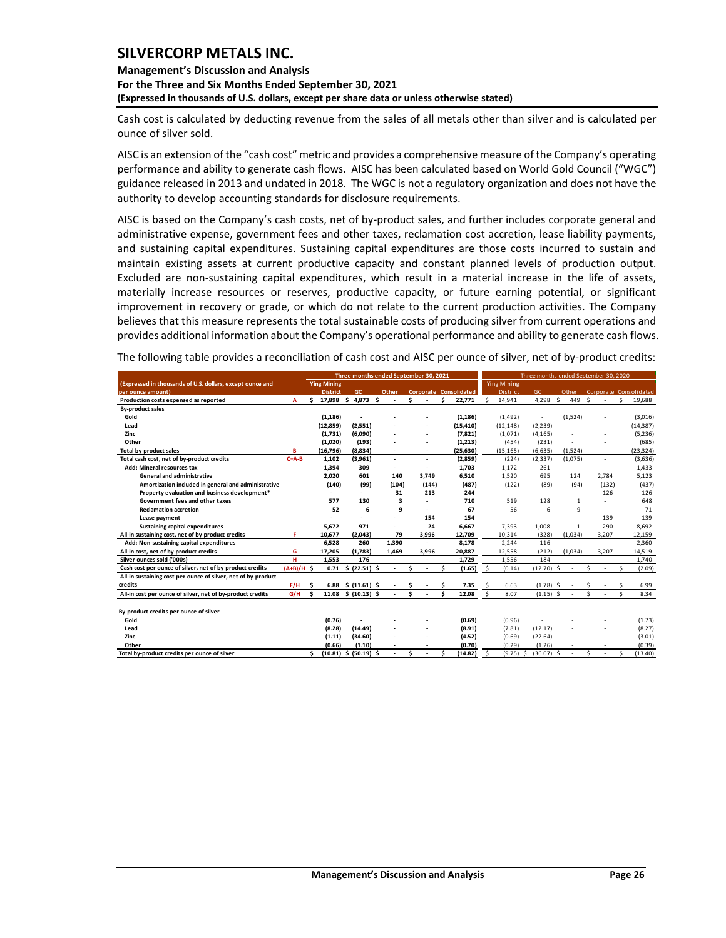### **Management's Discussion and Analysis For the Three and Six Months Ended September 30, 2021 (Expressed in thousands of U.S. dollars, except per share data or unless otherwise stated)**

Cash cost is calculated by deducting revenue from the sales of all metals other than silver and is calculated per ounce of silver sold.

AISC is an extension of the "cash cost" metric and provides a comprehensive measure of the Company's operating performance and ability to generate cash flows. AISC has been calculated based on World Gold Council ("WGC") guidance released in 2013 and undated in 2018. The WGC is not a regulatory organization and does not have the authority to develop accounting standards for disclosure requirements.

AISC is based on the Company's cash costs, net of by-product sales, and further includes corporate general and administrative expense, government fees and other taxes, reclamation cost accretion, lease liability payments, and sustaining capital expenditures. Sustaining capital expenditures are those costs incurred to sustain and maintain existing assets at current productive capacity and constant planned levels of production output. Excluded are non-sustaining capital expenditures, which result in a material increase in the life of assets, materially increase resources or reserves, productive capacity, or future earning potential, or significant improvement in recovery or grade, or which do not relate to the current production activities. The Company believes that this measure represents the total sustainable costs of producing silver from current operations and provides additional information about the Company's operational performance and ability to generate cash flows.

The following table provides a reconciliation of cash cost and AISC per ounce of silver, net of by-product credits:

|                                                               |              |                    | Three months ended September 30, 2021 |                          |    |                          |     |                        |      |                    |              |              | Three months ended September 30, 2020 |               |                          |    |                        |
|---------------------------------------------------------------|--------------|--------------------|---------------------------------------|--------------------------|----|--------------------------|-----|------------------------|------|--------------------|--------------|--------------|---------------------------------------|---------------|--------------------------|----|------------------------|
| (Expressed in thousands of U.S. dollars, except ounce and     |              | <b>Ying Mining</b> |                                       |                          |    |                          |     |                        |      | <b>Ying Mining</b> |              |              |                                       |               |                          |    |                        |
| per ounce amount)                                             |              | <b>District</b>    | GC                                    | Other                    |    |                          |     | Corporate Consolidated |      | <b>District</b>    | <b>GC</b>    |              | Other                                 |               |                          |    | Corporate Consolidated |
| Production costs expensed as reported                         | A            | \$<br>17,898       | Ŝ.<br>$4,873$ \$                      |                          | Ś  |                          | \$. | 22,771                 | Ś    | 14,941             | 4,298        | $\mathsf{s}$ | 449                                   | <sup>\$</sup> |                          | Ś  | 19,688                 |
| <b>By-product sales</b>                                       |              |                    |                                       |                          |    |                          |     |                        |      |                    |              |              |                                       |               |                          |    |                        |
| Gold                                                          |              | (1, 186)           |                                       |                          |    |                          |     | (1, 186)               |      | (1, 492)           |              |              | (1,524)                               |               |                          |    | (3,016)                |
| Lead                                                          |              | (12, 859)          | (2, 551)                              |                          |    |                          |     | (15, 410)              |      | (12, 148)          | (2, 239)     |              |                                       |               |                          |    | (14, 387)              |
| Zinc                                                          |              | (1,731)            | (6,090)                               |                          |    |                          |     | (7, 821)               |      | (1,071)            | (4, 165)     |              |                                       |               |                          |    | (5, 236)               |
| Other                                                         |              | (1,020)            | (193)                                 |                          |    |                          |     | (1, 213)               |      | (454)              | (231)        |              |                                       |               |                          |    | (685)                  |
| Total by-product sales                                        | в            | (16, 796)          | (8,834)                               | $\overline{\phantom{a}}$ |    | $\overline{\phantom{a}}$ |     | (25, 630)              |      | (15, 165)          | (6, 635)     |              | (1, 524)                              |               | $\overline{\phantom{a}}$ |    | (23, 324)              |
| Total cash cost, net of by-product credits                    | $C = A - B$  | 1,102              | (3,961)                               | $\overline{\phantom{a}}$ |    | ٠                        |     | (2,859)                |      | (224)              | (2, 337)     |              | (1,075)                               |               | $\sim$                   |    | (3,636)                |
| Add: Mineral resources tax                                    |              | 1,394              | 309                                   | $\overline{\phantom{a}}$ |    | ٠                        |     | 1,703                  |      | 1,172              | 261          |              | $\overline{\phantom{a}}$              |               | $\overline{\phantom{a}}$ |    | 1,433                  |
| <b>General and administrative</b>                             |              | 2.020              | 601                                   | 140                      |    | 3.749                    |     | 6,510                  |      | 1,520              | 695          |              | 124                                   |               | 2.784                    |    | 5,123                  |
| Amortization included in general and administrative           |              | (140)              | (99)                                  | (104)                    |    | (144)                    |     | (487)                  |      | (122)              | (89)         |              | (94)                                  |               | (132)                    |    | (437)                  |
| Property evaluation and business development*                 |              |                    | $\overline{\phantom{a}}$              | 31                       |    | 213                      |     | 244                    |      | $\sim$             | ÷            |              | $\sim$                                |               | 126                      |    | 126                    |
| Government fees and other taxes                               |              | 577                | 130                                   | 3                        |    |                          |     | 710                    |      | 519                | 128          |              | $\mathbf{1}$                          |               |                          |    | 648                    |
| <b>Reclamation accretion</b>                                  |              | 52                 | 6                                     | 9                        |    |                          |     | 67                     |      | 56                 | 6            |              | 9                                     |               |                          |    | 71                     |
| Lease payment                                                 |              |                    |                                       |                          |    | 154                      |     | 154                    |      |                    |              |              |                                       |               | 139                      |    | 139                    |
| Sustaining capital expenditures                               |              | 5.672              | 971                                   |                          |    | 24                       |     | 6,667                  |      | 7,393              | 1,008        |              | 1                                     |               | 290                      |    | 8,692                  |
| All-in sustaining cost, net of by-product credits             | F            | 10,677             | (2,043)                               | 79                       |    | 3,996                    |     | 12,709                 |      | 10,314             | (328)        |              | (1,034)                               |               | 3,207                    |    | 12,159                 |
| Add: Non-sustaining capital expenditures                      |              | 6,528              | 260                                   | 1,390                    |    | $\sim$                   |     | 8,178                  |      | 2,244              | 116          |              | ÷                                     |               | $\overline{\phantom{a}}$ |    | 2,360                  |
| All-in cost, net of by-product credits                        | G            | 17.205             | (1,783)                               | 1.469                    |    | 3,996                    |     | 20,887                 |      | 12,558             | (212)        |              | (1.034)                               |               | 3,207                    |    | 14,519                 |
| Silver ounces sold ('000s)                                    | н            | 1.553              | 176                                   |                          |    |                          |     | 1,729                  |      | 1.556              | 184          |              |                                       |               |                          |    | 1,740                  |
| Cash cost per ounce of silver, net of by-product credits      | $(A+B)/H$ \$ |                    | $0.71 \quad $ (22.51) \quad $$        |                          | \$ |                          | \$. | (1.65)                 | - \$ | (0.14)             | $(12.70)$ \$ |              | ÷                                     | Ś             |                          | Ŝ. | (2.09)                 |
| All-in sustaining cost per ounce of silver, net of by-product |              |                    |                                       |                          |    |                          |     |                        |      |                    |              |              |                                       |               |                          |    |                        |
| credits                                                       | F/H          | Ŝ                  | $6.88 \quad $ (11.61) \quad $$        |                          | Ŝ  |                          | Ŝ   | 7.35                   |      | 6.63               | $(1.78)$ \$  |              |                                       |               |                          |    | 6.99                   |
| All-in cost per ounce of silver, net of by-product credits    | G/H          | \$.<br>11.08       | \$(10.13) \$                          |                          | Ś. |                          | \$. | 12.08                  | Š.   | 8.07               | $(1.15)$ \$  |              |                                       | Ś             |                          |    | 8.34                   |
|                                                               |              |                    |                                       |                          |    |                          |     |                        |      |                    |              |              |                                       |               |                          |    |                        |
| By-product credits per ounce of silver                        |              |                    |                                       |                          |    |                          |     |                        |      |                    |              |              |                                       |               |                          |    |                        |
| Gold                                                          |              | (0.76)             |                                       |                          |    |                          |     | (0.69)                 |      | (0.96)             |              |              |                                       |               |                          |    | (1.73)                 |
| Lead                                                          |              | (8.28)             | (14.49)                               |                          |    |                          |     | (8.91)                 |      | (7.81)             | (12.17)      |              |                                       |               |                          |    | (8.27)                 |
| Zinc                                                          |              | (1.11)             | (34.60)                               |                          |    |                          |     | (4.52)                 |      | (0.69)             | (22.64)      |              |                                       |               |                          |    | (3.01)                 |
| Other                                                         |              | (0.66)             | (1.10)                                |                          |    |                          |     | (0.70)                 |      | (0.29)             | (1.26)       |              |                                       |               |                          |    | (0.39)                 |
| Total by-product credits per ounce of silver                  |              | Ś.                 | $(10.81)$ \$ $(50.19)$ \$             |                          | ¢  |                          | Ś   | (14.82)                | Ŝ.   | $(9.75)$ \$        | (36.07)      | Ŝ.           |                                       | Ś             |                          | Ś  | (13.40)                |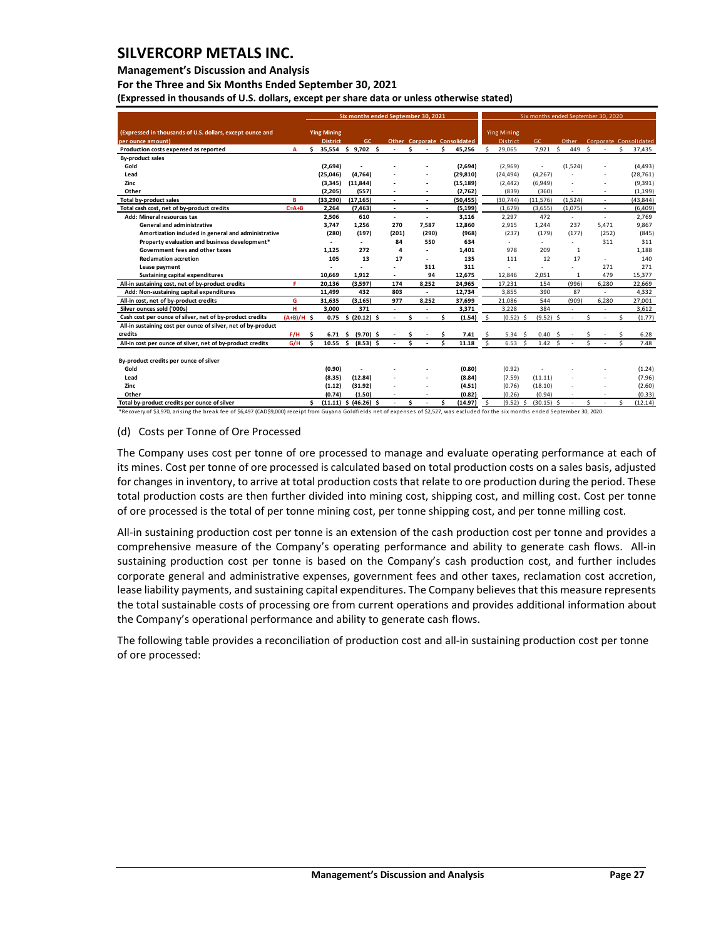### **Management's Discussion and Analysis**

**For the Three and Six Months Ended September 30, 2021**

**(Expressed in thousands of U.S. dollars, except per share data or unless otherwise stated)** 

|                                                                                |              | Six months ended September 30, 2021 |                                       |  |                           |     |                          |     |       |    |                                     | Six months ended September 30, 2020 |                                |                 |     |              |              |                          |              |                        |
|--------------------------------------------------------------------------------|--------------|-------------------------------------|---------------------------------------|--|---------------------------|-----|--------------------------|-----|-------|----|-------------------------------------|-------------------------------------|--------------------------------|-----------------|-----|--------------|--------------|--------------------------|--------------|------------------------|
| (Expressed in thousands of U.S. dollars, except ounce and<br>per ounce amount) |              |                                     | <b>Ying Mining</b><br><b>District</b> |  | GC.                       |     |                          |     |       |    | <b>Other Corporate Consolidated</b> |                                     | <b>Ying Mining</b><br>District | GC              |     | Other        |              |                          |              | Corporate Consolidated |
| Production costs expensed as reported                                          | A            | Ś.                                  |                                       |  | 35,554 \$ 9,702 \$        |     |                          | ¢   |       | \$ | 45,256                              | Ś.                                  | 29,065                         | 7,921           | Ś.  | 449          | <b>S</b>     |                          | Ś.           | 37,435                 |
| <b>By-product sales</b>                                                        |              |                                     |                                       |  |                           |     |                          |     |       |    |                                     |                                     |                                |                 |     |              |              |                          |              |                        |
| Gold                                                                           |              |                                     | (2,694)                               |  | $\overline{\phantom{a}}$  |     |                          |     |       |    | (2,694)                             |                                     | (2,969)                        |                 |     | (1,524)      |              |                          |              | (4, 493)               |
| Lead                                                                           |              |                                     | (25, 046)                             |  | (4, 764)                  |     |                          |     |       |    | (29, 810)                           |                                     | (24, 494)                      | (4, 267)        |     |              |              |                          |              | (28, 761)              |
| Zinc                                                                           |              |                                     | (3, 345)                              |  | (11, 844)                 |     |                          |     |       |    | (15, 189)                           |                                     | (2, 442)                       | (6,949)         |     |              |              |                          |              | (9, 391)               |
| Other                                                                          |              |                                     | (2, 205)                              |  | (557)                     |     |                          |     |       |    | (2,762)                             |                                     | (839)                          | (360)           |     |              |              |                          |              | (1, 199)               |
| Total by-product sales                                                         | B            |                                     | (33, 290)                             |  | (17, 165)                 |     | ÷                        |     | ٠     |    | (50, 455)                           |                                     | (30, 744)                      | (11, 576)       |     | (1,524)      |              | ٠                        |              | (43, 844)              |
| Total cash cost, net of by-product credits                                     | $C = A + B$  |                                     | 2,264                                 |  | (7, 463)                  |     | $\overline{\phantom{a}}$ |     | ٠     |    | (5, 199)                            |                                     | (1,679)                        | (3,655)         |     | (1,075)      |              |                          |              | (6,409)                |
| Add: Mineral resources tax                                                     |              |                                     | 2,506                                 |  | 610                       |     | $\overline{\phantom{a}}$ |     | ٠     |    | 3,116                               |                                     | 2,297                          | 472             |     | $\sim$       |              | $\overline{\phantom{a}}$ |              | 2,769                  |
| General and administrative                                                     |              |                                     | 3.747                                 |  | 1,256                     |     | 270                      |     | 7,587 |    | 12,860                              |                                     | 2,915                          | 1.244           |     | 237          |              | 5,471                    |              | 9,867                  |
| Amortization included in general and administrative                            |              |                                     | (280)                                 |  | (197)                     |     | (201)                    |     | (290) |    | (968)                               |                                     | (237)                          | (179)           |     | (177)        |              | (252)                    |              | (845)                  |
| Property evaluation and business development*                                  |              |                                     |                                       |  | $\overline{\phantom{a}}$  |     | 84                       |     | 550   |    | 634                                 |                                     |                                | $\sim$          |     | $\sim$       |              | 311                      |              | 311                    |
| Government fees and other taxes                                                |              |                                     | 1.125                                 |  | 272                       |     | 4                        |     | ٠     |    | 1.401                               |                                     | 978                            | 209             |     | $\mathbf{1}$ |              |                          |              | 1,188                  |
| <b>Reclamation accretion</b>                                                   |              |                                     | 105                                   |  | 13                        |     | 17                       |     | ٠     |    | 135                                 |                                     | 111                            | 12              |     | 17           |              | $\overline{\phantom{a}}$ |              | 140                    |
| Lease payment                                                                  |              |                                     |                                       |  |                           |     |                          |     | 311   |    | 311                                 |                                     |                                |                 |     |              |              | 271                      |              | 271                    |
| <b>Sustaining capital expenditures</b>                                         |              |                                     | 10,669                                |  | 1,912                     |     |                          |     | 94    |    | 12,675                              |                                     | 12,846                         | 2,051           |     | 1            |              | 479                      |              | 15,377                 |
| All-in sustaining cost, net of by-product credits                              | F            |                                     | 20,136                                |  | (3, 597)                  |     | 174                      |     | 8,252 |    | 24,965                              |                                     | 17,231                         | 154             |     | (996)        |              | 6,280                    |              | 22,669                 |
| Add: Non-sustaining capital expenditures                                       |              |                                     | 11,499                                |  | 432                       |     | 803                      |     | ٠     |    | 12,734                              |                                     | 3,855                          | 390             |     | 87           |              | $\overline{\phantom{a}}$ |              | 4,332                  |
| All-in cost, net of by-product credits                                         | G            |                                     | 31,635                                |  | (3, 165)                  |     | 977                      |     | 8,252 |    | 37,699                              |                                     | 21,086                         | 544             |     | (909)        |              | 6,280                    |              | 27,001                 |
| Silver ounces sold ('000s)                                                     | н            |                                     | 3,000                                 |  | 371                       |     | ٠                        |     |       |    | 3,371                               |                                     | 3,228                          | 384             |     | $\sim$       |              | ÷,                       |              | 3,612                  |
| Cash cost per ounce of silver, net of by-product credits                       | $(A+B)/H$ \$ |                                     | 0.75                                  |  | \$ (20.12)                | \$. |                          | ¢   |       | Ś  | (1.54)                              | $\mathsf{S}$                        | $(0.52)$ \$                    | (9.52)          | Š.  |              | $\mathsf{s}$ |                          | $\mathsf{s}$ | (1.77)                 |
| All-in sustaining cost per ounce of silver, net of by-product                  |              |                                     |                                       |  |                           |     |                          |     |       |    |                                     |                                     |                                |                 |     |              |              |                          |              |                        |
| credits                                                                        | F/H          | Ś                                   | $6.71 \quad $$                        |  | $(9.70)$ \$               |     |                          |     |       | Ŝ  | 7.41                                | \$.                                 | 5.34 <sup>5</sup>              | 0.40            | - S |              |              |                          |              | 6.28                   |
| All-in cost per ounce of silver, net of by-product credits                     | G/H          | \$.                                 | $10.55$ \$                            |  | $(8.53)$ \$               |     |                          | \$. |       | \$ | 11.18                               | \$.                                 | $6.53\frac{2}{3}$              | $1.42 \quad$ \$ |     |              | Š.           |                          | Ś.           | 7.48                   |
|                                                                                |              |                                     |                                       |  |                           |     |                          |     |       |    |                                     |                                     |                                |                 |     |              |              |                          |              |                        |
| By-product credits per ounce of silver                                         |              |                                     |                                       |  |                           |     |                          |     |       |    |                                     |                                     |                                |                 |     |              |              |                          |              |                        |
| Gold                                                                           |              |                                     | (0.90)                                |  |                           |     |                          |     |       |    | (0.80)                              |                                     | (0.92)                         |                 |     |              |              |                          |              | (1.24)                 |
| Lead                                                                           |              |                                     | (8.35)                                |  | (12.84)                   |     |                          |     |       |    | (8.84)                              |                                     | (7.59)                         | (11.11)         |     |              |              | ٠                        |              | (7.96)                 |
| Zinc                                                                           |              |                                     | (1.12)                                |  | (31.92)                   |     |                          |     |       |    | (4.51)                              |                                     | (0.76)                         | (18.10)         |     |              |              |                          |              | (2.60)                 |
| Other                                                                          |              |                                     | (0.74)                                |  | (1.50)                    |     |                          |     |       |    | (0.82)                              |                                     | (0.26)                         | (0.94)          |     |              |              |                          |              | (0.33)                 |
| Total by-product credits per ounce of silver                                   |              | \$.                                 |                                       |  | $(11.11)$ \$ $(46.26)$ \$ |     |                          | Ś   |       | \$ | (14.97)                             | Ŝ.                                  | $(9.52)$ \$                    | $(30.15)$ \$    |     |              | Ś            |                          | Ś            | (12.14)                |

\*Recovery of \$3,970, arising the break fee of \$6,497 (CAD\$9,000) receipt from Guyana Goldfields net of expenses of \$2,527, was excluded for the six months ended September 30, 2020.

#### (d) Costs per Tonne of Ore Processed

The Company uses cost per tonne of ore processed to manage and evaluate operating performance at each of its mines. Cost per tonne of ore processed is calculated based on total production costs on a sales basis, adjusted for changes in inventory, to arrive at total production costs that relate to ore production during the period. These total production costs are then further divided into mining cost, shipping cost, and milling cost. Cost per tonne of ore processed is the total of per tonne mining cost, per tonne shipping cost, and per tonne milling cost.

All-in sustaining production cost per tonne is an extension of the cash production cost per tonne and provides a comprehensive measure of the Company's operating performance and ability to generate cash flows. All-in sustaining production cost per tonne is based on the Company's cash production cost, and further includes corporate general and administrative expenses, government fees and other taxes, reclamation cost accretion, lease liability payments, and sustaining capital expenditures. The Company believes that this measure represents the total sustainable costs of processing ore from current operations and provides additional information about the Company's operational performance and ability to generate cash flows.

The following table provides a reconciliation of production cost and all-in sustaining production cost per tonne of ore processed: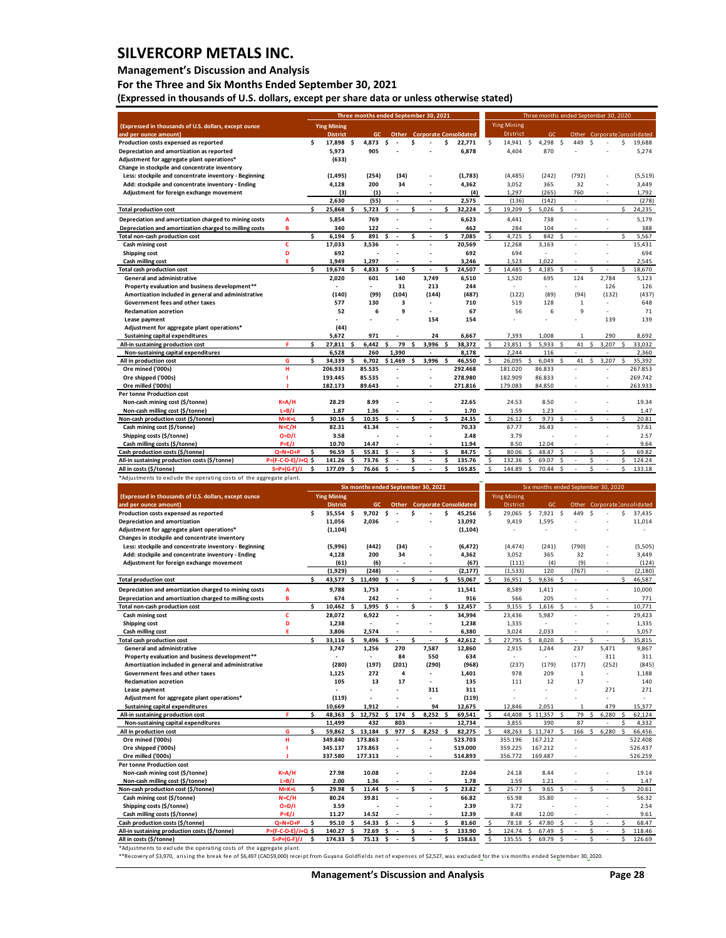### **Management's Discussion and Analysis**

**For the Three and Six Months Ended September 30, 2021**

**(Expressed in thousands of U.S. dollars, except per share data or unless otherwise stated)** 

|                                                                                                        |                                           |    |                    |    |                | Three months ended September 30, 2021 |         |                          |                                     |                    |                    | Three months ended September 30, 2020 |                     |                          |         |       |         |                              |
|--------------------------------------------------------------------------------------------------------|-------------------------------------------|----|--------------------|----|----------------|---------------------------------------|---------|--------------------------|-------------------------------------|--------------------|--------------------|---------------------------------------|---------------------|--------------------------|---------|-------|---------|------------------------------|
| (Expressed in thousands of U.S. dollars, except ounce                                                  |                                           |    | <b>Ying Mining</b> |    |                |                                       |         |                          |                                     |                    | <b>Ying Mining</b> |                                       |                     |                          |         |       |         |                              |
| and per ounce amount)                                                                                  |                                           |    | <b>District</b>    |    | GC.            |                                       |         |                          | <b>Other</b> Corporate Consolidated |                    | District           | GC                                    |                     |                          |         |       |         | Other Corporate Consolidated |
| Production costs expensed as reported                                                                  |                                           | \$ | 17,898             | \$ | 4,873          | \$                                    | \$      |                          | \$<br>22,771                        | \$                 | 14,941             | \$<br>4,298                           | \$                  | 449                      | \$      |       | \$      | 19,688                       |
| Depreciation and amortization as reported                                                              |                                           |    | 5,973              |    | 905            |                                       |         |                          | 6,878                               |                    | 4,404              | 870                                   |                     |                          |         |       |         | 5,274                        |
| Adjustment for aggregate plant operations*                                                             |                                           |    | (633)              |    |                |                                       |         |                          |                                     |                    |                    |                                       |                     |                          |         |       |         |                              |
| Change in stockpile and concentrate inventory<br>Less: stockpile and concentrate inventory - Beginning |                                           |    | (1, 495)           |    | (254)          | (34)                                  |         |                          | (1,783)                             |                    | (4, 485)           | (242)                                 |                     | (792)                    |         |       |         | (5, 519)                     |
| Add: stockpile and concentrate inventory - Ending                                                      |                                           |    | 4,128              |    | 200            | 34                                    |         |                          | 4,362                               |                    | 3,052              | 365                                   |                     | 32                       |         |       |         | 3,449                        |
| Adjustment for foreign exchange movement                                                               |                                           |    | (3)                |    | (1)            |                                       |         |                          | (4)                                 |                    | 1,297              | (265)                                 |                     | 760                      |         |       |         | 1,792                        |
|                                                                                                        |                                           |    | 2,630              |    | (55)           |                                       |         |                          | 2,575                               |                    | (136)              | (142)                                 |                     |                          |         |       |         | (278)                        |
| <b>Total production cost</b>                                                                           |                                           | \$ | 25,868             | Ś  | 5,723          | \$<br>$\blacksquare$                  | Ś       | ÷,                       | \$<br>32,224                        | \$                 | 19,209             | \$<br>5,026                           |                     | $\overline{\phantom{a}}$ |         |       | \$      | 24,235                       |
| Depreciation and amortization charged to mining costs                                                  | Α                                         |    | 5,854              |    | 769            |                                       |         |                          | 6,623                               |                    | 4,441              | 738                                   |                     |                          |         |       |         | 5,179                        |
| Depreciation and amortization charged to milling costs                                                 | B                                         |    | 340                |    | 122            |                                       |         |                          | 462                                 |                    | 284                | 104                                   |                     |                          |         |       |         | 388                          |
| Total non-cash production cost                                                                         |                                           | Ś  | 6,194              | ¢  | 891            | Ś<br>÷.                               | Ś       | Ś<br>÷,                  | 7,085                               | \$                 | 4,725              | 842<br>¢                              | ¢                   | J.                       |         |       | Ś       | 5,567                        |
| Cash mining cost                                                                                       | c                                         |    | 17,033             |    | 3,536          |                                       |         |                          | 20,569                              |                    | 12,268             | 3,163                                 |                     |                          |         |       |         | 15,431                       |
| <b>Shipping cost</b>                                                                                   | D                                         |    | 692                |    |                |                                       |         |                          | 692                                 |                    | 694                |                                       |                     |                          |         |       |         | 694                          |
| Cash milling cost                                                                                      | Е                                         |    | 1,949              |    | 1,297          |                                       |         |                          | 3,246                               |                    | 1,523              | 1,022                                 |                     |                          |         |       |         | 2,545                        |
| <b>Total cash production cost</b>                                                                      |                                           | Ś  | 19,674             | \$ | 4,833          | \$                                    | \$      |                          | \$<br>24,507                        | \$                 | 14,485             | \$<br>4,185                           | Ś                   |                          | \$      |       | \$      | 18,670                       |
| General and administrative                                                                             |                                           |    | 2,020              |    | 601            | 140                                   |         | 3,749                    | 6,510                               |                    | 1,520              | 695                                   |                     | 124                      |         | 2,784 |         | 5,123                        |
| Property evaluation and business development**                                                         |                                           |    | (140)              |    |                | 31<br>(104)                           |         | 213                      | 244                                 |                    |                    |                                       |                     |                          |         | 126   |         | 126                          |
| Amortization included in general and administrative<br>Government fees and other taxes                 |                                           |    | 577                |    | (99)<br>130    | з                                     |         | (144)                    | (487)<br>710                        |                    | (122)<br>519       | (89)<br>128                           |                     | (94)<br>$\mathbf{1}$     |         | (132) |         | (437)<br>648                 |
| <b>Reclamation accretion</b>                                                                           |                                           |    | 52                 |    | 6              | 9                                     |         |                          | 67                                  |                    | 56                 | 6                                     |                     | 9                        |         |       |         | 71                           |
| Lease payment                                                                                          |                                           |    |                    |    |                |                                       |         | 154                      | 154                                 |                    |                    |                                       |                     |                          |         | 139   |         | 139                          |
| Adjustment for aggregate plant operations*                                                             |                                           |    | (44)               |    |                |                                       |         |                          |                                     |                    |                    |                                       |                     |                          |         |       |         |                              |
| <b>Sustaining capital expenditures</b>                                                                 |                                           |    | 5,672              |    | 971            |                                       |         | 24                       | 6,667                               |                    | 7,393              | 1,008                                 |                     |                          |         | 290   |         | 8,692                        |
| All-in sustaining production cost                                                                      | F                                         | \$ | 27,811             | \$ | 6,442          | 79<br>Ś                               | Ś       | 3,996                    | Ś<br>38,372                         | \$                 | 23,851             | \$<br>5,933                           | ¢                   | 41                       | Ś       | 3,207 | Ś       | 33,032                       |
| Non-sustaining capital expenditures                                                                    |                                           |    | 6,528              |    | 260            | 1,390                                 |         |                          | 8,178                               |                    | 2,244              | 116                                   |                     | L.                       |         |       |         | 2,360                        |
| All in production cost                                                                                 | G                                         | \$ | 34,339             | \$ | 6,702          | \$1,469                               | Ś       | 3,996<br>\$              | 46,550                              | \$                 | 26,095             | Ś<br>6,049                            |                     | 41                       | Ś       | 3,207 |         | 35,392                       |
| Ore mined ('000s)                                                                                      | н                                         |    | 206.933            |    | 85.535         |                                       |         |                          | 292.468                             |                    | 181.020            | 86.833                                |                     |                          |         |       |         | 267.853                      |
| Ore shipped ('000s)                                                                                    | ı                                         |    | 193.445            |    | 85.535         |                                       |         |                          | 278.980                             |                    | 182.909            | 86.833                                |                     |                          |         |       |         | 269.742                      |
| Ore milled ('000s)                                                                                     |                                           |    | 182.173            |    | 89.643         |                                       |         |                          | 271.816                             |                    | 179.083            | 84.850                                |                     |                          |         |       |         | 263.933                      |
| Per tonne Production cost                                                                              |                                           |    |                    |    |                |                                       |         | ÷,                       |                                     |                    |                    |                                       |                     |                          |         |       |         |                              |
| Non-cash mining cost (\$/tonne)<br>Non-cash milling cost (\$/tonne)                                    | $K = A/H$<br>$L=B/J$                      |    | 28.29<br>1.87      |    | 8.99<br>1.36   |                                       |         |                          | 22.65<br>1.70                       |                    | 24.53<br>1.59      | 8.50<br>1.23                          |                     |                          |         |       |         | 19.34<br>1.47                |
| Non-cash production cost (\$/tonne)                                                                    | $M=K+L$                                   | \$ | 30.16              | Ś  | 10.35          | \$                                    | Ś       |                          | \$<br>24.35                         | \$                 | 26.12              | \$<br>9.73                            | Ś                   |                          | \$      |       | \$      | 20.81                        |
| Cash mining cost (\$/tonne)                                                                            | $N = C/H$                                 |    | 82.31              |    | 41.34          | $\overline{\phantom{a}}$              |         | ÷,                       | 70.33                               |                    | 67.77              | 36.43                                 |                     |                          |         |       |         | 57.61                        |
| Shipping costs (\$/tonne)                                                                              | $O=D/I$                                   |    | 3.58               |    |                |                                       |         |                          | 2.48                                |                    | 3.79               |                                       |                     |                          |         |       |         | 2.57                         |
| Cash milling costs (\$/tonne)                                                                          | $P=E/J$                                   |    | 10.70              |    | 14.47          |                                       |         |                          | 11.94                               |                    | 8.50               | 12.04                                 |                     |                          |         |       |         | 9.64                         |
| Cash production costs (\$/tonne)                                                                       | $Q=N+O+P$                                 | \$ | 96.59              | Ś  | 55.81          | \$                                    | \$      | $\sim$                   | \$<br>84.75                         | \$                 | 80.06              | \$<br>48.47                           | \$                  | ÷,                       | \$      | ÷,    | \$      | 69.82                        |
| All-in sustaining production costs (\$/tonne)                                                          | P=(F-C-D-E)/J+Q \$                        |    | 141.26             | \$ | 73.76          | Ś                                     | Ś       |                          | \$<br>135.76                        | \$                 | 132.36             | \$<br>69.07                           | Ś                   |                          | \$      |       | \$      | 124.24                       |
| All in costs (\$/tonne)                                                                                | $S = P + (G - F)/J$                       | \$ | 177.09             | \$ |                |                                       | Ś       | \$                       |                                     | \$                 | 144.89             | \$<br>70.44                           | \$                  |                          | \$      |       | \$      | 133.18                       |
|                                                                                                        |                                           |    |                    |    | 76.66          | \$                                    |         |                          | 165.85                              |                    |                    |                                       |                     |                          |         |       |         |                              |
| *Adjustments to exclude the operating costs of the aggregate plant.                                    |                                           |    |                    |    |                |                                       |         |                          |                                     |                    |                    |                                       |                     |                          |         |       |         |                              |
|                                                                                                        |                                           |    |                    |    |                | Six months ended September 30, 2021   |         |                          |                                     |                    |                    | Six months ended September 30, 2020   |                     |                          |         |       |         |                              |
| (Expressed in thousands of U.S. dollars, except ounce                                                  |                                           |    | <b>Ying Mining</b> |    |                |                                       |         |                          |                                     |                    | <b>Ying Mining</b> |                                       |                     |                          |         |       |         |                              |
| and per ounce amount]                                                                                  |                                           |    | <b>District</b>    |    | GC             | Othe                                  |         |                          | <b>Corporate Consolidated</b>       |                    | District           | GC                                    |                     | Othe                     |         |       |         | Corporate Consolidated       |
| Production costs expensed as reported                                                                  |                                           | \$ | 35,554             | \$ | 9,702          | \$                                    | \$      |                          | \$<br>45,256                        | \$                 | 29,065             | \$<br>7,921                           | $\ddot{\mathsf{s}}$ | 449                      | \$      |       | \$      | 37,435                       |
| Depreciation and amortization                                                                          |                                           |    | 11,056             |    | 2,036          |                                       |         |                          | 13,092                              |                    | 9,419              | 1,595                                 |                     |                          |         |       |         | 11,014                       |
| Adjustment for aggregate plant operations*                                                             |                                           |    | (1, 104)           |    |                |                                       |         |                          | (1, 104)                            |                    |                    |                                       |                     |                          |         |       |         |                              |
| Changes in stockpile and concentrate inventory                                                         |                                           |    |                    |    |                |                                       |         |                          |                                     |                    |                    |                                       |                     |                          |         |       |         |                              |
| Less: stockpile and concentrate inventory - Beginning                                                  |                                           |    | (5,996)            |    | (442)          | (34)                                  |         |                          | (6, 472)                            |                    | (4, 474)           | (241)                                 |                     | (790)                    |         |       |         | (5,505)                      |
| Add: stockpile and concentrate inventory - Ending                                                      |                                           |    | 4,128              |    | 200            | 34                                    |         |                          | 4,362                               |                    | 3,052<br>(111)     | 365<br>(4)                            |                     | 32                       |         |       |         | 3,449                        |
| Adjustment for foreign exchange movement                                                               |                                           |    | (61)<br>(1, 929)   |    | (6)<br>(248)   |                                       |         |                          | (67)<br>(2, 177)                    |                    | (1, 533)           | 120                                   |                     | (9)<br>(767)             |         |       |         | (124)<br>(2, 180)            |
| <b>Total production cost</b>                                                                           |                                           | \$ | 43,577             | \$ | 11,490         | $\overline{\phantom{a}}$<br>S         | \$      | $\blacksquare$           | \$<br>55,067                        | -\$                | 36,951             | 9,636<br>\$                           |                     | $\overline{\phantom{a}}$ |         |       | \$      | 46,587                       |
|                                                                                                        | A                                         |    |                    |    |                |                                       |         |                          |                                     |                    |                    | 1,411                                 |                     |                          |         |       |         |                              |
| Depreciation and amortization charged to mining costs                                                  | B                                         |    | 9,788              |    | 1,753          |                                       |         |                          | 11,541                              |                    | 8,589              | 205                                   |                     |                          |         |       |         | 10,000                       |
| Depreciation and amortization charged to milling costs<br>Total non-cash production cost               |                                           | \$ | 674<br>10,462      | Ś  | 242<br>1,995   | Ś<br>ä,                               | Ś       |                          | 916<br>\$<br>12,457                 | -\$                | 566<br>9,155       | \$<br>1,616                           | Ś                   | ÷,                       | Ś       |       |         | 771<br>10,771                |
| Cash mining cost                                                                                       | c                                         |    | 28,072             |    | 6,922          |                                       |         |                          | 34,994                              |                    | 23,436             | 5,987                                 |                     |                          |         |       |         | 29,423                       |
| <b>Shipping cost</b>                                                                                   | D                                         |    | 1,238              |    |                |                                       |         | ÷,                       | 1,238                               |                    | 1,335              |                                       |                     |                          |         |       |         | 1,335                        |
| Cash milling cost                                                                                      | Е                                         |    | 3,806              |    | 2,574          |                                       |         |                          | 6,380                               |                    | 3,024              | 2,033                                 |                     |                          |         |       |         | 5,057                        |
| <b>Total cash production cost</b>                                                                      |                                           |    | 33,116             |    | 9,496          |                                       |         |                          | 42,612                              |                    | 27.795             | 8,020                                 |                     |                          |         |       |         | 35,815                       |
| <b>General and administrative</b>                                                                      |                                           |    | 3,747              |    | 1,256          | 270                                   |         | 7,587                    | 12,860                              |                    | 2,915              | 1,244                                 |                     | 237                      |         | 5,471 |         | 9,867                        |
| Property evaluation and business development**                                                         |                                           |    |                    |    |                | 84                                    |         | 550                      | 634                                 |                    |                    |                                       |                     |                          |         | 311   |         | 311                          |
| Amortization included in general and administrative                                                    |                                           |    | (280)              |    | (197)          | (201)                                 |         | (290)                    | (968)                               |                    | (237)              | (179)                                 |                     | (177)                    |         | (252) |         | (845)                        |
| Government fees and other taxes                                                                        |                                           |    | 1,125              |    | 272            | 4                                     |         |                          | 1,401                               |                    | 978                | 209                                   |                     | $\mathbf 1$              |         |       |         | 1,188                        |
| <b>Reclamation accretion</b>                                                                           |                                           |    | 105                |    | 13             | 17                                    |         |                          | 135                                 |                    | 111<br>÷,          | 12                                    |                     | 17                       |         |       |         | 140                          |
| Lease payment                                                                                          |                                           |    |                    |    |                |                                       |         | 311                      | 311                                 |                    | ä,                 |                                       |                     |                          |         | 271   |         | 271                          |
| Adjustment for aggregate plant operations*<br><b>Sustaining capital expenditures</b>                   |                                           |    | (119)<br>10,669    |    | 1,912          |                                       |         | 94                       | (119)<br>12,675                     |                    | 12,846             | 2,051                                 |                     | 1                        |         | 479   |         | 15,377                       |
| All-in sustaining production cost                                                                      | F                                         | \$ | 48,363             | \$ | 12,752         | \$<br>174                             | Ś       | 8,252                    | \$<br>69,541                        | \$.                | 44,408             | \$11,357                              | \$                  | 79                       |         | 6,280 | \$      | 62,124                       |
| Non-sustaining capital expenditures                                                                    |                                           |    | 11,499             |    | 432            | 803                                   |         |                          | 12,734                              |                    | 3,855              | 390                                   |                     | 87                       |         |       |         | 4,332                        |
| All in production cost                                                                                 | G                                         | \$ | 59,862             | \$ | 13,184         | 977<br>Ś                              | \$      | 8,252<br>\$              | 82,275                              | -\$                | 48,263             | \$11,747                              | Ś                   | 166                      | \$      | 6,280 | Ś       | 66,456                       |
| Ore mined ('000s)                                                                                      | н                                         |    | 349.840            |    | 173.863        |                                       |         |                          | 523.703                             |                    | 355.196            | 167.212                               |                     |                          |         |       |         | 522.408                      |
| Ore shipped ('000s)                                                                                    | 1                                         |    | 345.137            |    | 173.863        |                                       |         |                          | 519.000                             |                    | 359.225            | 167.212                               |                     |                          |         |       |         | 526.437                      |
| Ore milled ('000s)                                                                                     | J                                         |    | 337.580            |    | 177.313        |                                       |         |                          | 514.893                             |                    | 356.772            | 169.487                               |                     |                          |         |       |         | 526.259                      |
| Per tonne Production cost                                                                              |                                           |    |                    |    |                |                                       |         |                          |                                     |                    |                    |                                       |                     |                          |         |       |         |                              |
| Non-cash mining cost (\$/tonne)                                                                        | $K = A/H$                                 |    | 27.98              |    | 10.08          |                                       |         |                          | 22.04                               |                    | 24.18              | 8.44                                  |                     |                          |         |       |         | 19.14                        |
| Non-cash milling cost (\$/tonne)                                                                       | $L = B/J$<br>$M=K+L$                      | \$ | 2.00               |    | 1.36           | $\overline{\phantom{a}}$<br>S         | Ś       | $\overline{\phantom{a}}$ | 1.78<br>\$                          | \$                 | 1.59               | 1.21<br>\$                            |                     | $\sim$                   | Ś       | ÷,    |         | 1.47                         |
| Non-cash production cost (\$/tonne)                                                                    | N=C/H                                     |    | 29.98<br>80.24     |    | 11.44<br>39.81 |                                       |         |                          | 23.82<br>66.82                      |                    | 25.77<br>65.98     | 9.65<br>35.80                         |                     |                          |         |       |         | 20.61<br>56.32               |
| Cash mining cost (\$/tonne)<br>Shipping costs (\$/tonne)                                               | $O = D/I$                                 |    | 3.59               |    |                |                                       |         |                          | 2.39                                |                    | 3.72               |                                       |                     |                          |         |       |         | 2.54                         |
| Cash milling costs (\$/tonne)                                                                          | $P=E/J$                                   |    | 11.27              |    | 14.52          |                                       |         |                          | 12.39                               |                    | 8.48               | 12.00                                 |                     |                          |         |       |         | 9.61                         |
| Cash production costs (\$/tonne)                                                                       | $Q=N+O+P$                                 | \$ | 95.10              | \$ | 54.33          | \$                                    | \$      |                          | \$<br>81.60                         | \$                 | 78.18              | \$<br>47.80                           | \$                  |                          | \$      |       | \$      | 68.47                        |
| All-in sustaining production costs (\$/tonne)<br>All in costs (\$/tonne)                               | P=(F-C-D-E)/J+Q \$<br>$S = P + (G - F)/J$ | Ś  | 140.27<br>174.33   | \$ | 72.69<br>75.13 | \$<br>\$                              | \$<br>Ś | Ś                        | \$<br>133.90<br>158.63              | $\mathsf{S}$<br>\$ | 124.74<br>135.55   | \$<br>67.49<br>\$<br>69.79            | \$<br>Ś             |                          | \$<br>Ś |       | \$<br>Ś | 118.46<br>126.69             |

\*Adjustments to exclude the operating costs of the aggregate plant.

\*\*Recovery of \$3,970, arising the break fee of \$6,497 (CAD\$9,000) receipt from Guyana Goldfields net of expenses of \$2,527, was excluded for the six months ended September 30, 2020.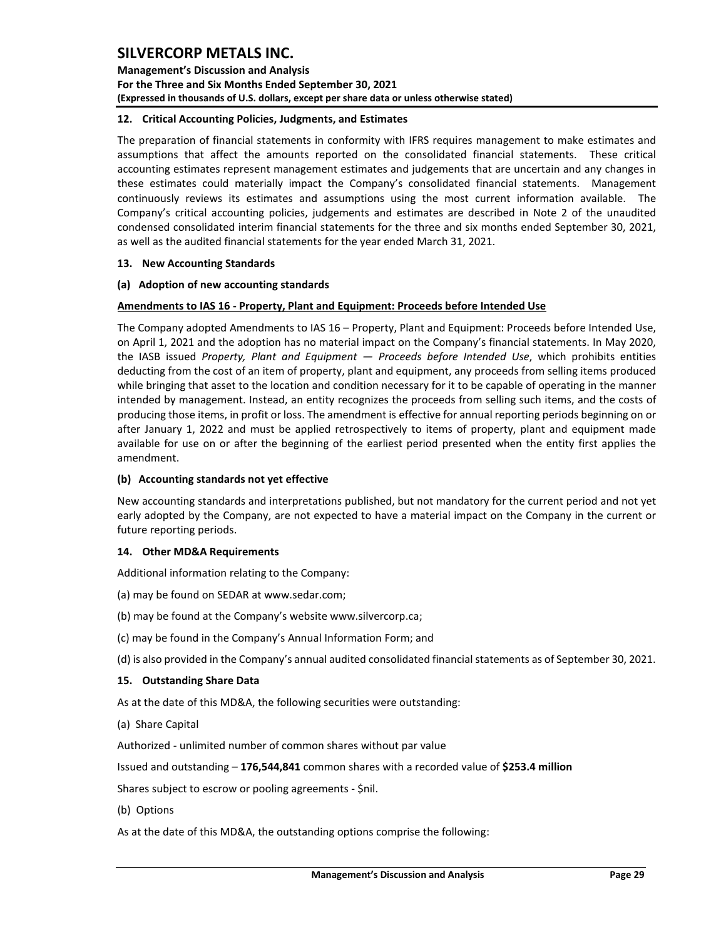**Management's Discussion and Analysis For the Three and Six Months Ended September 30, 2021 (Expressed in thousands of U.S. dollars, except per share data or unless otherwise stated)** 

### <span id="page-29-0"></span>**12. Critical Accounting Policies, Judgments, and Estimates**

The preparation of financial statements in conformity with IFRS requires management to make estimates and assumptions that affect the amounts reported on the consolidated financial statements. These critical accounting estimates represent management estimates and judgements that are uncertain and any changes in these estimates could materially impact the Company's consolidated financial statements. Management continuously reviews its estimates and assumptions using the most current information available. The Company's critical accounting policies, judgements and estimates are described in Note 2 of the unaudited condensed consolidated interim financial statements for the three and six months ended September 30, 2021, as well as the audited financial statements for the year ended March 31, 2021.

### <span id="page-29-1"></span>**13. New Accounting Standards**

## **(a) Adoption of new accounting standards**

## **Amendments to IAS 16 - Property, Plant and Equipment: Proceeds before Intended Use**

The Company adopted Amendments to IAS 16 – Property, Plant and Equipment: Proceeds before Intended Use, on April 1, 2021 and the adoption has no material impact on the Company's financial statements. In May 2020, the IASB issued *Property, Plant and Equipment — Proceeds before Intended Use*, which prohibits entities deducting from the cost of an item of property, plant and equipment, any proceeds from selling items produced while bringing that asset to the location and condition necessary for it to be capable of operating in the manner intended by management. Instead, an entity recognizes the proceeds from selling such items, and the costs of producing those items, in profit or loss. The amendment is effective for annual reporting periods beginning on or after January 1, 2022 and must be applied retrospectively to items of property, plant and equipment made available for use on or after the beginning of the earliest period presented when the entity first applies the amendment.

### **(b) Accounting standards not yet effective**

New accounting standards and interpretations published, but not mandatory for the current period and not yet early adopted by the Company, are not expected to have a material impact on the Company in the current or future reporting periods.

### <span id="page-29-2"></span>**14. Other MD&A Requirements**

Additional information relating to the Company:

- (a) may be found on SEDAR at www.sedar.com;
- (b) may be found at the Company's website www.silvercorp.ca;
- (c) may be found in the Company's Annual Information Form; and
- (d) is also provided in the Company's annual audited consolidated financial statements as of September 30, 2021.

### <span id="page-29-3"></span>**15. Outstanding Share Data**

As at the date of this MD&A, the following securities were outstanding:

(a) Share Capital

Authorized - unlimited number of common shares without par value

Issued and outstanding – **176,544,841** common shares with a recorded value of **\$253.4 million**

Shares subject to escrow or pooling agreements - \$nil.

(b) Options

As at the date of this MD&A, the outstanding options comprise the following: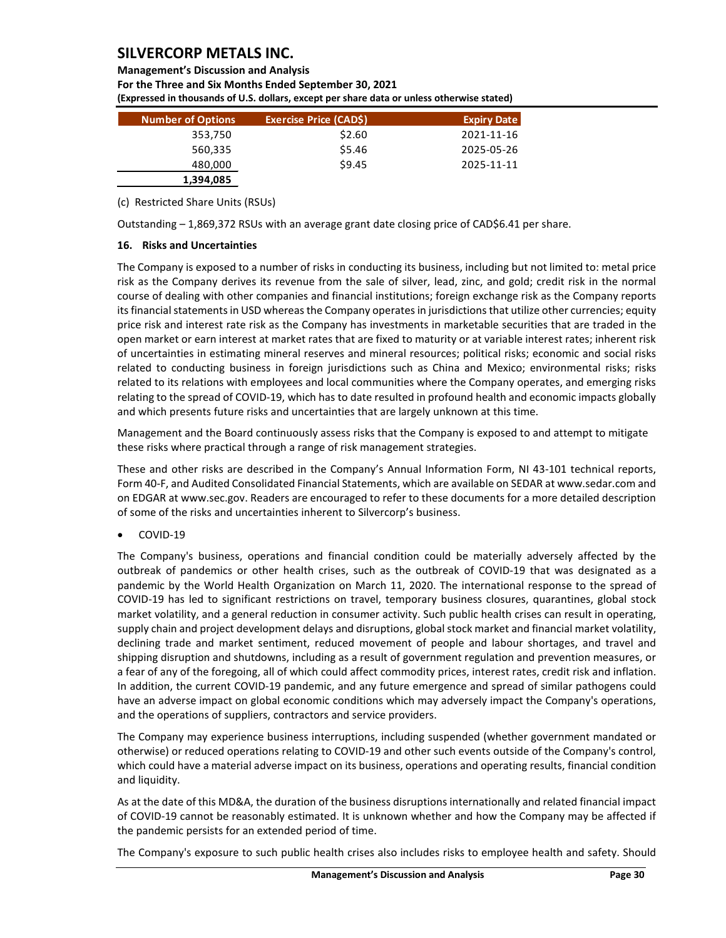### **Management's Discussion and Analysis For the Three and Six Months Ended September 30, 2021 (Expressed in thousands of U.S. dollars, except per share data or unless otherwise stated)**

| <b>Number of Options</b> | Exercise Price (CAD\$) | <b>Expiry Date</b> |
|--------------------------|------------------------|--------------------|
| 353,750                  | \$2.60                 | 2021-11-16         |
| 560,335                  | \$5.46                 | 2025-05-26         |
| 480,000                  | \$9.45                 | 2025-11-11         |
| 1,394,085                |                        |                    |

(c) Restricted Share Units (RSUs)

Outstanding – 1,869,372 RSUs with an average grant date closing price of CAD\$6.41 per share.

### <span id="page-30-0"></span>**16. Risks and Uncertainties**

The Company is exposed to a number of risks in conducting its business, including but not limited to: metal price risk as the Company derives its revenue from the sale of silver, lead, zinc, and gold; credit risk in the normal course of dealing with other companies and financial institutions; foreign exchange risk as the Company reports its financial statements in USD whereas the Company operates in jurisdictions that utilize other currencies; equity price risk and interest rate risk as the Company has investments in marketable securities that are traded in the open market or earn interest at market rates that are fixed to maturity or at variable interest rates; inherent risk of uncertainties in estimating mineral reserves and mineral resources; political risks; economic and social risks related to conducting business in foreign jurisdictions such as China and Mexico; environmental risks; risks related to its relations with employees and local communities where the Company operates, and emerging risks relating to the spread of COVID-19, which has to date resulted in profound health and economic impacts globally and which presents future risks and uncertainties that are largely unknown at this time.

Management and the Board continuously assess risks that the Company is exposed to and attempt to mitigate these risks where practical through a range of risk management strategies.

These and other risks are described in the Company's Annual Information Form, NI 43-101 technical reports, Form 40-F, and Audited Consolidated Financial Statements, which are available on SEDAR at www.sedar.com and on EDGAR at www.sec.gov. Readers are encouraged to refer to these documents for a more detailed description of some of the risks and uncertainties inherent to Silvercorp's business.

• COVID-19

The Company's business, operations and financial condition could be materially adversely affected by the outbreak of pandemics or other health crises, such as the outbreak of COVID-19 that was designated as a pandemic by the World Health Organization on March 11, 2020. The international response to the spread of COVID-19 has led to significant restrictions on travel, temporary business closures, quarantines, global stock market volatility, and a general reduction in consumer activity. Such public health crises can result in operating, supply chain and project development delays and disruptions, global stock market and financial market volatility, declining trade and market sentiment, reduced movement of people and labour shortages, and travel and shipping disruption and shutdowns, including as a result of government regulation and prevention measures, or a fear of any of the foregoing, all of which could affect commodity prices, interest rates, credit risk and inflation. In addition, the current COVID-19 pandemic, and any future emergence and spread of similar pathogens could have an adverse impact on global economic conditions which may adversely impact the Company's operations, and the operations of suppliers, contractors and service providers.

The Company may experience business interruptions, including suspended (whether government mandated or otherwise) or reduced operations relating to COVID-19 and other such events outside of the Company's control, which could have a material adverse impact on its business, operations and operating results, financial condition and liquidity.

As at the date of this MD&A, the duration of the business disruptions internationally and related financial impact of COVID-19 cannot be reasonably estimated. It is unknown whether and how the Company may be affected if the pandemic persists for an extended period of time.

The Company's exposure to such public health crises also includes risks to employee health and safety. Should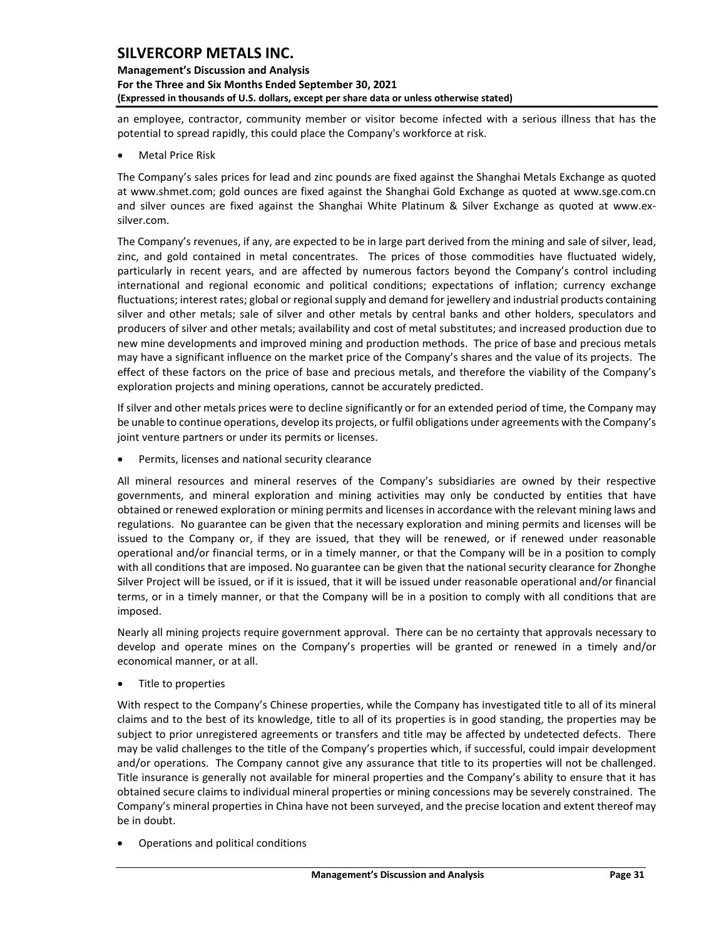## **Management's Discussion and Analysis For the Three and Six Months Ended September 30, 2021 (Expressed in thousands of U.S. dollars, except per share data or unless otherwise stated)**

an employee, contractor, community member or visitor become infected with a serious illness that has the potential to spread rapidly, this could place the Company's workforce at risk.

• Metal Price Risk

The Company's sales prices for lead and zinc pounds are fixed against the Shanghai Metals Exchange as quoted at [www.shmet.com;](http://www.shmet.com/) gold ounces are fixed against the Shanghai Gold Exchange as quoted at www.sge.com.cn and silver ounces are fixed against the Shanghai White Platinum & Silver Exchange as quoted at www.exsilver.com.

The Company's revenues, if any, are expected to be in large part derived from the mining and sale of silver, lead, zinc, and gold contained in metal concentrates. The prices of those commodities have fluctuated widely, particularly in recent years, and are affected by numerous factors beyond the Company's control including international and regional economic and political conditions; expectations of inflation; currency exchange fluctuations; interest rates; global or regional supply and demand for jewellery and industrial products containing silver and other metals; sale of silver and other metals by central banks and other holders, speculators and producers of silver and other metals; availability and cost of metal substitutes; and increased production due to new mine developments and improved mining and production methods. The price of base and precious metals may have a significant influence on the market price of the Company's shares and the value of its projects. The effect of these factors on the price of base and precious metals, and therefore the viability of the Company's exploration projects and mining operations, cannot be accurately predicted.

If silver and other metals prices were to decline significantly or for an extended period of time, the Company may be unable to continue operations, develop its projects, or fulfil obligations under agreements with the Company's joint venture partners or under its permits or licenses.

• Permits, licenses and national security clearance

All mineral resources and mineral reserves of the Company's subsidiaries are owned by their respective governments, and mineral exploration and mining activities may only be conducted by entities that have obtained or renewed exploration or mining permits and licenses in accordance with the relevant mining laws and regulations. No guarantee can be given that the necessary exploration and mining permits and licenses will be issued to the Company or, if they are issued, that they will be renewed, or if renewed under reasonable operational and/or financial terms, or in a timely manner, or that the Company will be in a position to comply with all conditions that are imposed. No guarantee can be given that the national security clearance for Zhonghe Silver Project will be issued, or if it is issued, that it will be issued under reasonable operational and/or financial terms, or in a timely manner, or that the Company will be in a position to comply with all conditions that are imposed.

Nearly all mining projects require government approval. There can be no certainty that approvals necessary to develop and operate mines on the Company's properties will be granted or renewed in a timely and/or economical manner, or at all.

• Title to properties

With respect to the Company's Chinese properties, while the Company has investigated title to all of its mineral claims and to the best of its knowledge, title to all of its properties is in good standing, the properties may be subject to prior unregistered agreements or transfers and title may be affected by undetected defects. There may be valid challenges to the title of the Company's properties which, if successful, could impair development and/or operations. The Company cannot give any assurance that title to its properties will not be challenged. Title insurance is generally not available for mineral properties and the Company's ability to ensure that it has obtained secure claims to individual mineral properties or mining concessions may be severely constrained. The Company's mineral properties in China have not been surveyed, and the precise location and extent thereof may be in doubt.

• Operations and political conditions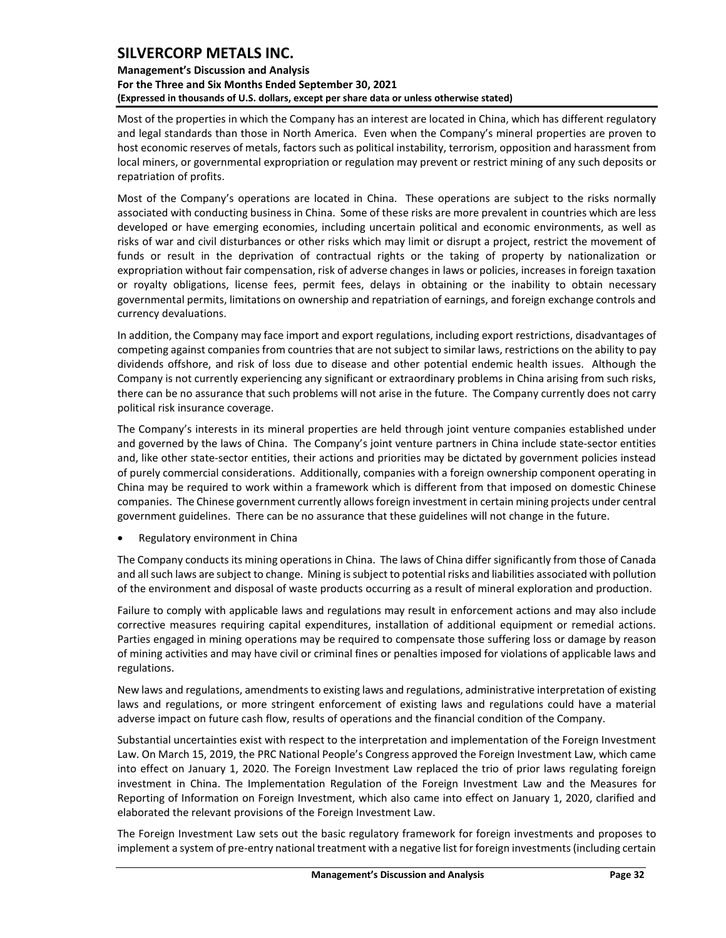## **Management's Discussion and Analysis For the Three and Six Months Ended September 30, 2021 (Expressed in thousands of U.S. dollars, except per share data or unless otherwise stated)**

Most of the properties in which the Company has an interest are located in China, which has different regulatory and legal standards than those in North America. Even when the Company's mineral properties are proven to host economic reserves of metals, factors such as political instability, terrorism, opposition and harassment from local miners, or governmental expropriation or regulation may prevent or restrict mining of any such deposits or repatriation of profits.

Most of the Company's operations are located in China. These operations are subject to the risks normally associated with conducting business in China. Some of these risks are more prevalent in countries which are less developed or have emerging economies, including uncertain political and economic environments, as well as risks of war and civil disturbances or other risks which may limit or disrupt a project, restrict the movement of funds or result in the deprivation of contractual rights or the taking of property by nationalization or expropriation without fair compensation, risk of adverse changes in laws or policies, increases in foreign taxation or royalty obligations, license fees, permit fees, delays in obtaining or the inability to obtain necessary governmental permits, limitations on ownership and repatriation of earnings, and foreign exchange controls and currency devaluations.

In addition, the Company may face import and export regulations, including export restrictions, disadvantages of competing against companies from countries that are not subject to similar laws, restrictions on the ability to pay dividends offshore, and risk of loss due to disease and other potential endemic health issues. Although the Company is not currently experiencing any significant or extraordinary problems in China arising from such risks, there can be no assurance that such problems will not arise in the future. The Company currently does not carry political risk insurance coverage.

The Company's interests in its mineral properties are held through joint venture companies established under and governed by the laws of China. The Company's joint venture partners in China include state-sector entities and, like other state-sector entities, their actions and priorities may be dictated by government policies instead of purely commercial considerations. Additionally, companies with a foreign ownership component operating in China may be required to work within a framework which is different from that imposed on domestic Chinese companies. The Chinese government currently allows foreign investment in certain mining projects under central government guidelines. There can be no assurance that these guidelines will not change in the future.

• Regulatory environment in China

The Company conducts its mining operations in China. The laws of China differ significantly from those of Canada and all such laws are subject to change. Mining is subject to potential risks and liabilities associated with pollution of the environment and disposal of waste products occurring as a result of mineral exploration and production.

Failure to comply with applicable laws and regulations may result in enforcement actions and may also include corrective measures requiring capital expenditures, installation of additional equipment or remedial actions. Parties engaged in mining operations may be required to compensate those suffering loss or damage by reason of mining activities and may have civil or criminal fines or penalties imposed for violations of applicable laws and regulations.

New laws and regulations, amendments to existing laws and regulations, administrative interpretation of existing laws and regulations, or more stringent enforcement of existing laws and regulations could have a material adverse impact on future cash flow, results of operations and the financial condition of the Company.

Substantial uncertainties exist with respect to the interpretation and implementation of the Foreign Investment Law. On March 15, 2019, the PRC National People's Congress approved the Foreign Investment Law, which came into effect on January 1, 2020. The Foreign Investment Law replaced the trio of prior laws regulating foreign investment in China. The Implementation Regulation of the Foreign Investment Law and the Measures for Reporting of Information on Foreign Investment, which also came into effect on January 1, 2020, clarified and elaborated the relevant provisions of the Foreign Investment Law.

The Foreign Investment Law sets out the basic regulatory framework for foreign investments and proposes to implement a system of pre-entry national treatment with a negative list for foreign investments (including certain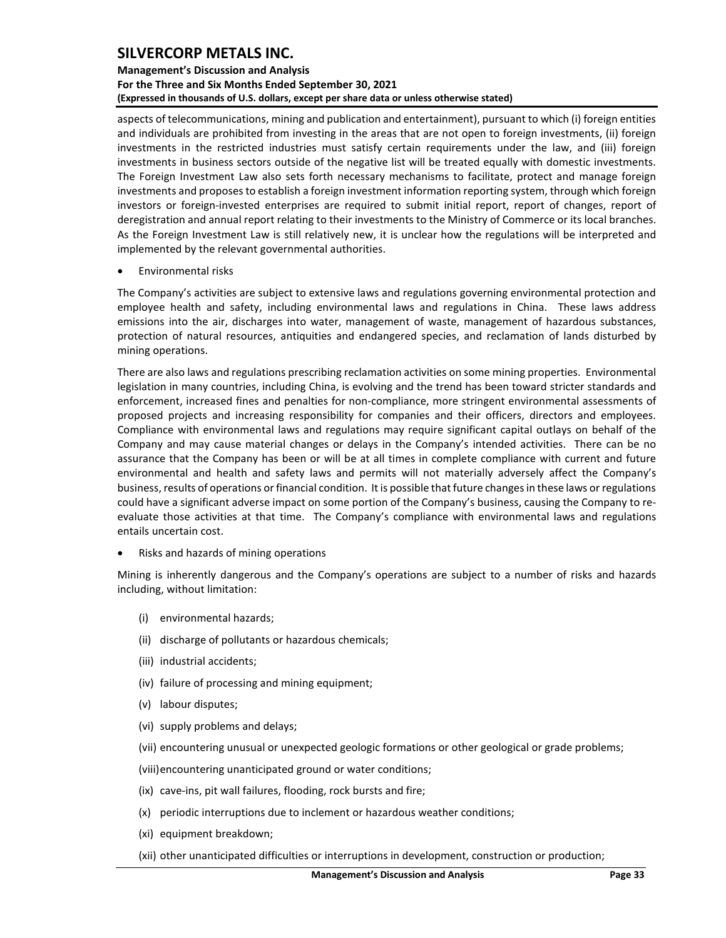### **Management's Discussion and Analysis For the Three and Six Months Ended September 30, 2021 (Expressed in thousands of U.S. dollars, except per share data or unless otherwise stated)**

aspects of telecommunications, mining and publication and entertainment), pursuant to which (i) foreign entities and individuals are prohibited from investing in the areas that are not open to foreign investments, (ii) foreign investments in the restricted industries must satisfy certain requirements under the law, and (iii) foreign investments in business sectors outside of the negative list will be treated equally with domestic investments. The Foreign Investment Law also sets forth necessary mechanisms to facilitate, protect and manage foreign investments and proposes to establish a foreign investment information reporting system, through which foreign investors or foreign-invested enterprises are required to submit initial report, report of changes, report of deregistration and annual report relating to their investments to the Ministry of Commerce or its local branches. As the Foreign Investment Law is still relatively new, it is unclear how the regulations will be interpreted and implemented by the relevant governmental authorities.

• Environmental risks

The Company's activities are subject to extensive laws and regulations governing environmental protection and employee health and safety, including environmental laws and regulations in China. These laws address emissions into the air, discharges into water, management of waste, management of hazardous substances, protection of natural resources, antiquities and endangered species, and reclamation of lands disturbed by mining operations.

There are also laws and regulations prescribing reclamation activities on some mining properties. Environmental legislation in many countries, including China, is evolving and the trend has been toward stricter standards and enforcement, increased fines and penalties for non-compliance, more stringent environmental assessments of proposed projects and increasing responsibility for companies and their officers, directors and employees. Compliance with environmental laws and regulations may require significant capital outlays on behalf of the Company and may cause material changes or delays in the Company's intended activities. There can be no assurance that the Company has been or will be at all times in complete compliance with current and future environmental and health and safety laws and permits will not materially adversely affect the Company's business, results of operations or financial condition. It is possible that future changes in these laws or regulations could have a significant adverse impact on some portion of the Company's business, causing the Company to reevaluate those activities at that time. The Company's compliance with environmental laws and regulations entails uncertain cost.

• Risks and hazards of mining operations

Mining is inherently dangerous and the Company's operations are subject to a number of risks and hazards including, without limitation:

- (i) environmental hazards;
- (ii) discharge of pollutants or hazardous chemicals;
- (iii) industrial accidents;
- (iv) failure of processing and mining equipment;
- (v) labour disputes;
- (vi) supply problems and delays;
- (vii) encountering unusual or unexpected geologic formations or other geological or grade problems;
- (viii)encountering unanticipated ground or water conditions;
- (ix) cave-ins, pit wall failures, flooding, rock bursts and fire;
- (x) periodic interruptions due to inclement or hazardous weather conditions;
- (xi) equipment breakdown;
- (xii) other unanticipated difficulties or interruptions in development, construction or production;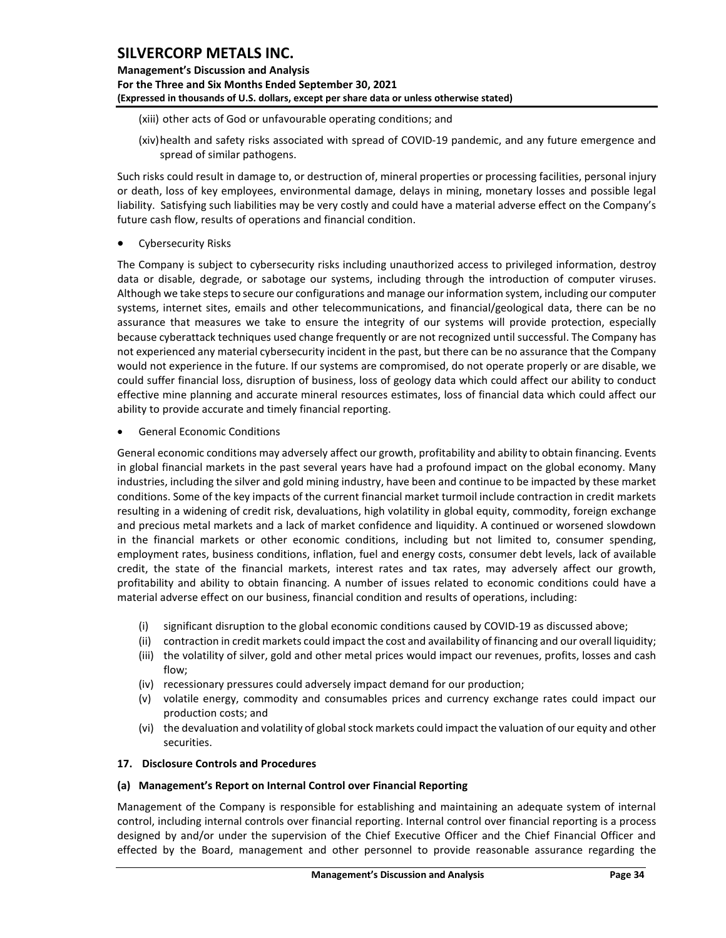## **Management's Discussion and Analysis For the Three and Six Months Ended September 30, 2021 (Expressed in thousands of U.S. dollars, except per share data or unless otherwise stated)**

- (xiii) other acts of God or unfavourable operating conditions; and
- (xiv)health and safety risks associated with spread of COVID-19 pandemic, and any future emergence and spread of similar pathogens.

Such risks could result in damage to, or destruction of, mineral properties or processing facilities, personal injury or death, loss of key employees, environmental damage, delays in mining, monetary losses and possible legal liability. Satisfying such liabilities may be very costly and could have a material adverse effect on the Company's future cash flow, results of operations and financial condition.

• Cybersecurity Risks

The Company is subject to cybersecurity risks including unauthorized access to privileged information, destroy data or disable, degrade, or sabotage our systems, including through the introduction of computer viruses. Although we take steps to secure our configurations and manage our information system, including our computer systems, internet sites, emails and other telecommunications, and financial/geological data, there can be no assurance that measures we take to ensure the integrity of our systems will provide protection, especially because cyberattack techniques used change frequently or are not recognized until successful. The Company has not experienced any material cybersecurity incident in the past, but there can be no assurance that the Company would not experience in the future. If our systems are compromised, do not operate properly or are disable, we could suffer financial loss, disruption of business, loss of geology data which could affect our ability to conduct effective mine planning and accurate mineral resources estimates, loss of financial data which could affect our ability to provide accurate and timely financial reporting.

• General Economic Conditions

General economic conditions may adversely affect our growth, profitability and ability to obtain financing. Events in global financial markets in the past several years have had a profound impact on the global economy. Many industries, including the silver and gold mining industry, have been and continue to be impacted by these market conditions. Some of the key impacts of the current financial market turmoil include contraction in credit markets resulting in a widening of credit risk, devaluations, high volatility in global equity, commodity, foreign exchange and precious metal markets and a lack of market confidence and liquidity. A continued or worsened slowdown in the financial markets or other economic conditions, including but not limited to, consumer spending, employment rates, business conditions, inflation, fuel and energy costs, consumer debt levels, lack of available credit, the state of the financial markets, interest rates and tax rates, may adversely affect our growth, profitability and ability to obtain financing. A number of issues related to economic conditions could have a material adverse effect on our business, financial condition and results of operations, including:

- (i) significant disruption to the global economic conditions caused by COVID-19 as discussed above;
- (ii) contraction in credit markets could impact the cost and availability of financing and our overall liquidity;
- (iii) the volatility of silver, gold and other metal prices would impact our revenues, profits, losses and cash flow;
- (iv) recessionary pressures could adversely impact demand for our production;
- (v) volatile energy, commodity and consumables prices and currency exchange rates could impact our production costs; and
- (vi) the devaluation and volatility of global stock markets could impact the valuation of our equity and other securities.

## <span id="page-34-0"></span>**17. Disclosure Controls and Procedures**

### **(a) Management's Report on Internal Control over Financial Reporting**

Management of the Company is responsible for establishing and maintaining an adequate system of internal control, including internal controls over financial reporting. Internal control over financial reporting is a process designed by and/or under the supervision of the Chief Executive Officer and the Chief Financial Officer and effected by the Board, management and other personnel to provide reasonable assurance regarding the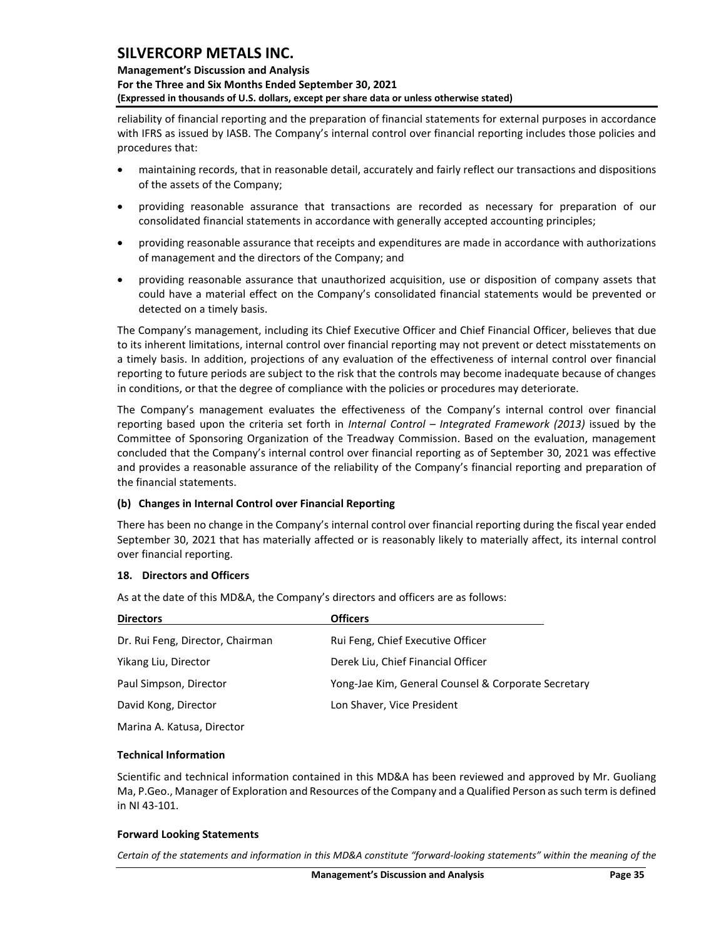### **Management's Discussion and Analysis For the Three and Six Months Ended September 30, 2021 (Expressed in thousands of U.S. dollars, except per share data or unless otherwise stated)**

reliability of financial reporting and the preparation of financial statements for external purposes in accordance with IFRS as issued by IASB. The Company's internal control over financial reporting includes those policies and procedures that:

- maintaining records, that in reasonable detail, accurately and fairly reflect our transactions and dispositions of the assets of the Company;
- providing reasonable assurance that transactions are recorded as necessary for preparation of our consolidated financial statements in accordance with generally accepted accounting principles;
- providing reasonable assurance that receipts and expenditures are made in accordance with authorizations of management and the directors of the Company; and
- providing reasonable assurance that unauthorized acquisition, use or disposition of company assets that could have a material effect on the Company's consolidated financial statements would be prevented or detected on a timely basis.

The Company's management, including its Chief Executive Officer and Chief Financial Officer, believes that due to its inherent limitations, internal control over financial reporting may not prevent or detect misstatements on a timely basis. In addition, projections of any evaluation of the effectiveness of internal control over financial reporting to future periods are subject to the risk that the controls may become inadequate because of changes in conditions, or that the degree of compliance with the policies or procedures may deteriorate.

The Company's management evaluates the effectiveness of the Company's internal control over financial reporting based upon the criteria set forth in *Internal Control – Integrated Framework (2013)* issued by the Committee of Sponsoring Organization of the Treadway Commission. Based on the evaluation, management concluded that the Company's internal control over financial reporting as of September 30, 2021 was effective and provides a reasonable assurance of the reliability of the Company's financial reporting and preparation of the financial statements.

### **(b) Changes in Internal Control over Financial Reporting**

There has been no change in the Company's internal control over financial reporting during the fiscal year ended September 30, 2021 that has materially affected or is reasonably likely to materially affect, its internal control over financial reporting.

### <span id="page-35-0"></span>**18. Directors and Officers**

As at the date of this MD&A, the Company's directors and officers are as follows:

| <b>Directors</b>                 | <b>Officers</b>                                     |
|----------------------------------|-----------------------------------------------------|
| Dr. Rui Feng, Director, Chairman | Rui Feng, Chief Executive Officer                   |
| Yikang Liu, Director             | Derek Liu, Chief Financial Officer                  |
| Paul Simpson, Director           | Yong-Jae Kim, General Counsel & Corporate Secretary |
| David Kong, Director             | Lon Shaver, Vice President                          |
| Marina A. Katusa, Director       |                                                     |

### <span id="page-35-1"></span>**Technical Information**

Scientific and technical information contained in this MD&A has been reviewed and approved by Mr. Guoliang Ma, P.Geo., Manager of Exploration and Resources of the Company and a Qualified Person assuch term is defined in NI 43-101.

### <span id="page-35-2"></span>**Forward Looking Statements**

*Certain of the statements and information in this MD&A constitute "forward-looking statements" within the meaning of the*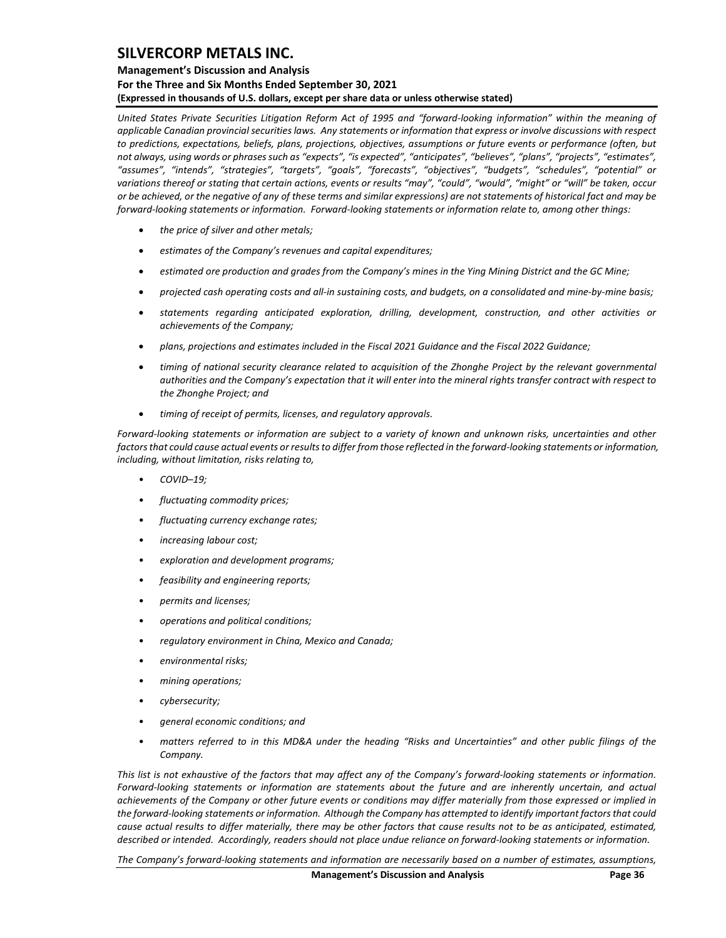### **Management's Discussion and Analysis For the Three and Six Months Ended September 30, 2021 (Expressed in thousands of U.S. dollars, except per share data or unless otherwise stated)**

*United States Private Securities Litigation Reform Act of 1995 and "forward-looking information" within the meaning of applicable Canadian provincial securities laws. Any statements or information that express or involve discussions with respect to predictions, expectations, beliefs, plans, projections, objectives, assumptions or future events or performance (often, but not always, using words or phrases such as "expects", "is expected", "anticipates", "believes", "plans", "projects", "estimates", "assumes", "intends", "strategies", "targets", "goals", "forecasts", "objectives", "budgets", "schedules", "potential" or variations thereof or stating that certain actions, events or results "may", "could", "would", "might" or "will" be taken, occur or be achieved, or the negative of any of these terms and similar expressions) are not statements of historical fact and may be forward-looking statements or information. Forward-looking statements or information relate to, among other things:*

- *the price of silver and other metals;*
- *estimates of the Company's revenues and capital expenditures;*
- *estimated ore production and grades from the Company's mines in the Ying Mining District and the GC Mine;*
- *projected cash operating costs and all-in sustaining costs, and budgets, on a consolidated and mine-by-mine basis;*
- *statements regarding anticipated exploration, drilling, development, construction, and other activities or achievements of the Company;*
- *plans, projections and estimates included in the Fiscal 2021 Guidance and the Fiscal 2022 Guidance;*
- *timing of national security clearance related to acquisition of the Zhonghe Project by the relevant governmental authorities and the Company's expectation that it will enter into the mineral rights transfer contract with respect to the Zhonghe Project; and*
- *timing of receipt of permits, licenses, and regulatory approvals.*

*Forward-looking statements or information are subject to a variety of known and unknown risks, uncertainties and other factors that could cause actual events or results to differ from those reflected in the forward-looking statements or information, including, without limitation, risks relating to,* 

- *COVID–19;*
- *fluctuating commodity prices;*
- *fluctuating currency exchange rates;*
- *increasing labour cost;*
- *exploration and development programs;*
- *feasibility and engineering reports;*
- *permits and licenses;*
- *operations and political conditions;*
- *regulatory environment in China, Mexico and Canada;*
- *environmental risks;*
- *mining operations;*
- *cybersecurity;*
- *general economic conditions; and*
- *matters referred to in this MD&A under the heading "Risks and Uncertainties" and other public filings of the Company.*

*This list is not exhaustive of the factors that may affect any of the Company's forward-looking statements or information. Forward-looking statements or information are statements about the future and are inherently uncertain, and actual achievements of the Company or other future events or conditions may differ materially from those expressed or implied in the forward-looking statements or information. Although the Company has attempted to identify important factors that could cause actual results to differ materially, there may be other factors that cause results not to be as anticipated, estimated, described or intended. Accordingly, readers should not place undue reliance on forward-looking statements or information.* 

*The Company's forward-looking statements and information are necessarily based on a number of estimates, assumptions,*